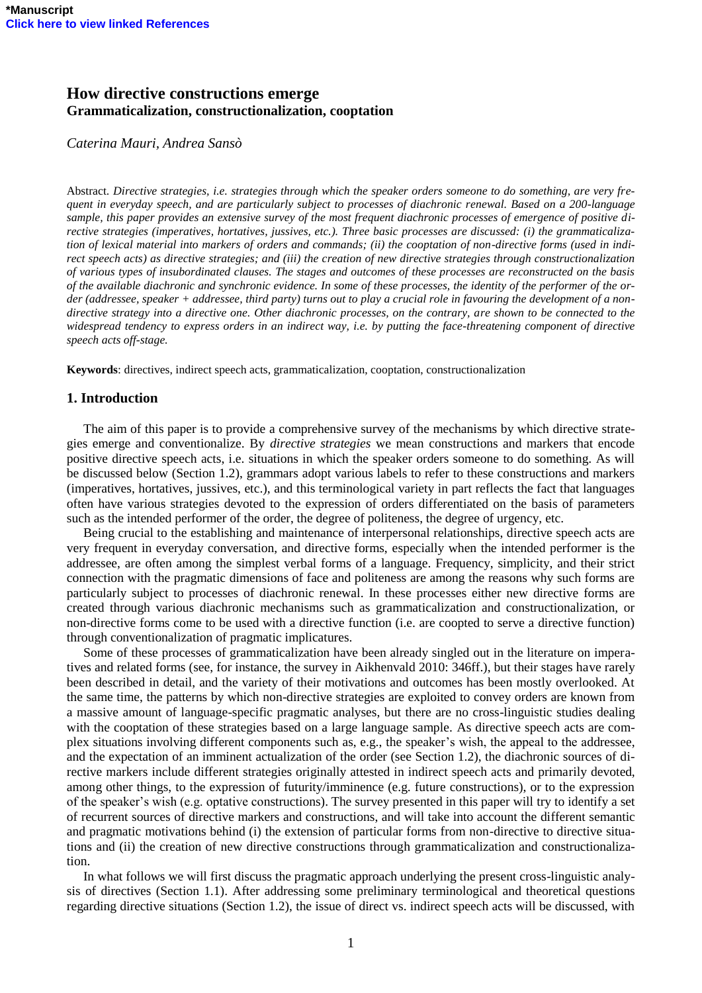# **How directive constructions emerge Grammaticalization, constructionalization, cooptation**

*Caterina Mauri, Andrea Sansò*

Abstract. *Directive strategies, i.e. strategies through which the speaker orders someone to do something, are very frequent in everyday speech, and are particularly subject to processes of diachronic renewal. Based on a 200-language sample, this paper provides an extensive survey of the most frequent diachronic processes of emergence of positive directive strategies (imperatives, hortatives, jussives, etc.). Three basic processes are discussed: (i) the grammaticalization of lexical material into markers of orders and commands; (ii) the cooptation of non-directive forms (used in indirect speech acts) as directive strategies; and (iii) the creation of new directive strategies through constructionalization of various types of insubordinated clauses. The stages and outcomes of these processes are reconstructed on the basis of the available diachronic and synchronic evidence. In some of these processes, the identity of the performer of the order (addressee, speaker + addressee, third party) turns out to play a crucial role in favouring the development of a nondirective strategy into a directive one. Other diachronic processes, on the contrary, are shown to be connected to the widespread tendency to express orders in an indirect way, i.e. by putting the face-threatening component of directive speech acts off-stage.*

**Keywords**: directives, indirect speech acts, grammaticalization, cooptation, constructionalization

# **1. Introduction**

The aim of this paper is to provide a comprehensive survey of the mechanisms by which directive strategies emerge and conventionalize. By *directive strategies* we mean constructions and markers that encode positive directive speech acts, i.e. situations in which the speaker orders someone to do something. As will be discussed below (Section 1.2), grammars adopt various labels to refer to these constructions and markers (imperatives, hortatives, jussives, etc.), and this terminological variety in part reflects the fact that languages often have various strategies devoted to the expression of orders differentiated on the basis of parameters such as the intended performer of the order, the degree of politeness, the degree of urgency, etc.

Being crucial to the establishing and maintenance of interpersonal relationships, directive speech acts are very frequent in everyday conversation, and directive forms, especially when the intended performer is the addressee, are often among the simplest verbal forms of a language. Frequency, simplicity, and their strict connection with the pragmatic dimensions of face and politeness are among the reasons why such forms are particularly subject to processes of diachronic renewal. In these processes either new directive forms are created through various diachronic mechanisms such as grammaticalization and constructionalization, or non-directive forms come to be used with a directive function (i.e. are coopted to serve a directive function) through conventionalization of pragmatic implicatures.

Some of these processes of grammaticalization have been already singled out in the literature on imperatives and related forms (see, for instance, the survey in Aikhenvald 2010: 346ff.), but their stages have rarely been described in detail, and the variety of their motivations and outcomes has been mostly overlooked. At the same time, the patterns by which non-directive strategies are exploited to convey orders are known from a massive amount of language-specific pragmatic analyses, but there are no cross-linguistic studies dealing with the cooptation of these strategies based on a large language sample. As directive speech acts are complex situations involving different components such as, e.g., the speaker's wish, the appeal to the addressee, and the expectation of an imminent actualization of the order (see Section 1.2), the diachronic sources of directive markers include different strategies originally attested in indirect speech acts and primarily devoted, among other things, to the expression of futurity/imminence (e.g. future constructions), or to the expression of the speaker's wish (e.g. optative constructions). The survey presented in this paper will try to identify a set of recurrent sources of directive markers and constructions, and will take into account the different semantic and pragmatic motivations behind (i) the extension of particular forms from non-directive to directive situations and (ii) the creation of new directive constructions through grammaticalization and constructionalization.

In what follows we will first discuss the pragmatic approach underlying the present cross-linguistic analysis of directives (Section 1.1). After addressing some preliminary terminological and theoretical questions regarding directive situations (Section 1.2), the issue of direct vs. indirect speech acts will be discussed, with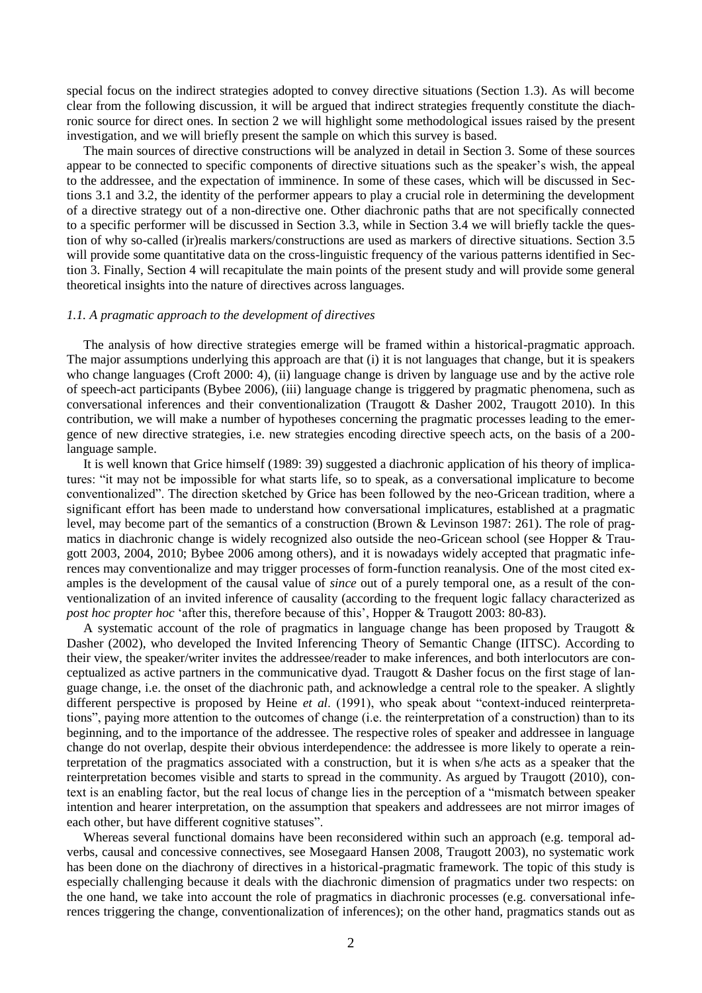special focus on the indirect strategies adopted to convey directive situations (Section 1.3). As will become clear from the following discussion, it will be argued that indirect strategies frequently constitute the diachronic source for direct ones. In section 2 we will highlight some methodological issues raised by the present investigation, and we will briefly present the sample on which this survey is based.

The main sources of directive constructions will be analyzed in detail in Section 3. Some of these sources appear to be connected to specific components of directive situations such as the speaker's wish, the appeal to the addressee, and the expectation of imminence. In some of these cases, which will be discussed in Sections 3.1 and 3.2, the identity of the performer appears to play a crucial role in determining the development of a directive strategy out of a non-directive one. Other diachronic paths that are not specifically connected to a specific performer will be discussed in Section 3.3, while in Section 3.4 we will briefly tackle the question of why so-called (ir)realis markers/constructions are used as markers of directive situations. Section 3.5 will provide some quantitative data on the cross-linguistic frequency of the various patterns identified in Section 3. Finally, Section 4 will recapitulate the main points of the present study and will provide some general theoretical insights into the nature of directives across languages.

# *1.1. A pragmatic approach to the development of directives*

The analysis of how directive strategies emerge will be framed within a historical-pragmatic approach. The major assumptions underlying this approach are that (i) it is not languages that change, but it is speakers who change languages (Croft 2000: 4), (ii) language change is driven by language use and by the active role of speech-act participants (Bybee 2006), (iii) language change is triggered by pragmatic phenomena, such as conversational inferences and their conventionalization (Traugott & Dasher 2002, Traugott 2010). In this contribution, we will make a number of hypotheses concerning the pragmatic processes leading to the emergence of new directive strategies, i.e. new strategies encoding directive speech acts, on the basis of a 200 language sample.

It is well known that Grice himself (1989: 39) suggested a diachronic application of his theory of implicatures: "it may not be impossible for what starts life, so to speak, as a conversational implicature to become conventionalized". The direction sketched by Grice has been followed by the neo-Gricean tradition, where a significant effort has been made to understand how conversational implicatures, established at a pragmatic level, may become part of the semantics of a construction (Brown & Levinson 1987: 261). The role of pragmatics in diachronic change is widely recognized also outside the neo-Gricean school (see Hopper & Traugott 2003, 2004, 2010; Bybee 2006 among others), and it is nowadays widely accepted that pragmatic inferences may conventionalize and may trigger processes of form-function reanalysis. One of the most cited examples is the development of the causal value of *since* out of a purely temporal one, as a result of the conventionalization of an invited inference of causality (according to the frequent logic fallacy characterized as *post hoc propter hoc* ‗after this, therefore because of this', Hopper & Traugott 2003: 80-83).

A systematic account of the role of pragmatics in language change has been proposed by Traugott  $\&$ Dasher (2002), who developed the Invited Inferencing Theory of Semantic Change (IITSC). According to their view, the speaker/writer invites the addressee/reader to make inferences, and both interlocutors are conceptualized as active partners in the communicative dyad. Traugott & Dasher focus on the first stage of language change, i.e. the onset of the diachronic path, and acknowledge a central role to the speaker. A slightly different perspective is proposed by Heine *et al.* (1991), who speak about "context-induced reinterpretations‖, paying more attention to the outcomes of change (i.e. the reinterpretation of a construction) than to its beginning, and to the importance of the addressee. The respective roles of speaker and addressee in language change do not overlap, despite their obvious interdependence: the addressee is more likely to operate a reinterpretation of the pragmatics associated with a construction, but it is when s/he acts as a speaker that the reinterpretation becomes visible and starts to spread in the community. As argued by Traugott (2010), context is an enabling factor, but the real locus of change lies in the perception of a "mismatch between speaker intention and hearer interpretation, on the assumption that speakers and addressees are not mirror images of each other, but have different cognitive statuses".

Whereas several functional domains have been reconsidered within such an approach (e.g. temporal adverbs, causal and concessive connectives, see Mosegaard Hansen 2008, Traugott 2003), no systematic work has been done on the diachrony of directives in a historical-pragmatic framework. The topic of this study is especially challenging because it deals with the diachronic dimension of pragmatics under two respects: on the one hand, we take into account the role of pragmatics in diachronic processes (e.g. conversational inferences triggering the change, conventionalization of inferences); on the other hand, pragmatics stands out as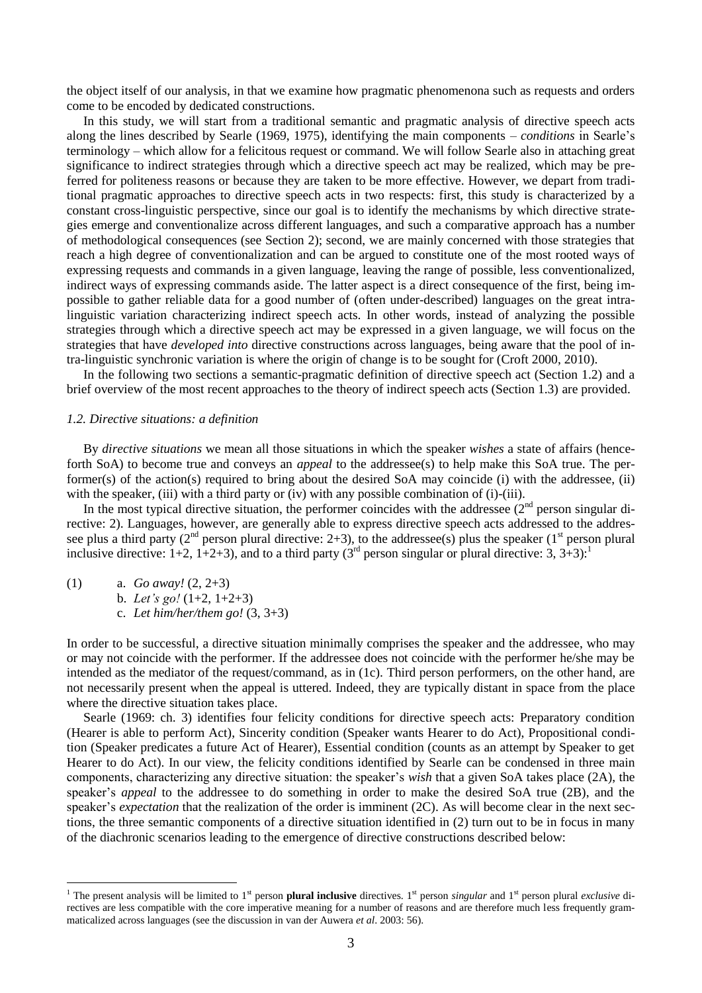the object itself of our analysis, in that we examine how pragmatic phenomenona such as requests and orders come to be encoded by dedicated constructions.

In this study, we will start from a traditional semantic and pragmatic analysis of directive speech acts along the lines described by Searle (1969, 1975), identifying the main components – *conditions* in Searle's terminology – which allow for a felicitous request or command. We will follow Searle also in attaching great significance to indirect strategies through which a directive speech act may be realized, which may be preferred for politeness reasons or because they are taken to be more effective. However, we depart from traditional pragmatic approaches to directive speech acts in two respects: first, this study is characterized by a constant cross-linguistic perspective, since our goal is to identify the mechanisms by which directive strategies emerge and conventionalize across different languages, and such a comparative approach has a number of methodological consequences (see Section 2); second, we are mainly concerned with those strategies that reach a high degree of conventionalization and can be argued to constitute one of the most rooted ways of expressing requests and commands in a given language, leaving the range of possible, less conventionalized, indirect ways of expressing commands aside. The latter aspect is a direct consequence of the first, being impossible to gather reliable data for a good number of (often under-described) languages on the great intralinguistic variation characterizing indirect speech acts. In other words, instead of analyzing the possible strategies through which a directive speech act may be expressed in a given language, we will focus on the strategies that have *developed into* directive constructions across languages, being aware that the pool of intra-linguistic synchronic variation is where the origin of change is to be sought for (Croft 2000, 2010).

In the following two sections a semantic-pragmatic definition of directive speech act (Section 1.2) and a brief overview of the most recent approaches to the theory of indirect speech acts (Section 1.3) are provided.

# *1.2. Directive situations: a definition*

By *directive situations* we mean all those situations in which the speaker *wishes* a state of affairs (henceforth SoA) to become true and conveys an *appeal* to the addressee(s) to help make this SoA true. The performer(s) of the action(s) required to bring about the desired SoA may coincide (i) with the addressee, (ii) with the speaker, (iii) with a third party or (iv) with any possible combination of (i)-(iii).

In the most typical directive situation, the performer coincides with the addressee  $(2<sup>nd</sup>$  person singular directive: 2). Languages, however, are generally able to express directive speech acts addressed to the addressee plus a third party ( $2<sup>nd</sup>$  person plural directive: 2+3), to the addressee(s) plus the speaker ( $1<sup>st</sup>$  person plural inclusive directive:  $1+2$ ,  $1+2+3$ ), and to a third party (3<sup>rd</sup> person singular or plural directive: 3,  $3+3$ ):<sup>1</sup>

(1) a. *Go away!* (2, 2+3)

1

- b. *Let's go!*  $(1+2, 1+2+3)$
- c. *Let him/her/them go!* (3, 3+3)

In order to be successful, a directive situation minimally comprises the speaker and the addressee, who may or may not coincide with the performer. If the addressee does not coincide with the performer he/she may be intended as the mediator of the request/command, as in (1c). Third person performers, on the other hand, are not necessarily present when the appeal is uttered. Indeed, they are typically distant in space from the place where the directive situation takes place.

Searle (1969: ch. 3) identifies four felicity conditions for directive speech acts: Preparatory condition (Hearer is able to perform Act), Sincerity condition (Speaker wants Hearer to do Act), Propositional condition (Speaker predicates a future Act of Hearer), Essential condition (counts as an attempt by Speaker to get Hearer to do Act). In our view, the felicity conditions identified by Searle can be condensed in three main components, characterizing any directive situation: the speaker's *wish* that a given SoA takes place (2A), the speaker's *appeal* to the addressee to do something in order to make the desired SoA true (2B), and the speaker's *expectation* that the realization of the order is imminent (2C). As will become clear in the next sections, the three semantic components of a directive situation identified in (2) turn out to be in focus in many of the diachronic scenarios leading to the emergence of directive constructions described below:

<sup>&</sup>lt;sup>1</sup> The present analysis will be limited to 1<sup>st</sup> person **plural inclusive** directives. 1<sup>st</sup> person *singular* and 1<sup>st</sup> person plural *exclusive* directives are less compatible with the core imperative meaning for a number of reasons and are therefore much less frequently grammaticalized across languages (see the discussion in van der Auwera *et al*. 2003: 56).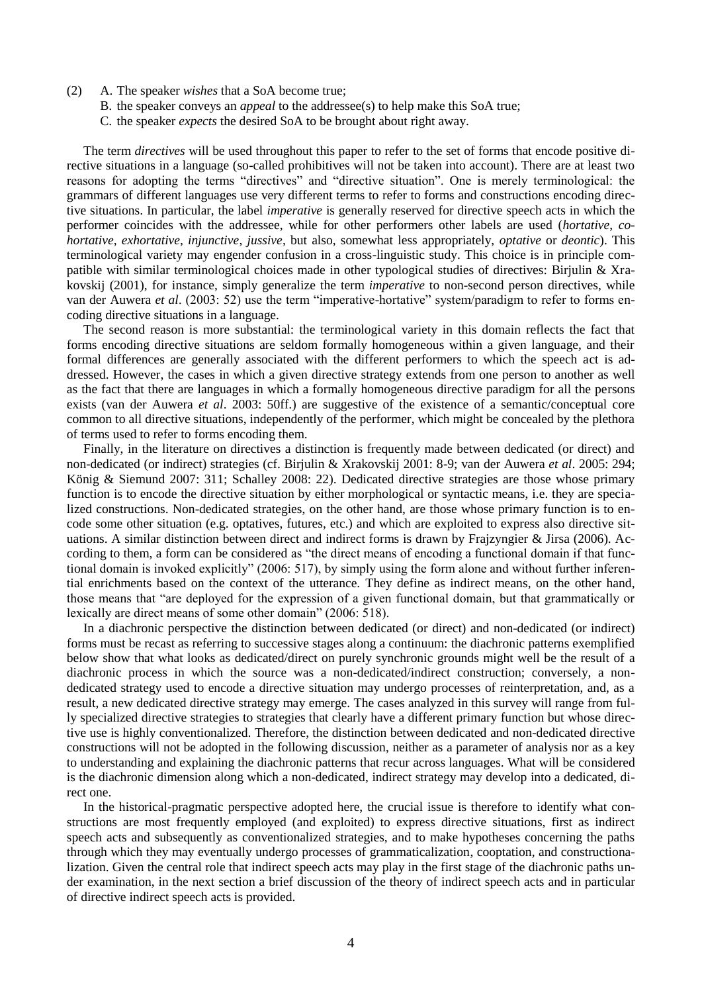- (2) A. The speaker *wishes* that a SoA become true;
	- B. the speaker conveys an *appeal* to the addressee(s) to help make this SoA true;
	- C. the speaker *expects* the desired SoA to be brought about right away.

The term *directives* will be used throughout this paper to refer to the set of forms that encode positive directive situations in a language (so-called prohibitives will not be taken into account). There are at least two reasons for adopting the terms "directives" and "directive situation". One is merely terminological: the grammars of different languages use very different terms to refer to forms and constructions encoding directive situations. In particular, the label *imperative* is generally reserved for directive speech acts in which the performer coincides with the addressee, while for other performers other labels are used (*hortative*, *cohortative*, *exhortative*, *injunctive*, *jussive*, but also, somewhat less appropriately, *optative* or *deontic*). This terminological variety may engender confusion in a cross-linguistic study. This choice is in principle compatible with similar terminological choices made in other typological studies of directives: Birjulin & Xrakovskij (2001), for instance, simply generalize the term *imperative* to non-second person directives, while van der Auwera et al. (2003: 52) use the term "imperative-hortative" system/paradigm to refer to forms encoding directive situations in a language.

The second reason is more substantial: the terminological variety in this domain reflects the fact that forms encoding directive situations are seldom formally homogeneous within a given language, and their formal differences are generally associated with the different performers to which the speech act is addressed. However, the cases in which a given directive strategy extends from one person to another as well as the fact that there are languages in which a formally homogeneous directive paradigm for all the persons exists (van der Auwera *et al*. 2003: 50ff.) are suggestive of the existence of a semantic/conceptual core common to all directive situations, independently of the performer, which might be concealed by the plethora of terms used to refer to forms encoding them.

Finally, in the literature on directives a distinction is frequently made between dedicated (or direct) and non-dedicated (or indirect) strategies (cf. Birjulin & Xrakovskij 2001: 8-9; van der Auwera *et al*. 2005: 294; König & Siemund 2007: 311; Schalley 2008: 22). Dedicated directive strategies are those whose primary function is to encode the directive situation by either morphological or syntactic means, i.e. they are specialized constructions. Non-dedicated strategies, on the other hand, are those whose primary function is to encode some other situation (e.g. optatives, futures, etc.) and which are exploited to express also directive situations. A similar distinction between direct and indirect forms is drawn by Frajzyngier & Jirsa (2006). According to them, a form can be considered as "the direct means of encoding a functional domain if that functional domain is invoked explicitly" (2006: 517), by simply using the form alone and without further inferential enrichments based on the context of the utterance. They define as indirect means, on the other hand, those means that "are deployed for the expression of a given functional domain, but that grammatically or lexically are direct means of some other domain" (2006: 518).

In a diachronic perspective the distinction between dedicated (or direct) and non-dedicated (or indirect) forms must be recast as referring to successive stages along a continuum: the diachronic patterns exemplified below show that what looks as dedicated/direct on purely synchronic grounds might well be the result of a diachronic process in which the source was a non-dedicated/indirect construction; conversely, a nondedicated strategy used to encode a directive situation may undergo processes of reinterpretation, and, as a result, a new dedicated directive strategy may emerge. The cases analyzed in this survey will range from fully specialized directive strategies to strategies that clearly have a different primary function but whose directive use is highly conventionalized. Therefore, the distinction between dedicated and non-dedicated directive constructions will not be adopted in the following discussion, neither as a parameter of analysis nor as a key to understanding and explaining the diachronic patterns that recur across languages. What will be considered is the diachronic dimension along which a non-dedicated, indirect strategy may develop into a dedicated, direct one.

In the historical-pragmatic perspective adopted here, the crucial issue is therefore to identify what constructions are most frequently employed (and exploited) to express directive situations, first as indirect speech acts and subsequently as conventionalized strategies, and to make hypotheses concerning the paths through which they may eventually undergo processes of grammaticalization, cooptation, and constructionalization. Given the central role that indirect speech acts may play in the first stage of the diachronic paths under examination, in the next section a brief discussion of the theory of indirect speech acts and in particular of directive indirect speech acts is provided.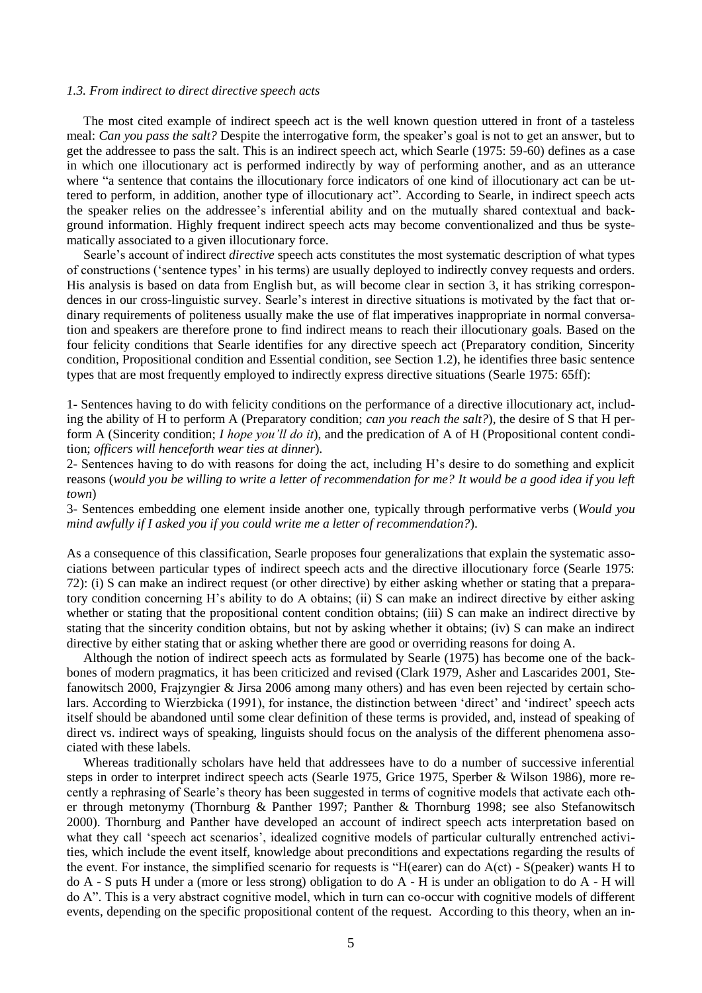#### *1.3. From indirect to direct directive speech acts*

The most cited example of indirect speech act is the well known question uttered in front of a tasteless meal: *Can you pass the salt?* Despite the interrogative form, the speaker's goal is not to get an answer, but to get the addressee to pass the salt. This is an indirect speech act, which Searle (1975: 59-60) defines as a case in which one illocutionary act is performed indirectly by way of performing another, and as an utterance where "a sentence that contains the illocutionary force indicators of one kind of illocutionary act can be uttered to perform, in addition, another type of illocutionary act". According to Searle, in indirect speech acts the speaker relies on the addressee's inferential ability and on the mutually shared contextual and background information. Highly frequent indirect speech acts may become conventionalized and thus be systematically associated to a given illocutionary force.

Searle's account of indirect *directive* speech acts constitutes the most systematic description of what types of constructions (‗sentence types' in his terms) are usually deployed to indirectly convey requests and orders. His analysis is based on data from English but, as will become clear in section 3, it has striking correspondences in our cross-linguistic survey. Searle's interest in directive situations is motivated by the fact that ordinary requirements of politeness usually make the use of flat imperatives inappropriate in normal conversation and speakers are therefore prone to find indirect means to reach their illocutionary goals*.* Based on the four felicity conditions that Searle identifies for any directive speech act (Preparatory condition, Sincerity condition, Propositional condition and Essential condition, see Section 1.2), he identifies three basic sentence types that are most frequently employed to indirectly express directive situations (Searle 1975: 65ff):

1- Sentences having to do with felicity conditions on the performance of a directive illocutionary act, including the ability of H to perform A (Preparatory condition; *can you reach the salt?*), the desire of S that H perform A (Sincerity condition; *I hope you"ll do it*), and the predication of A of H (Propositional content condition; *officers will henceforth wear ties at dinner*)*.*

2- Sentences having to do with reasons for doing the act, including H's desire to do something and explicit reasons (*would you be willing to write a letter of recommendation for me? It would be a good idea if you left town*)

3- Sentences embedding one element inside another one, typically through performative verbs (*Would you mind awfully if I asked you if you could write me a letter of recommendation?*).

As a consequence of this classification, Searle proposes four generalizations that explain the systematic associations between particular types of indirect speech acts and the directive illocutionary force (Searle 1975: 72): (i) S can make an indirect request (or other directive) by either asking whether or stating that a preparatory condition concerning H's ability to do A obtains; (ii) S can make an indirect directive by either asking whether or stating that the propositional content condition obtains; (iii) S can make an indirect directive by stating that the sincerity condition obtains, but not by asking whether it obtains; (iv) S can make an indirect directive by either stating that or asking whether there are good or overriding reasons for doing A.

Although the notion of indirect speech acts as formulated by Searle (1975) has become one of the backbones of modern pragmatics, it has been criticized and revised (Clark 1979, Asher and Lascarides 2001, Stefanowitsch 2000, Frajzyngier & Jirsa 2006 among many others) and has even been rejected by certain scholars. According to Wierzbicka (1991), for instance, the distinction between 'direct' and 'indirect' speech acts itself should be abandoned until some clear definition of these terms is provided, and, instead of speaking of direct vs. indirect ways of speaking, linguists should focus on the analysis of the different phenomena associated with these labels.

Whereas traditionally scholars have held that addressees have to do a number of successive inferential steps in order to interpret indirect speech acts (Searle 1975, Grice 1975, Sperber & Wilson 1986), more recently a rephrasing of Searle's theory has been suggested in terms of cognitive models that activate each other through metonymy (Thornburg & Panther 1997; Panther & Thornburg 1998; see also Stefanowitsch 2000). Thornburg and Panther have developed an account of indirect speech acts interpretation based on what they call 'speech act scenarios', idealized cognitive models of particular culturally entrenched activities, which include the event itself, knowledge about preconditions and expectations regarding the results of the event. For instance, the simplified scenario for requests is "H(earer) can do  $A(ct)$  - S(peaker) wants H to do A - S puts H under a (more or less strong) obligation to do A - H is under an obligation to do A - H will do A‖. This is a very abstract cognitive model, which in turn can co-occur with cognitive models of different events, depending on the specific propositional content of the request. According to this theory, when an in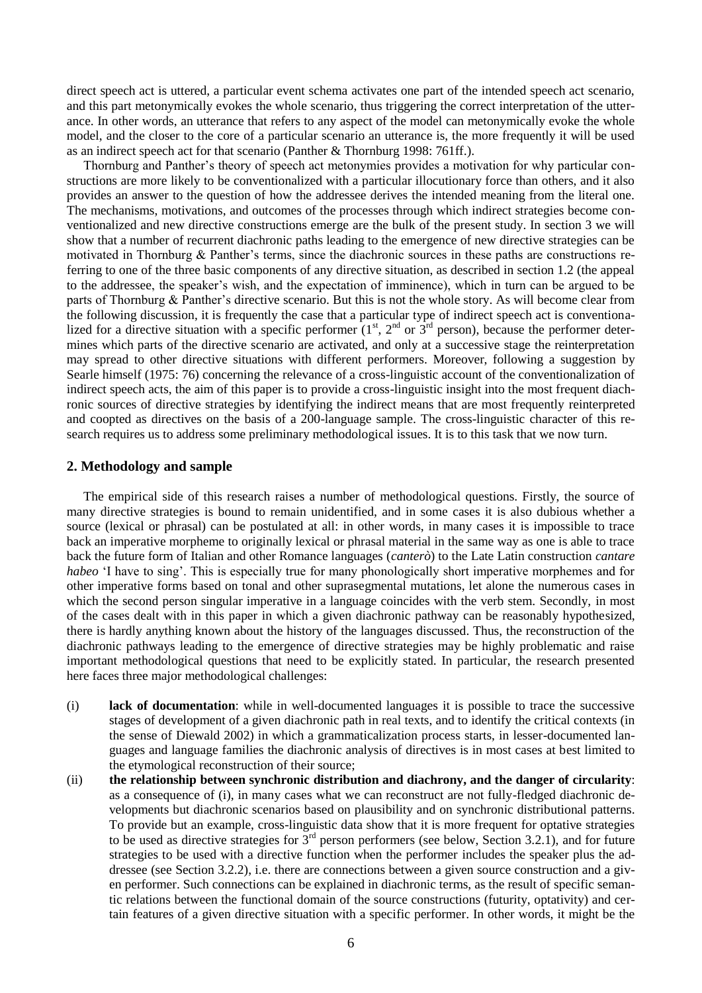direct speech act is uttered, a particular event schema activates one part of the intended speech act scenario, and this part metonymically evokes the whole scenario, thus triggering the correct interpretation of the utterance. In other words, an utterance that refers to any aspect of the model can metonymically evoke the whole model, and the closer to the core of a particular scenario an utterance is, the more frequently it will be used as an indirect speech act for that scenario (Panther & Thornburg 1998: 761ff.).

Thornburg and Panther's theory of speech act metonymies provides a motivation for why particular constructions are more likely to be conventionalized with a particular illocutionary force than others, and it also provides an answer to the question of how the addressee derives the intended meaning from the literal one. The mechanisms, motivations, and outcomes of the processes through which indirect strategies become conventionalized and new directive constructions emerge are the bulk of the present study. In section 3 we will show that a number of recurrent diachronic paths leading to the emergence of new directive strategies can be motivated in Thornburg & Panther's terms, since the diachronic sources in these paths are constructions referring to one of the three basic components of any directive situation, as described in section 1.2 (the appeal to the addressee, the speaker's wish, and the expectation of imminence), which in turn can be argued to be parts of Thornburg & Panther's directive scenario. But this is not the whole story. As will become clear from the following discussion, it is frequently the case that a particular type of indirect speech act is conventionalized for a directive situation with a specific performer  $(1<sup>st</sup>, 2<sup>nd</sup> or 3<sup>rd</sup> person)$ , because the performer determines which parts of the directive scenario are activated, and only at a successive stage the reinterpretation may spread to other directive situations with different performers. Moreover, following a suggestion by Searle himself (1975: 76) concerning the relevance of a cross-linguistic account of the conventionalization of indirect speech acts, the aim of this paper is to provide a cross-linguistic insight into the most frequent diachronic sources of directive strategies by identifying the indirect means that are most frequently reinterpreted and coopted as directives on the basis of a 200-language sample. The cross-linguistic character of this research requires us to address some preliminary methodological issues. It is to this task that we now turn.

## **2. Methodology and sample**

The empirical side of this research raises a number of methodological questions. Firstly, the source of many directive strategies is bound to remain unidentified, and in some cases it is also dubious whether a source (lexical or phrasal) can be postulated at all: in other words, in many cases it is impossible to trace back an imperative morpheme to originally lexical or phrasal material in the same way as one is able to trace back the future form of Italian and other Romance languages (*canterò*) to the Late Latin construction *cantare habeo* 'I have to sing'. This is especially true for many phonologically short imperative morphemes and for other imperative forms based on tonal and other suprasegmental mutations, let alone the numerous cases in which the second person singular imperative in a language coincides with the verb stem. Secondly, in most of the cases dealt with in this paper in which a given diachronic pathway can be reasonably hypothesized, there is hardly anything known about the history of the languages discussed. Thus, the reconstruction of the diachronic pathways leading to the emergence of directive strategies may be highly problematic and raise important methodological questions that need to be explicitly stated. In particular, the research presented here faces three major methodological challenges:

- (i) **lack of documentation**: while in well-documented languages it is possible to trace the successive stages of development of a given diachronic path in real texts, and to identify the critical contexts (in the sense of Diewald 2002) in which a grammaticalization process starts, in lesser-documented languages and language families the diachronic analysis of directives is in most cases at best limited to the etymological reconstruction of their source;
- (ii) **the relationship between synchronic distribution and diachrony, and the danger of circularity**: as a consequence of (i), in many cases what we can reconstruct are not fully-fledged diachronic developments but diachronic scenarios based on plausibility and on synchronic distributional patterns. To provide but an example, cross-linguistic data show that it is more frequent for optative strategies to be used as directive strategies for  $\tilde{3}^{rd}$  person performers (see below, Section 3.2.1), and for future strategies to be used with a directive function when the performer includes the speaker plus the addressee (see Section 3.2.2), i.e. there are connections between a given source construction and a given performer. Such connections can be explained in diachronic terms, as the result of specific semantic relations between the functional domain of the source constructions (futurity, optativity) and certain features of a given directive situation with a specific performer. In other words, it might be the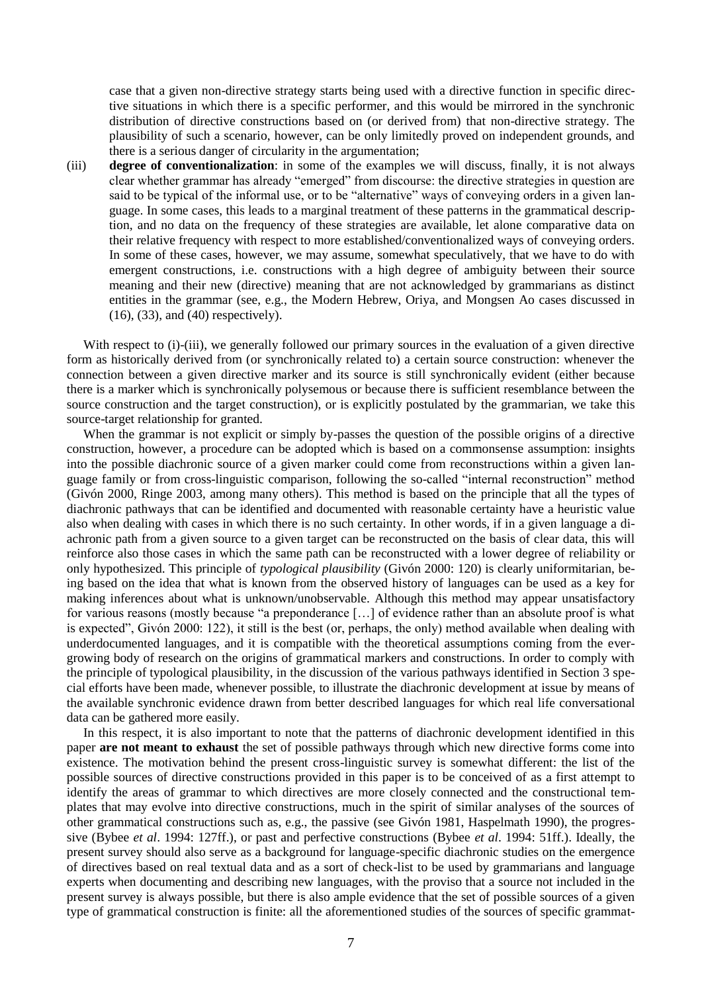case that a given non-directive strategy starts being used with a directive function in specific directive situations in which there is a specific performer, and this would be mirrored in the synchronic distribution of directive constructions based on (or derived from) that non-directive strategy. The plausibility of such a scenario, however, can be only limitedly proved on independent grounds, and there is a serious danger of circularity in the argumentation;

(iii) **degree of conventionalization**: in some of the examples we will discuss, finally, it is not always clear whether grammar has already "emerged" from discourse: the directive strategies in question are said to be typical of the informal use, or to be "alternative" ways of conveying orders in a given language. In some cases, this leads to a marginal treatment of these patterns in the grammatical description, and no data on the frequency of these strategies are available, let alone comparative data on their relative frequency with respect to more established/conventionalized ways of conveying orders. In some of these cases, however, we may assume, somewhat speculatively, that we have to do with emergent constructions, i.e. constructions with a high degree of ambiguity between their source meaning and their new (directive) meaning that are not acknowledged by grammarians as distinct entities in the grammar (see, e.g., the Modern Hebrew, Oriya, and Mongsen Ao cases discussed in (16), (33), and (40) respectively).

With respect to (i)-(iii), we generally followed our primary sources in the evaluation of a given directive form as historically derived from (or synchronically related to) a certain source construction: whenever the connection between a given directive marker and its source is still synchronically evident (either because there is a marker which is synchronically polysemous or because there is sufficient resemblance between the source construction and the target construction), or is explicitly postulated by the grammarian, we take this source-target relationship for granted.

When the grammar is not explicit or simply by-passes the question of the possible origins of a directive construction, however, a procedure can be adopted which is based on a commonsense assumption: insights into the possible diachronic source of a given marker could come from reconstructions within a given language family or from cross-linguistic comparison, following the so-called "internal reconstruction" method (Givón 2000, Ringe 2003, among many others). This method is based on the principle that all the types of diachronic pathways that can be identified and documented with reasonable certainty have a heuristic value also when dealing with cases in which there is no such certainty. In other words, if in a given language a diachronic path from a given source to a given target can be reconstructed on the basis of clear data, this will reinforce also those cases in which the same path can be reconstructed with a lower degree of reliability or only hypothesized. This principle of *typological plausibility* (Givón 2000: 120) is clearly uniformitarian, being based on the idea that what is known from the observed history of languages can be used as a key for making inferences about what is unknown/unobservable. Although this method may appear unsatisfactory for various reasons (mostly because "a preponderance [...] of evidence rather than an absolute proof is what is expected", Givón 2000: 122), it still is the best (or, perhaps, the only) method available when dealing with underdocumented languages, and it is compatible with the theoretical assumptions coming from the evergrowing body of research on the origins of grammatical markers and constructions. In order to comply with the principle of typological plausibility, in the discussion of the various pathways identified in Section 3 special efforts have been made, whenever possible, to illustrate the diachronic development at issue by means of the available synchronic evidence drawn from better described languages for which real life conversational data can be gathered more easily.

In this respect, it is also important to note that the patterns of diachronic development identified in this paper **are not meant to exhaust** the set of possible pathways through which new directive forms come into existence. The motivation behind the present cross-linguistic survey is somewhat different: the list of the possible sources of directive constructions provided in this paper is to be conceived of as a first attempt to identify the areas of grammar to which directives are more closely connected and the constructional templates that may evolve into directive constructions, much in the spirit of similar analyses of the sources of other grammatical constructions such as, e.g., the passive (see Givón 1981, Haspelmath 1990), the progressive (Bybee *et al*. 1994: 127ff.), or past and perfective constructions (Bybee *et al*. 1994: 51ff.). Ideally, the present survey should also serve as a background for language-specific diachronic studies on the emergence of directives based on real textual data and as a sort of check-list to be used by grammarians and language experts when documenting and describing new languages, with the proviso that a source not included in the present survey is always possible, but there is also ample evidence that the set of possible sources of a given type of grammatical construction is finite: all the aforementioned studies of the sources of specific grammat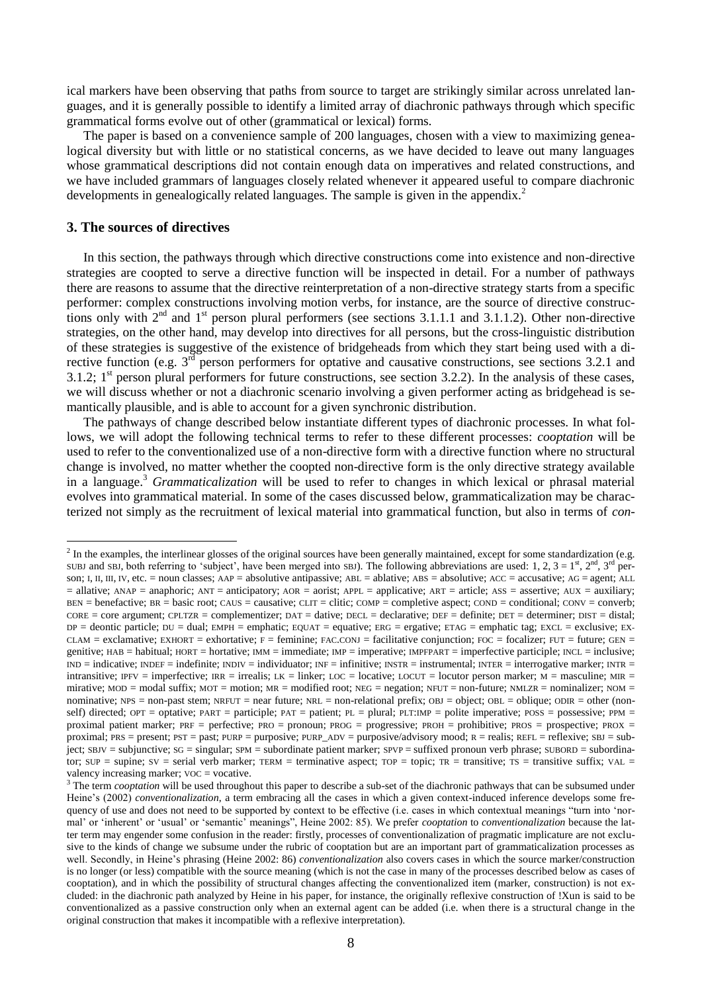ical markers have been observing that paths from source to target are strikingly similar across unrelated languages, and it is generally possible to identify a limited array of diachronic pathways through which specific grammatical forms evolve out of other (grammatical or lexical) forms.

The paper is based on a convenience sample of 200 languages, chosen with a view to maximizing genealogical diversity but with little or no statistical concerns, as we have decided to leave out many languages whose grammatical descriptions did not contain enough data on imperatives and related constructions, and we have included grammars of languages closely related whenever it appeared useful to compare diachronic developments in genealogically related languages. The sample is given in the appendix.<sup>2</sup>

# **3. The sources of directives**

1

In this section, the pathways through which directive constructions come into existence and non-directive strategies are coopted to serve a directive function will be inspected in detail. For a number of pathways there are reasons to assume that the directive reinterpretation of a non-directive strategy starts from a specific performer: complex constructions involving motion verbs, for instance, are the source of directive constructions only with  $2<sup>nd</sup>$  and  $1<sup>st</sup>$  person plural performers (see sections 3.1.1.1 and 3.1.1.2). Other non-directive strategies, on the other hand, may develop into directives for all persons, but the cross-linguistic distribution of these strategies is suggestive of the existence of bridgeheads from which they start being used with a directive function (e.g. 3<sup>rd</sup> person performers for optative and causative constructions, see sections 3.2.1 and 3.1.2;  $1<sup>st</sup>$  person plural performers for future constructions, see section 3.2.2). In the analysis of these cases, we will discuss whether or not a diachronic scenario involving a given performer acting as bridgehead is semantically plausible, and is able to account for a given synchronic distribution.

The pathways of change described below instantiate different types of diachronic processes. In what follows, we will adopt the following technical terms to refer to these different processes: *cooptation* will be used to refer to the conventionalized use of a non-directive form with a directive function where no structural change is involved, no matter whether the coopted non-directive form is the only directive strategy available in a language.<sup>3</sup> *Grammaticalization* will be used to refer to changes in which lexical or phrasal material evolves into grammatical material. In some of the cases discussed below, grammaticalization may be characterized not simply as the recruitment of lexical material into grammatical function, but also in terms of *con-*

 $<sup>2</sup>$  In the examples, the interlinear glosses of the original sources have been generally maintained, except for some standardization (e.g.</sup> SUBJ and SBJ, both referring to 'subject', have been merged into SBJ). The following abbreviations are used: 1, 2,  $3 = 1<sup>st</sup>$ ,  $2<sup>nd</sup>$ ,  $3<sup>rd</sup>$  person; I, II, III, IV, etc. = noun classes; AAP = absolutive antipassive; ABL = ablative; ABS = absolutive; ACC = accusative; AG = agent; ALL = allative; ANAP = anaphoric; ANT = anticipatory; AOR = aorist; APPL = applicative; ART = article; ASS = assertive; AUX = auxiliary;  $BEN = \text{benefactive}$ ;  $BR = \text{basic root}$ ;  $CAUS = \text{causative}$ ;  $CLIT = \text{clitic}$ ;  $COMP = \text{complete}$ ;  $COND = \text{conditional}$ ;  $CONV = \text{convert}$ ;  $CORE = core argument$ ; CPLTZR = complementizer; DAT = dative; DECL = declarative; DEF = definite; DET = determiner; DIST = distal;  $DP =$  deontic particle;  $DU =$  dual;  $EMP =$  emphatic;  $EQUAT =$  equative;  $ERG =$  ergative;  $ETAG =$  emphatic tag;  $EXCL =$  exclusive;  $EX-L =$ CLAM = exclamative; EXHORT = exhortative;  $F =$  feminine; FAC.CONJ = facilitative conjunction; FOC = focalizer; FUT = future; GEN = genitive; HAB = habitual; HORT = hortative; IMM = immediate; IMP = imperative; IMPFPART = imperfective participle; INCL = inclusive; IND = indicative; INDEF = indefinite; INDIV = individuator; INF = infinitive; INSTR = instrumental; INTER = interrogative marker; INTR = intransitive; IPFV = imperfective; IRR = irrealis; LK = linker; LOC = locative; LOCUT = locutor person marker; M = masculine; MIR = mirative; MOD = modal suffix; MOT = motion; MR = modified root; NEG = negation; NFUT = non-future; NMLZR = nominalizer; NOM = nominative; NPS = non-past stem; NRFUT = near future; NRL = non-relational prefix; OBJ = object; OBL = oblique; ODIR = other (nonself) directed; OPT = optative; PART = participle; PAT = patient; PL = plural; PLT:IMP = polite imperative; POSS = possessive; PPM = proximal patient marker;  $PRF = perfective$ ;  $PROO = pronoun$ ;  $PROG = progressive$ ;  $PROH = prohibitive$ ;  $PROS = prospective$ ;  $PROX =$ proximal; PRS = present; PST = past; PURP = purposive; PURP\_ADV = purposive/advisory mood;  $R =$  realis; REFL = reflexive; SBJ = sub $ject; SBJV = subjunctive; SG = singular; SPM = subordinate patient marker; SPVP = suffixed pronoun verb phrase; SUBORD = subordina$ tor;  $SUP =$  supine;  $SV =$  serial verb marker; TERM = terminative aspect; TOP = topic; TR = transitive; TS = transitive suffix; VAL = valency increasing marker;  $\text{VOC} = \text{vocative}$ .

<sup>&</sup>lt;sup>3</sup> The term *cooptation* will be used throughout this paper to describe a sub-set of the diachronic pathways that can be subsumed under Heine's (2002) *conventionalization*, a term embracing all the cases in which a given context-induced inference develops some frequency of use and does not need to be supported by context to be effective (i.e. cases in which contextual meanings "turn into 'normal' or 'inherent' or 'usual' or 'semantic' meanings", Heine 2002: 85). We prefer *cooptation* to *conventionalization* because the latter term may engender some confusion in the reader: firstly, processes of conventionalization of pragmatic implicature are not exclusive to the kinds of change we subsume under the rubric of cooptation but are an important part of grammaticalization processes as well. Secondly, in Heine's phrasing (Heine 2002: 86) *conventionalization* also covers cases in which the source marker/construction is no longer (or less) compatible with the source meaning (which is not the case in many of the processes described below as cases of cooptation), and in which the possibility of structural changes affecting the conventionalized item (marker, construction) is not excluded: in the diachronic path analyzed by Heine in his paper, for instance, the originally reflexive construction of !Xun is said to be conventionalized as a passive construction only when an external agent can be added (i.e. when there is a structural change in the original construction that makes it incompatible with a reflexive interpretation).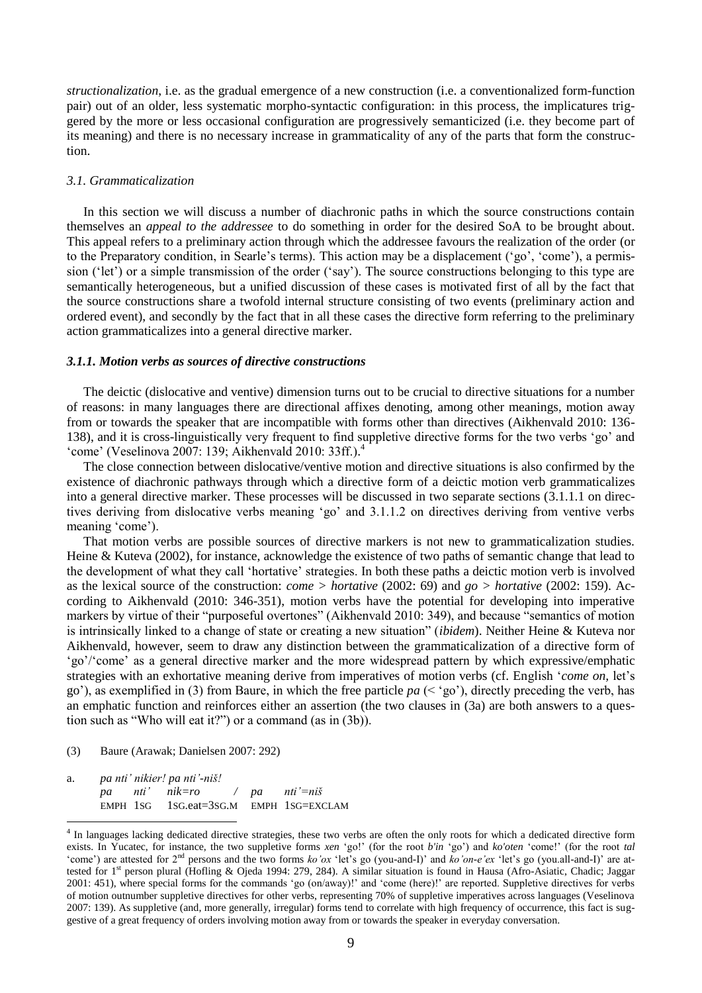*structionalization*, i.e. as the gradual emergence of a new construction (i.e. a conventionalized form-function pair) out of an older, less systematic morpho-syntactic configuration: in this process, the implicatures triggered by the more or less occasional configuration are progressively semanticized (i.e. they become part of its meaning) and there is no necessary increase in grammaticality of any of the parts that form the construction.

#### *3.1. Grammaticalization*

In this section we will discuss a number of diachronic paths in which the source constructions contain themselves an *appeal to the addressee* to do something in order for the desired SoA to be brought about. This appeal refers to a preliminary action through which the addressee favours the realization of the order (or to the Preparatory condition, in Searle's terms). This action may be a displacement (‗go', ‗come'), a permission ('let') or a simple transmission of the order ('say'). The source constructions belonging to this type are semantically heterogeneous, but a unified discussion of these cases is motivated first of all by the fact that the source constructions share a twofold internal structure consisting of two events (preliminary action and ordered event), and secondly by the fact that in all these cases the directive form referring to the preliminary action grammaticalizes into a general directive marker.

### *3.1.1. Motion verbs as sources of directive constructions*

The deictic (dislocative and ventive) dimension turns out to be crucial to directive situations for a number of reasons: in many languages there are directional affixes denoting, among other meanings, motion away from or towards the speaker that are incompatible with forms other than directives (Aikhenvald 2010: 136- 138), and it is cross-linguistically very frequent to find suppletive directive forms for the two verbs ‗go' and 'come' (Veselinova 2007: 139; Aikhenvald 2010: 33ff.).<sup>4</sup>

The close connection between dislocative/ventive motion and directive situations is also confirmed by the existence of diachronic pathways through which a directive form of a deictic motion verb grammaticalizes into a general directive marker. These processes will be discussed in two separate sections (3.1.1.1 on directives deriving from dislocative verbs meaning ‗go' and 3.1.1.2 on directives deriving from ventive verbs meaning 'come').

That motion verbs are possible sources of directive markers is not new to grammaticalization studies. Heine & Kuteva (2002), for instance, acknowledge the existence of two paths of semantic change that lead to the development of what they call 'hortative' strategies. In both these paths a deictic motion verb is involved as the lexical source of the construction: *come > hortative* (2002: 69) and *go > hortative* (2002: 159). According to Aikhenvald (2010: 346-351), motion verbs have the potential for developing into imperative markers by virtue of their "purposeful overtones" (Aikhenvald 2010: 349), and because "semantics of motion is intrinsically linked to a change of state or creating a new situation" *(ibidem)*. Neither Heine & Kuteva nor Aikhenvald, however, seem to draw any distinction between the grammaticalization of a directive form of ‗go'/‗come' as a general directive marker and the more widespread pattern by which expressive/emphatic strategies with an exhortative meaning derive from imperatives of motion verbs (cf. English *'come on*, let's go'), as exemplified in (3) from Baure, in which the free particle *pa* (< ‗go'), directly preceding the verb, has an emphatic function and reinforces either an assertion (the two clauses in (3a) are both answers to a question such as "Who will eat it?") or a command (as in  $(3b)$ ).

(3) Baure (Arawak; Danielsen 2007: 292)

<u>.</u>

a. *pa nti" nikier! pa nti"-niš! pa nti" nik=ro / pa nti"=niš*  EMPH 1SG 1SG.eat=3SG.M EMPH 1SG=EXCLAM

<sup>&</sup>lt;sup>4</sup> In languages lacking dedicated directive strategies, these two verbs are often the only roots for which a dedicated directive form exists. In Yucatec, for instance, the two suppletive forms *xen* 'go!' (for the root *b'in* 'go') and *ko'oten* 'come!' (for the root *tal* ‗come') are attested for 2nd persons and the two forms *ko"ox* ‗let's go (you-and-I)' and *ko"on-e"ex* ‗let's go (you.all-and-I)' are attested for 1<sup>st</sup> person plural (Hofling & Ojeda 1994: 279, 284). A similar situation is found in Hausa (Afro-Asiatic, Chadic; Jaggar 2001: 451), where special forms for the commands ‗go (on/away)!' and ‗come (here)!' are reported. Suppletive directives for verbs of motion outnumber suppletive directives for other verbs, representing 70% of suppletive imperatives across languages (Veselinova 2007: 139). As suppletive (and, more generally, irregular) forms tend to correlate with high frequency of occurrence, this fact is suggestive of a great frequency of orders involving motion away from or towards the speaker in everyday conversation.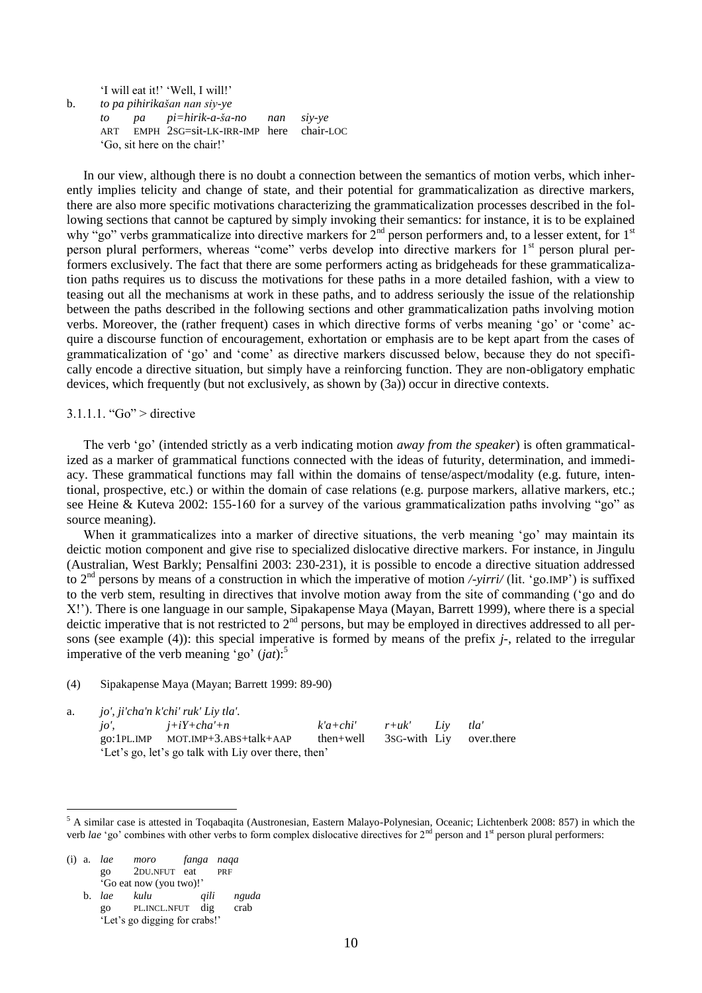‗I will eat it!' ‗Well, I will!' b. *to pa pihirikašan nan siy-ye to pa pi=hirik-a-ša-no nan siy-ye*  ART EMPH 2SG=sit-LK-IRR-IMP here chair-LOC ‗Go, sit here on the chair!'

In our view, although there is no doubt a connection between the semantics of motion verbs, which inherently implies telicity and change of state, and their potential for grammaticalization as directive markers, there are also more specific motivations characterizing the grammaticalization processes described in the following sections that cannot be captured by simply invoking their semantics: for instance, it is to be explained why "go" verbs grammaticalize into directive markers for  $2<sup>nd</sup>$  person performers and, to a lesser extent, for  $1<sup>st</sup>$ person plural performers, whereas "come" verbs develop into directive markers for  $1<sup>st</sup>$  person plural performers exclusively. The fact that there are some performers acting as bridgeheads for these grammaticalization paths requires us to discuss the motivations for these paths in a more detailed fashion, with a view to teasing out all the mechanisms at work in these paths, and to address seriously the issue of the relationship between the paths described in the following sections and other grammaticalization paths involving motion verbs. Moreover, the (rather frequent) cases in which directive forms of verbs meaning 'go' or 'come' acquire a discourse function of encouragement, exhortation or emphasis are to be kept apart from the cases of grammaticalization of ‗go' and ‗come' as directive markers discussed below, because they do not specifically encode a directive situation, but simply have a reinforcing function. They are non-obligatory emphatic devices, which frequently (but not exclusively, as shown by (3a)) occur in directive contexts.

# $3.1.1.1$ . "Go" > directive

The verb 'go' (intended strictly as a verb indicating motion *away from the speaker*) is often grammaticalized as a marker of grammatical functions connected with the ideas of futurity, determination, and immediacy. These grammatical functions may fall within the domains of tense/aspect/modality (e.g. future, intentional, prospective, etc.) or within the domain of case relations (e.g. purpose markers, allative markers, etc.; see Heine & Kuteva 2002: 155-160 for a survey of the various grammaticalization paths involving "go" as source meaning).

When it grammaticalizes into a marker of directive situations, the verb meaning 'go' may maintain its deictic motion component and give rise to specialized dislocative directive markers. For instance, in Jingulu (Australian, West Barkly; Pensalfini 2003: 230-231), it is possible to encode a directive situation addressed to 2nd persons by means of a construction in which the imperative of motion */-yirri/* (lit. ‗go.IMP') is suffixed to the verb stem, resulting in directives that involve motion away from the site of commanding (‗go and do X!'). There is one language in our sample, Sipakapense Maya (Mayan, Barrett 1999), where there is a special deictic imperative that is not restricted to  $2<sup>nd</sup>$  persons, but may be employed in directives addressed to all persons (see example (4)): this special imperative is formed by means of the prefix *j-*, related to the irregular imperative of the verb meaning 'go'  $(jat)$ :<sup>5</sup>

(4) Sipakapense Maya (Mayan; Barrett 1999: 89-90)

a. *jo', ji'cha'n k'chi' ruk' Liy tla'.*

|  | $j\sigma'$ , $j+iY + cha' + n$                      | $k'a + chi'$ $r+uk'$ Liv          |  | tla' |
|--|-----------------------------------------------------|-----------------------------------|--|------|
|  | $go:1PL$ . IMP $MOT$ . IMP+3. ABS+talk+AAP          | then+well 3sG-with Liv over.there |  |      |
|  | 'Let's go, let's go talk with Liy over there, then' |                                   |  |      |

(i) a. *lae moro fanga naqa* go 2DU.NFUT eat PRF ‗Go eat now (you two)!'

1

b. *lae kulu qili nguda* go PL.INCL.NFUT dig crab ‗Let's go digging for crabs!'

 $5$  A similar case is attested in Toqabaqita (Austronesian, Eastern Malayo-Polynesian, Oceanic; Lichtenberk 2008: 857) in which the verb *lae* 'go' combines with other verbs to form complex dislocative directives for 2<sup>nd</sup> person and 1<sup>st</sup> person plural performers: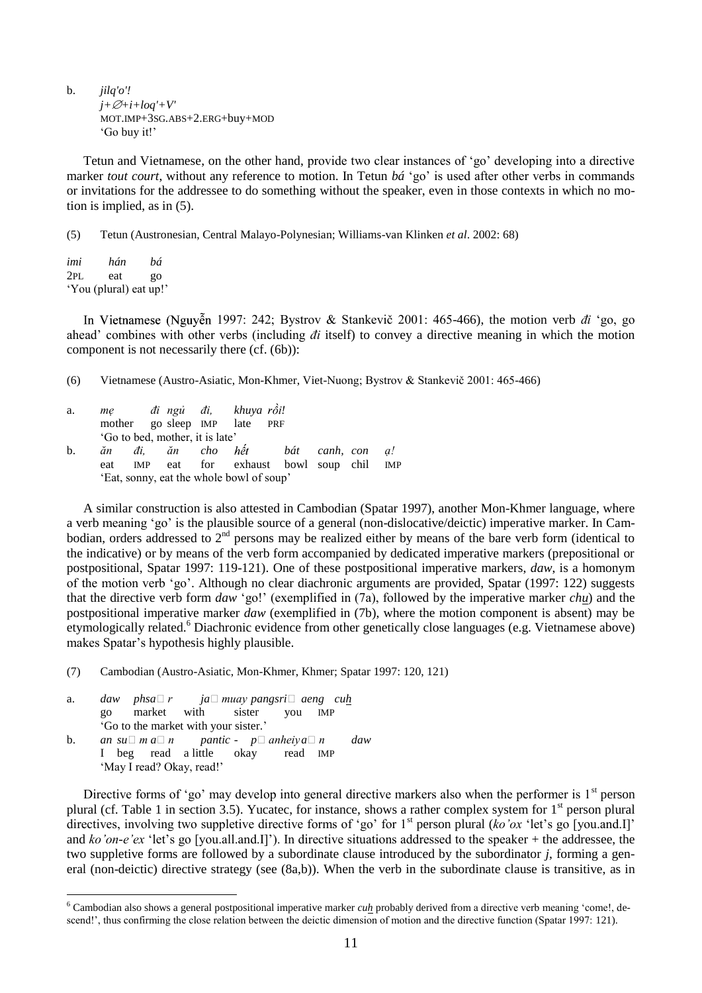b. *jilq'o'!*  $j+\varnothing+i+log'+V'$ MOT.IMP+3SG.ABS+2.ERG+buy+MOD ‗Go buy it!'

Tetun and Vietnamese, on the other hand, provide two clear instances of ‗go' developing into a directive marker *tout court*, without any reference to motion. In Tetun *bá* ‗go' is used after other verbs in commands or invitations for the addressee to do something without the speaker, even in those contexts in which no motion is implied, as in (5).

(5) Tetun (Austronesian, Central Malayo-Polynesian; Williams-van Klinken *et al*. 2002: 68)

*imi hán bá* 2PL eat go ‗You (plural) eat up!'

1997: 242; Bystrov & Stankevič 2001: 465-466), the motion verb *đi* ‗go, go ahead' combines with other verbs (including *đi* itself) to convey a directive meaning in which the motion component is not necessarily there (cf. (6b)):

(6) Vietnamese (Austro-Asiatic, Mon-Khmer, Viet-Nuong; Bystrov & Stankevič 2001: 465-466)

a. *mẹ đi ngủ đi, khuya !* mother go sleep IMP late PRF ‗Go to bed, mother, it is late' b. *ăn đi, ăn cho bát canh, con ạ!* eat IMP eat for exhaust bowl soup chil IMP ‗Eat, sonny, eat the whole bowl of soup'

A similar construction is also attested in Cambodian (Spatar 1997), another Mon-Khmer language, where a verb meaning ‗go' is the plausible source of a general (non-dislocative/deictic) imperative marker. In Cambodian, orders addressed to  $2<sup>nd</sup>$  persons may be realized either by means of the bare verb form (identical to the indicative) or by means of the verb form accompanied by dedicated imperative markers (prepositional or postpositional, Spatar 1997: 119-121). One of these postpositional imperative markers, *daw*, is a homonym of the motion verb ‗go'. Although no clear diachronic arguments are provided, Spatar (1997: 122) suggests that the directive verb form *daw* ‗go!' (exemplified in (7a), followed by the imperative marker *chu*) and the postpositional imperative marker *daw* (exemplified in (7b), where the motion component is absent) may be etymologically related.<sup>6</sup> Diachronic evidence from other genetically close languages (e.g. Vietnamese above) makes Spatar's hypothesis highly plausible.

(7) Cambodian (Austro-Asiatic, Mon-Khmer, Khmer; Spatar 1997: 120, 121)

a. *daw phsa*□ *r ja*□ *muay pangsri*□ *aeng cuh* go market with sister you IMP ‗Go to the market with your sister.' b. an  $su \square m a \square n$  pantic -  $p \square$  anheiya $\square n$  daw I beg read a little okay read IMP

'May I read? Okay, read!'

<u>.</u>

Directive forms of 'go' may develop into general directive markers also when the performer is  $1<sup>st</sup>$  person plural (cf. Table 1 in section 3.5). Yucatec, for instance, shows a rather complex system for  $1<sup>st</sup>$  person plural directives, involving two suppletive directive forms of 'go' for  $1<sup>st</sup>$  person plural (*ko'ox* 'let's go [you.and.I]' and *ko'on-e'ex* 'let's go [you.all.and.I]'). In directive situations addressed to the speaker + the addressee, the two suppletive forms are followed by a subordinate clause introduced by the subordinator *j*, forming a general (non-deictic) directive strategy (see (8a,b)). When the verb in the subordinate clause is transitive, as in

 $6$  Cambodian also shows a general postpositional imperative marker  $cuh$  probably derived from a directive verb meaning 'come!, descend!', thus confirming the close relation between the deictic dimension of motion and the directive function (Spatar 1997: 121).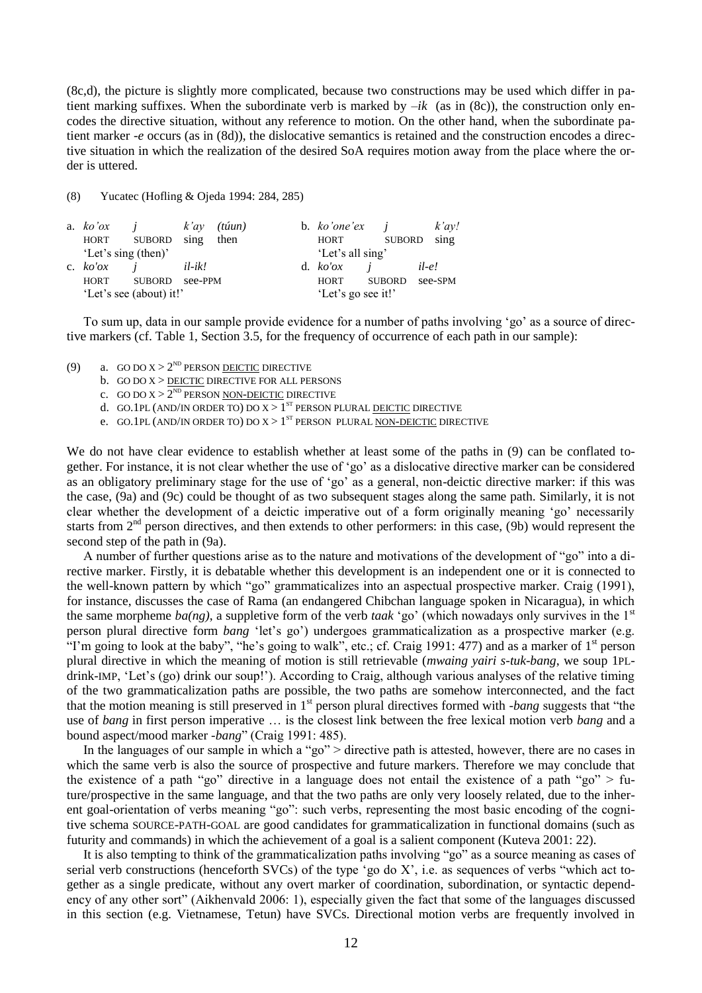(8c,d), the picture is slightly more complicated, because two constructions may be used which differ in patient marking suffixes. When the subordinate verb is marked by  $-ik$  (as in (8c)), the construction only encodes the directive situation, without any reference to motion. On the other hand, when the subordinate patient marker *-e* occurs (as in (8d)), the dislocative semantics is retained and the construction encodes a directive situation in which the realization of the desired SoA requires motion away from the place where the order is uttered.

(8) Yucatec (Hofling & Ojeda 1994: 284, 285)

| a. $ko'ox$              |               | $k'ay$ (túun) |      | b. $ko'one'ex$ <i>i</i> |               | $k'$ ay! |
|-------------------------|---------------|---------------|------|-------------------------|---------------|----------|
| HORT                    | SUBORD sing   |               | then | HORT                    | SUBORD        | sing     |
| 'Let's sing (then)'     |               |               |      | 'Let's all sing'        |               |          |
| c. $ko'ox$              |               | $il-ik!$      |      | d. $ko'ox$              |               | $il-e!$  |
| HORT                    | <b>SUBORD</b> | see-PPM       |      | <b>HORT</b>             | <b>SUBORD</b> | see-SPM  |
| 'Let's see (about) it!' |               |               |      | 'Let's go see it!'      |               |          |

To sum up, data in our sample provide evidence for a number of paths involving ‗go' as a source of directive markers (cf. Table 1, Section 3.5, for the frequency of occurrence of each path in our sample):

- (9) a. GO DO  $X > 2^{ND}$  PERSON <u>DEICTIC</u> DIRECTIVE
	- b. GO DO X > <u>DEIC</u>TIC DIRECTIVE FOR ALL PERSONS
	- c. GO DO  $X > 2^{ND}$  PERSON <u>NON-DEICTIC</u> DIRECTIVE
	- d. GO.1PL (AND/IN ORDER TO) DO  $X > 1^{ST}$  PERSON PLURAL DEICTIC DIRECTIVE
	- e. GO.1PL (AND/IN ORDER TO) DO  $X > 1^{ST}$  PERSON PLURAL NON-DEICTIC DIRECTIVE

We do not have clear evidence to establish whether at least some of the paths in (9) can be conflated together. For instance, it is not clear whether the use of ‗go' as a dislocative directive marker can be considered as an obligatory preliminary stage for the use of 'go' as a general, non-deictic directive marker: if this was the case, (9a) and (9c) could be thought of as two subsequent stages along the same path. Similarly, it is not clear whether the development of a deictic imperative out of a form originally meaning 'go' necessarily starts from 2<sup>nd</sup> person directives, and then extends to other performers: in this case, (9b) would represent the second step of the path in (9a).

A number of further questions arise as to the nature and motivations of the development of "go" into a directive marker. Firstly, it is debatable whether this development is an independent one or it is connected to the well-known pattern by which "go" grammaticalizes into an aspectual prospective marker. Craig (1991), for instance, discusses the case of Rama (an endangered Chibchan language spoken in Nicaragua), in which the same morpheme  $ba(ng)$ , a suppletive form of the verb *taak* 'go' (which nowadays only survives in the 1<sup>st</sup> person plural directive form *bang* ‗let's go') undergoes grammaticalization as a prospective marker (e.g. "I'm going to look at the baby", "he's going to walk", etc.; cf. Craig 1991: 477) and as a marker of  $1<sup>st</sup>$  person plural directive in which the meaning of motion is still retrievable (*mwaing yairi s-tuk-bang*, we soup 1PLdrink-IMP, ‗Let's (go) drink our soup!'). According to Craig, although various analyses of the relative timing of the two grammaticalization paths are possible, the two paths are somehow interconnected, and the fact that the motion meaning is still preserved in 1<sup>st</sup> person plural directives formed with *-bang* suggests that "the use of *bang* in first person imperative … is the closest link between the free lexical motion verb *bang* and a bound aspect/mood marker *-bang*" (Craig 1991: 485).

In the languages of our sample in which a "go" > directive path is attested, however, there are no cases in which the same verb is also the source of prospective and future markers. Therefore we may conclude that the existence of a path "go" directive in a language does not entail the existence of a path "go" > future/prospective in the same language, and that the two paths are only very loosely related, due to the inherent goal-orientation of verbs meaning "go": such verbs, representing the most basic encoding of the cognitive schema SOURCE-PATH-GOAL are good candidates for grammaticalization in functional domains (such as futurity and commands) in which the achievement of a goal is a salient component (Kuteva 2001: 22).

It is also tempting to think of the grammaticalization paths involving "go" as a source meaning as cases of serial verb constructions (henceforth SVCs) of the type 'go do X', i.e. as sequences of verbs "which act together as a single predicate, without any overt marker of coordination, subordination, or syntactic dependency of any other sort" (Aikhenvald 2006: 1), especially given the fact that some of the languages discussed in this section (e.g. Vietnamese, Tetun) have SVCs. Directional motion verbs are frequently involved in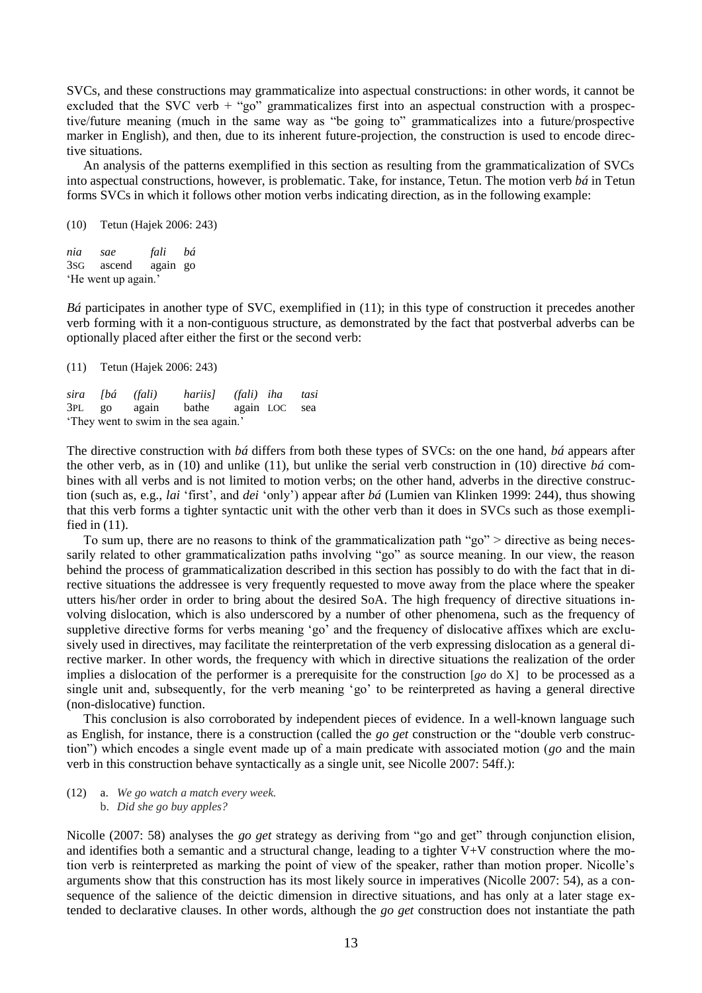SVCs, and these constructions may grammaticalize into aspectual constructions: in other words, it cannot be excluded that the SVC verb  $+$  "go" grammaticalizes first into an aspectual construction with a prospective/future meaning (much in the same way as "be going to" grammaticalizes into a future/prospective marker in English), and then, due to its inherent future-projection, the construction is used to encode directive situations.

An analysis of the patterns exemplified in this section as resulting from the grammaticalization of SVCs into aspectual constructions, however, is problematic. Take, for instance, Tetun. The motion verb *bá* in Tetun forms SVCs in which it follows other motion verbs indicating direction, as in the following example:

(10) Tetun (Hajek 2006: 243)

*nia sae fali bá* 3SG ascend again go He went up again.'

*Bá* participates in another type of SVC, exemplified in (11); in this type of construction it precedes another verb forming with it a non-contiguous structure, as demonstrated by the fact that postverbal adverbs can be optionally placed after either the first or the second verb:

(11) Tetun (Hajek 2006: 243)

*sira [bá (fali) hariis] (fali) iha tasi* 3PL go again bathe again LOC sea They went to swim in the sea again.'

The directive construction with *bá* differs from both these types of SVCs: on the one hand, *bá* appears after the other verb, as in (10) and unlike (11), but unlike the serial verb construction in (10) directive *bá* combines with all verbs and is not limited to motion verbs; on the other hand, adverbs in the directive construction (such as, e.g., *lai* ‗first', and *dei* ‗only') appear after *bá* (Lumien van Klinken 1999: 244), thus showing that this verb forms a tighter syntactic unit with the other verb than it does in SVCs such as those exemplified in (11).

To sum up, there are no reasons to think of the grammaticalization path "go" > directive as being necessarily related to other grammaticalization paths involving "go" as source meaning. In our view, the reason behind the process of grammaticalization described in this section has possibly to do with the fact that in directive situations the addressee is very frequently requested to move away from the place where the speaker utters his/her order in order to bring about the desired SoA. The high frequency of directive situations involving dislocation, which is also underscored by a number of other phenomena, such as the frequency of suppletive directive forms for verbs meaning 'go' and the frequency of dislocative affixes which are exclusively used in directives, may facilitate the reinterpretation of the verb expressing dislocation as a general directive marker. In other words, the frequency with which in directive situations the realization of the order implies a dislocation of the performer is a prerequisite for the construction [*go* do X] to be processed as a single unit and, subsequently, for the verb meaning 'go' to be reinterpreted as having a general directive (non-dislocative) function.

This conclusion is also corroborated by independent pieces of evidence. In a well-known language such as English, for instance, there is a construction (called the *go get* construction or the "double verb construction") which encodes a single event made up of a main predicate with associated motion (*go* and the main verb in this construction behave syntactically as a single unit, see Nicolle 2007: 54ff.):

(12) a. *We go watch a match every week.* b. *Did she go buy apples?*

Nicolle (2007: 58) analyses the *go get* strategy as deriving from "go and get" through conjunction elision, and identifies both a semantic and a structural change, leading to a tighter  $V+V$  construction where the motion verb is reinterpreted as marking the point of view of the speaker, rather than motion proper. Nicolle's arguments show that this construction has its most likely source in imperatives (Nicolle 2007: 54), as a consequence of the salience of the deictic dimension in directive situations, and has only at a later stage extended to declarative clauses. In other words, although the *go get* construction does not instantiate the path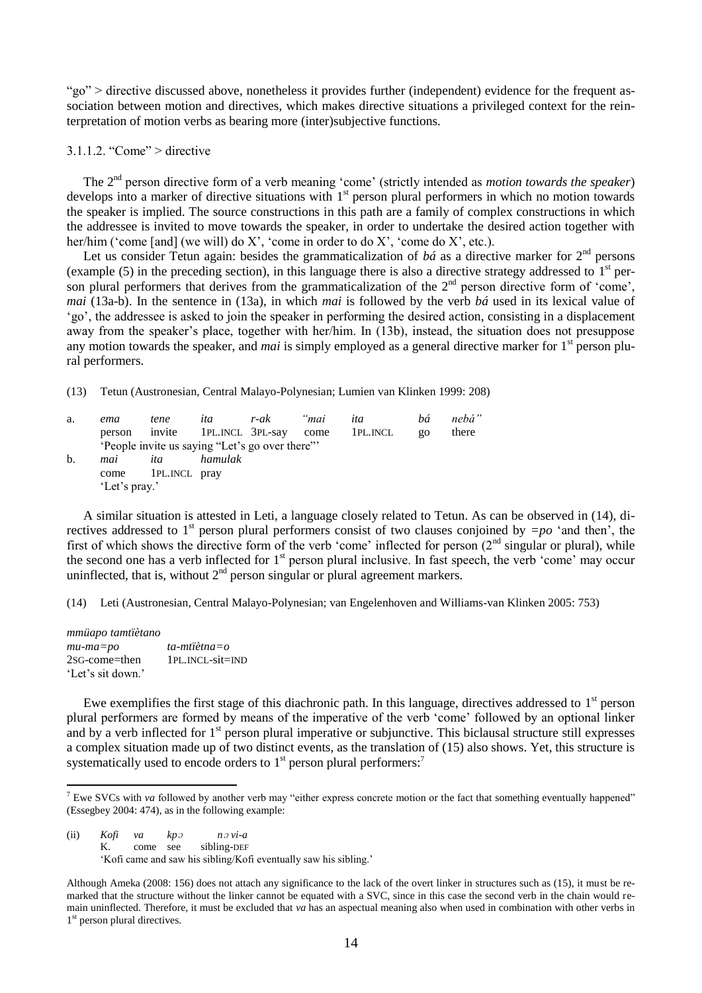"go" > directive discussed above, nonetheless it provides further (independent) evidence for the frequent association between motion and directives, which makes directive situations a privileged context for the reinterpretation of motion verbs as bearing more (inter)subjective functions.

 $3.1.1.2$  "Come" > directive

The 2<sup>nd</sup> person directive form of a verb meaning 'come' (strictly intended as *motion towards the speaker*) develops into a marker of directive situations with  $1<sup>st</sup>$  person plural performers in which no motion towards the speaker is implied. The source constructions in this path are a family of complex constructions in which the addressee is invited to move towards the speaker, in order to undertake the desired action together with her/him ('come [and] (we will) do X', 'come in order to do X', 'come do X', etc.).

Let us consider Tetun again: besides the grammaticalization of  $b\acute{a}$  as a directive marker for  $2<sup>nd</sup>$  persons (example  $(5)$  in the preceding section), in this language there is also a directive strategy addressed to  $1<sup>st</sup>$  person plural performers that derives from the grammaticalization of the  $2<sup>nd</sup>$  person directive form of 'come', *mai* (13a-b). In the sentence in (13a), in which *mai* is followed by the verb *bá* used in its lexical value of ‗go', the addressee is asked to join the speaker in performing the desired action, consisting in a displacement away from the speaker's place, together with her/him. In (13b), instead, the situation does not presuppose any motion towards the speaker, and *mai* is simply employed as a general directive marker for 1<sup>st</sup> person plural performers.

(13) Tetun (Austronesian, Central Malayo-Polynesian; Lumien van Klinken 1999: 208)

| a. | ema           | tene            | ita     | r-ak                                           | "mai | ita      | bá         | nebá" |
|----|---------------|-----------------|---------|------------------------------------------------|------|----------|------------|-------|
|    | person        |                 |         | invite 1PL. INCL 3PL-say come                  |      | 1pl.incl | $_{0}^{0}$ | there |
|    |               |                 |         | 'People invite us saying "Let's go over there" |      |          |            |       |
| b. | mai           | ita             | hamulak |                                                |      |          |            |       |
|    | come          | 1 PL. INCL pray |         |                                                |      |          |            |       |
|    | 'Let's pray.' |                 |         |                                                |      |          |            |       |

A similar situation is attested in Leti, a language closely related to Tetun. As can be observed in (14), directives addressed to 1<sup>st</sup> person plural performers consist of two clauses conjoined by  $=po$  'and then', the first of which shows the directive form of the verb 'come' inflected for person  $(2<sup>nd</sup>$  singular or plural), while the second one has a verb inflected for 1<sup>st</sup> person plural inclusive. In fast speech, the verb 'come' may occur uninflected, that is, without  $2<sup>nd</sup>$  person singular or plural agreement markers.

(14) Leti (Austronesian, Central Malayo-Polynesian; van Engelenhoven and Williams-van Klinken 2005: 753)

*mmüapo tamtïètano mu-ma=po ta-mtïètna=o*  2SG-come=then 1PL.INCL-sit=IND ‗Let's sit down.'

Ewe exemplifies the first stage of this diachronic path. In this language, directives addressed to 1<sup>st</sup> person plural performers are formed by means of the imperative of the verb ‗come' followed by an optional linker and by a verb inflected for 1<sup>st</sup> person plural imperative or subjunctive. This biclausal structure still expresses a complex situation made up of two distinct events, as the translation of (15) also shows. Yet, this structure is systematically used to encode orders to 1<sup>st</sup> person plural performers:<sup>7</sup>

(ii) *Kofi va kp*<sup>ɔ</sup> *n*<sup>ɔ</sup> *vi-a* K. come see sibling-DEF

1

‗Kofi came and saw his sibling/Kofi eventually saw his sibling.'

Although Ameka (2008: 156) does not attach any significance to the lack of the overt linker in structures such as (15), it must be remarked that the structure without the linker cannot be equated with a SVC, since in this case the second verb in the chain would remain uninflected. Therefore, it must be excluded that *va* has an aspectual meaning also when used in combination with other verbs in 1<sup>st</sup> person plural directives.

<sup>&</sup>lt;sup>7</sup> Ewe SVCs with *va* followed by another verb may "either express concrete motion or the fact that something eventually happened" (Essegbey 2004: 474), as in the following example: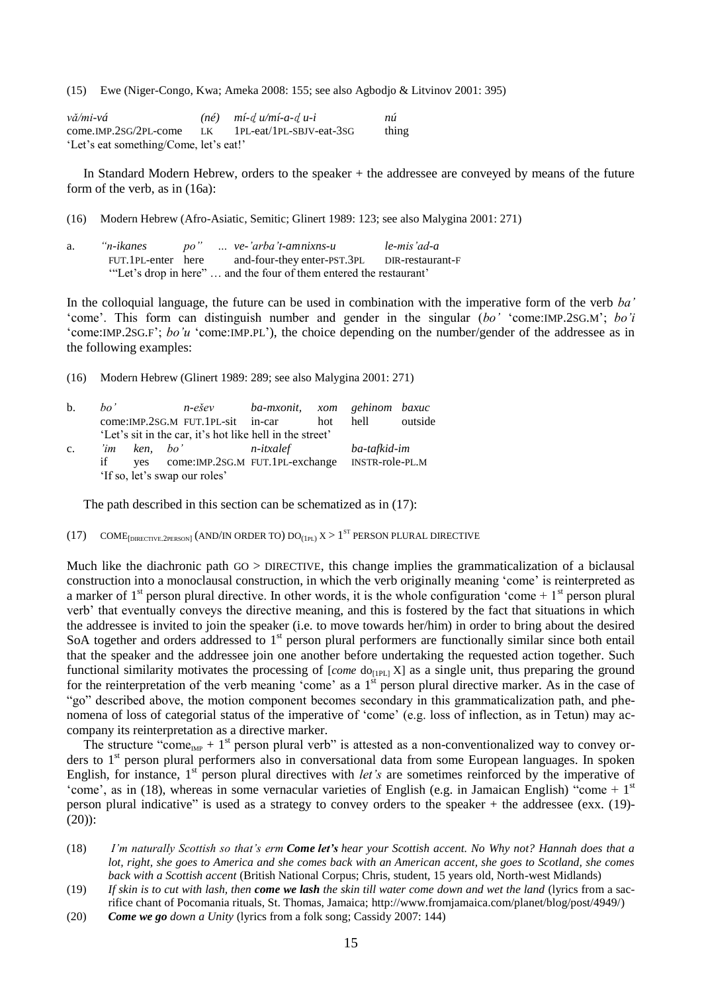(15) Ewe (Niger-Congo, Kwa; Ameka 2008: 155; see also Agbodjo & Litvinov 2001: 395)

| vă/mi-vá                               |    | $(n\acute{e})$ $m\acute{i}$ - $d\acute{u}/m\acute{i}$ - $a$ - $d\acute{u}$ - $i$ | nú    |
|----------------------------------------|----|----------------------------------------------------------------------------------|-------|
| come.IMP.2SG/2PL-come                  | LK | 1PL-eat/1PL-SBJV-eat-3SG                                                         | thing |
| 'Let's eat something/Come, let's eat!' |    |                                                                                  |       |

In Standard Modern Hebrew, orders to the speaker + the addressee are conveyed by means of the future form of the verb, as in (16a):

(16) Modern Hebrew (Afro-Asiatic, Semitic; Glinert 1989: 123; see also Malygina 2001: 271)

| a. | "n-ikanes          |  | po"  ve-'arba't-amnixns-u                                          | le-mis'ad-a      |
|----|--------------------|--|--------------------------------------------------------------------|------------------|
|    | FUT.1PL-enter here |  | and-four-they enter-PST.3PL                                        | DIR-restaurant-F |
|    |                    |  | "Let's drop in here"  and the four of them entered the restaurant" |                  |

In the colloquial language, the future can be used in combination with the imperative form of the verb *ba"* ‗come'. This form can distinguish number and gender in the singular (*bo"* ‗come:IMP.2SG.M'; *bo"i*  ‗come:IMP.2SG.F'; *bo"u* ‗come:IMP.PL'), the choice depending on the number/gender of the addressee as in the following examples:

(16) Modern Hebrew (Glinert 1989: 289; see also Malygina 2001: 271)

| $\mathbf{b}$ . | ho' |                               | n-ešev                                                   | ba-mxonit, xom gehinom baxuc |     |                 |         |  |
|----------------|-----|-------------------------------|----------------------------------------------------------|------------------------------|-----|-----------------|---------|--|
|                |     |                               | come: IMP.2SG.M FUT.1PL-sit in-car                       |                              | hot | hell            | outside |  |
|                |     |                               | 'Let's sit in the car, it's hot like hell in the street' |                              |     |                 |         |  |
| $\mathbf{c}$ . | 'im |                               | ken. bo'                                                 | n-itxalef                    |     | ba-tafkid-im    |         |  |
|                | if  |                               | yes come:IMP.2SG.M FUT.1PL-exchange                      |                              |     | INSTR-role-PL.M |         |  |
|                |     | 'If so, let's swap our roles' |                                                          |                              |     |                 |         |  |

The path described in this section can be schematized as in (17):

 $(17)$  COME<sub>[DIRECTIVE.2person]</sub> (AND/IN ORDER TO)  $DO_{(1PL)} X > 1$ <sup>ST</sup> PERSON PLURAL DIRECTIVE

Much like the diachronic path GO > DIRECTIVE, this change implies the grammaticalization of a biclausal construction into a monoclausal construction, in which the verb originally meaning ‗come' is reinterpreted as a marker of  $1<sup>st</sup>$  person plural directive. In other words, it is the whole configuration 'come +  $1<sup>st</sup>$  person plural verb' that eventually conveys the directive meaning, and this is fostered by the fact that situations in which the addressee is invited to join the speaker (i.e. to move towards her/him) in order to bring about the desired SoA together and orders addressed to 1<sup>st</sup> person plural performers are functionally similar since both entail that the speaker and the addressee join one another before undertaking the requested action together. Such functional similarity motivates the processing of [*come* do<sub>[1PL]</sub> X] as a single unit, thus preparing the ground for the reinterpretation of the verb meaning 'come' as a  $1<sup>st</sup>$  person plural directive marker. As in the case of "go" described above, the motion component becomes secondary in this grammaticalization path, and phenomena of loss of categorial status of the imperative of 'come' (e.g. loss of inflection, as in Tetun) may accompany its reinterpretation as a directive marker.

The structure "come<sub>IMP</sub> + 1<sup>st</sup> person plural verb" is attested as a non-conventionalized way to convey orders to 1<sup>st</sup> person plural performers also in conversational data from some European languages. In spoken English, for instance, 1<sup>st</sup> person plural directives with *let's* are sometimes reinforced by the imperative of 'come', as in (18), whereas in some vernacular varieties of English (e.g. in Jamaican English) "come + 1<sup>st</sup> person plural indicative" is used as a strategy to convey orders to the speaker  $+$  the addressee (exx. (19)-(20)):

- (18) *I"m naturally Scottish so that"s erm Come let's hear your Scottish accent. No Why not? Hannah does that a lot, right, she goes to America and she comes back with an American accent, she goes to Scotland, she comes back with a Scottish accent* (British National Corpus; Chris, student, 15 years old, North-west Midlands)
- (19) *If skin is to cut with lash, then come we lash the skin till water come down and wet the land* (lyrics from a sacrifice chant of Pocomania rituals, St. Thomas, Jamaica; http://www.fromjamaica.com/planet/blog/post/4949/)
- (20) *Come we go down a Unity* (lyrics from a folk song; Cassidy 2007: 144)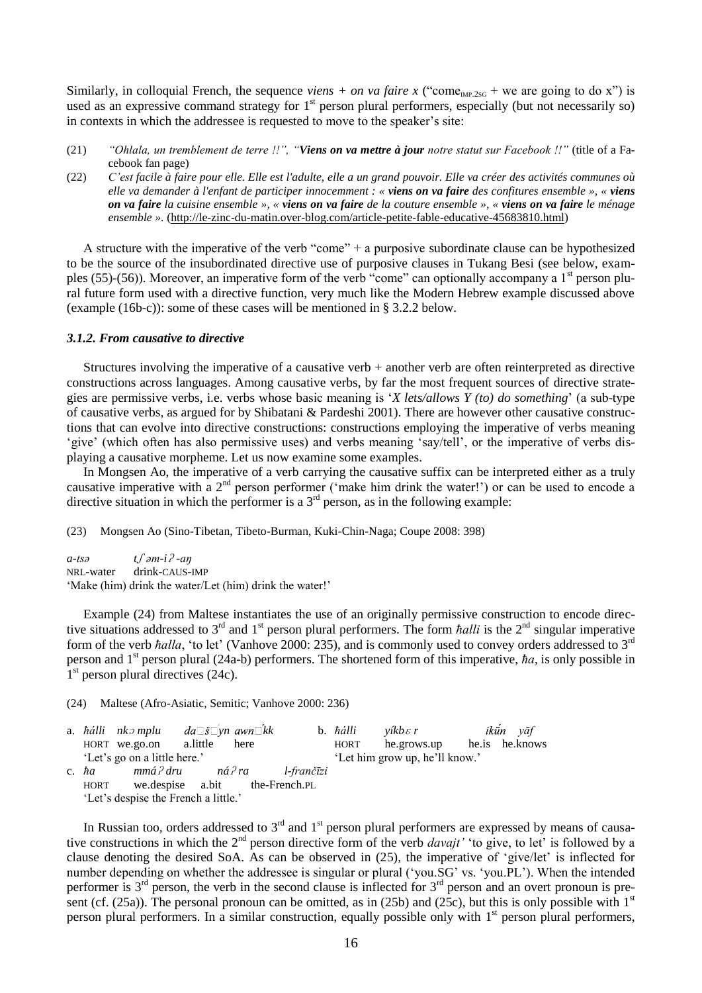Similarly, in colloquial French, the sequence *viens + on va faire x* ("come<sub>IMP.2SG</sub> + we are going to do x") is used as an expressive command strategy for 1<sup>st</sup> person plural performers, especially (but not necessarily so) in contexts in which the addressee is requested to move to the speaker's site:

- (21) *"Ohlala, un tremblement de terre !!", "Viens on va mettre à jour notre statut sur Facebook !!"* (title of a Facebook fan page)
- (22) C'est facile à faire pour elle. Elle est l'adulte, elle a un grand pouvoir. Elle va créer des activités communes où elle va demander à l'enfant de participer innocemment : « viens on va faire des confitures ensemble », « viens on va faire la cuisine ensemble », « viens on va faire de la couture ensemble », « viens on va faire le ménage *ensemble ».* [\(http://le-zinc-du-matin.over-blog.com/article-petite-fable-educative-45683810.html\)](http://le-zinc-du-matin.over-blog.com/article-petite-fable-educative-45683810.html)

A structure with the imperative of the verb "come" + a purposive subordinate clause can be hypothesized to be the source of the insubordinated directive use of purposive clauses in Tukang Besi (see below, examples (55)-(56)). Moreover, an imperative form of the verb "come" can optionally accompany a  $1<sup>st</sup>$  person plural future form used with a directive function, very much like the Modern Hebrew example discussed above (example (16b-c)): some of these cases will be mentioned in § 3.2.2 below.

# *3.1.2. From causative to directive*

Structures involving the imperative of a causative verb + another verb are often reinterpreted as directive constructions across languages. Among causative verbs, by far the most frequent sources of directive strategies are permissive verbs, i.e. verbs whose basic meaning is ‗*X lets/allows Y (to) do something*' (a sub-type of causative verbs, as argued for by Shibatani & Pardeshi 2001). There are however other causative constructions that can evolve into directive constructions: constructions employing the imperative of verbs meaning ‗give' (which often has also permissive uses) and verbs meaning ‗say/tell', or the imperative of verbs displaying a causative morpheme. Let us now examine some examples.

In Mongsen Ao, the imperative of a verb carrying the causative suffix can be interpreted either as a truly causative imperative with a  $2<sup>nd</sup>$  person performer ('make him drink the water!') or can be used to encode a directive situation in which the performer is a  $3<sup>rd</sup>$  person, as in the following example:

(23) Mongsen Ao (Sino-Tibetan, Tibeto-Burman, Kuki-Chin-Naga; Coupe 2008: 398)

*a-tsə t*ʃ *əm-i*ʔ *-aŋ* NRL-water drink-CAUS-IMP 'Make (him) drink the water/Let (him) drink the water!'

Example (24) from Maltese instantiates the use of an originally permissive construction to encode directive situations addressed to  $3<sup>rd</sup>$  and  $1<sup>st</sup>$  person plural performers. The form *ħalli* is the  $2<sup>nd</sup>$  singular imperative form of the verb *ħalla*, 'to let' (Vanhove 2000: 235), and is commonly used to convey orders addressed to 3<sup>rd</sup> person and 1<sup>st</sup> person plural (24a-b) performers. The shortened form of this imperative, *ha*, is only possible in 1<sup>st</sup> person plural directives (24c).

(24) Maltese (Afro-Asiatic, Semitic; Vanhove 2000: 236)

|                              | a. hálli nkomplu da $\exists \overline{s}$ vn awn $\exists k$ k |  |      |            |             | b. $\hbar \Delta$ alli yíkb $\epsilon$ r |  | ikūn vāf |
|------------------------------|-----------------------------------------------------------------|--|------|------------|-------------|------------------------------------------|--|----------|
|                              | HORT we.go.on a.little                                          |  | here |            | <b>HORT</b> | he.grows.up he.is he.knows               |  |          |
| 'Let's go on a little here.' |                                                                 |  |      |            |             | 'Let him grow up, he'll know.'           |  |          |
| c. $\hbar a$                 | mmá?dru ná?ra                                                   |  |      | l-frančīzi |             |                                          |  |          |
| HORT                         | we.despise a.bit the-French.PL                                  |  |      |            |             |                                          |  |          |
|                              | 'Let's despise the French a little.'                            |  |      |            |             |                                          |  |          |

In Russian too, orders addressed to  $3<sup>rd</sup>$  and  $1<sup>st</sup>$  person plural performers are expressed by means of causative constructions in which the 2<sup>nd</sup> person directive form of the verb *davajt'* 'to give, to let' is followed by a clause denoting the desired SoA. As can be observed in (25), the imperative of ‗give/let' is inflected for number depending on whether the addressee is singular or plural ('you.SG' vs. 'you.PL'). When the intended performer is  $3^{rd}$  person, the verb in the second clause is inflected for  $3^{rd}$  person and an overt pronoun is present (cf.  $(25a)$ ). The personal pronoun can be omitted, as in (25b) and (25c), but this is only possible with  $1<sup>st</sup>$ person plural performers. In a similar construction, equally possible only with 1<sup>st</sup> person plural performers,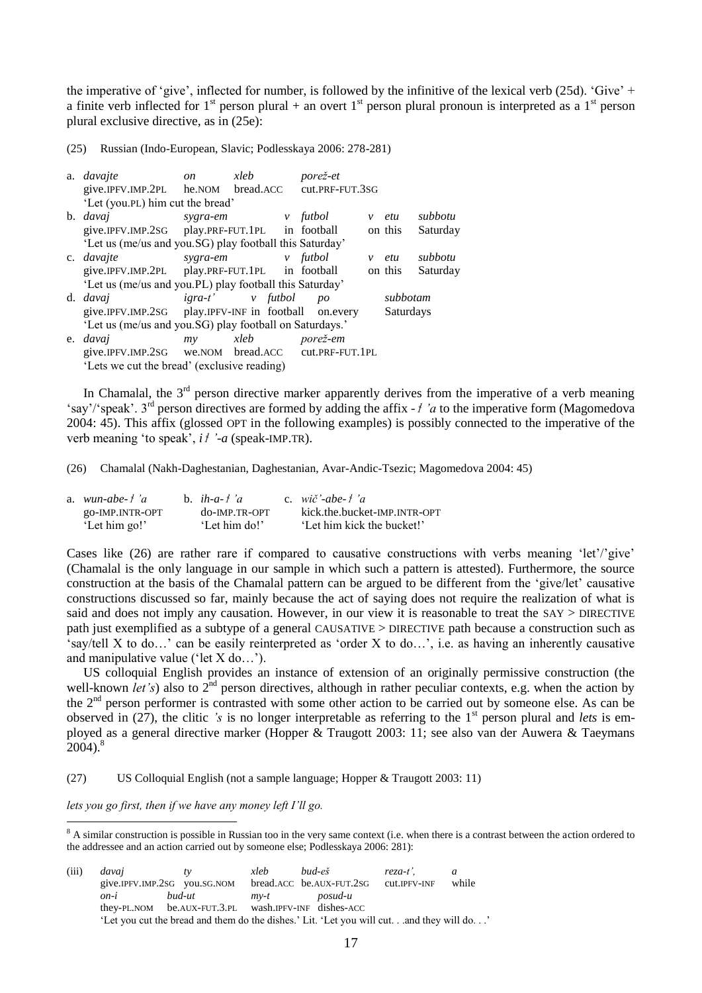the imperative of 'give', inflected for number, is followed by the infinitive of the lexical verb (25d). 'Give' + a finite verb inflected for  $1<sup>st</sup>$  person plural + an overt  $1<sup>st</sup>$  person plural pronoun is interpreted as a  $1<sup>st</sup>$  person plural exclusive directive, as in (25e):

(25) Russian (Indo-European, Slavic; Podlesskaya 2006: 278-281)

| a. <i>davajte</i>                                       | <i>on</i> | xleb              | porež-et        |           |          |
|---------------------------------------------------------|-----------|-------------------|-----------------|-----------|----------|
| give.IPFV.IMP.2PL he.NOM bread.ACC                      |           |                   | cut.PRF-FUT.3SG |           |          |
| 'Let (you.PL) him cut the bread'                        |           |                   |                 |           |          |
| b. <i>davaj</i>                                         | sygra-em  | <i>v</i> futbol   |                 | $v$ etu   | subbotu  |
| give.IPFV.IMP.2SG play.PRF-FUT.1PL in football          |           |                   |                 | on this   | Saturday |
| 'Let us (me/us and you.SG) play football this Saturday' |           |                   |                 |           |          |
| c. <i>davajte</i>                                       |           | sygra-em v futbol |                 | v etu     | subbotu  |
| give.IPFV.IMP.2PL play.PRF-FUT.1PL in football          |           |                   |                 | on this   | Saturday |
| 'Let us (me/us and you.PL) play football this Saturday' |           |                   |                 |           |          |
| d. <i>davaj</i>                                         |           | igra-t' v futbol  | po              | subbotam  |          |
| give.IPFV.IMP.2SG play.IPFV-INF in football on.every    |           |                   |                 | Saturdays |          |
| 'Let us (me/us and you.SG) play football on Saturdays.' |           |                   |                 |           |          |
| e. <i>davaj</i>                                         | my        | xleb              | porež-em        |           |          |
| give.IPFV.IMP.2sG we.NOM bread.ACC cut.PRF-FUT.1PL      |           |                   |                 |           |          |
| 'Lets we cut the bread' (exclusive reading)             |           |                   |                 |           |          |

In Chamalal, the  $3<sup>rd</sup>$  person directive marker apparently derives from the imperative of a verb meaning ‗say'/‗speak'. 3rd person directives are formed by adding the affix *-*<sup>ɬ</sup> *"a* to the imperative form (Magomedova 2004: 45). This affix (glossed OPT in the following examples) is possibly connected to the imperative of the verb meaning ‗to speak', *i*ɬ *"-a* (speak-IMP.TR).

(26) Chamalal (Nakh-Daghestanian, Daghestanian, Avar-Andic-Tsezic; Magomedova 2004: 45)

| a. $wun \text{-}abe \text{-} f'a$ | b. $ih-a-f'a$ | c. $wi\check{c}'$ -abe- $f'a$ |
|-----------------------------------|---------------|-------------------------------|
| go-IMP.INTR-OPT                   | do-IMP.TR-OPT | kick.the.bucket-IMP.INTR-OPT  |
| 'Let him go!'                     | 'Let him do!' | 'Let him kick the bucket!'    |

Cases like (26) are rather rare if compared to causative constructions with verbs meaning 'let'/'give' (Chamalal is the only language in our sample in which such a pattern is attested). Furthermore, the source construction at the basis of the Chamalal pattern can be argued to be different from the ‗give/let' causative constructions discussed so far, mainly because the act of saying does not require the realization of what is said and does not imply any causation. However, in our view it is reasonable to treat the SAY > DIRECTIVE path just exemplified as a subtype of a general CAUSATIVE > DIRECTIVE path because a construction such as  $\epsilon$ say/tell X to do...' can be easily reinterpreted as 'order X to do...', i.e. as having an inherently causative and manipulative value ( $\text{let } X \text{ do} \dots$ ).

US colloquial English provides an instance of extension of an originally permissive construction (the well-known *let's*) also to  $2^{nd}$  person directives, although in rather peculiar contexts, e.g. when the action by the 2<sup>nd</sup> person performer is contrasted with some other action to be carried out by someone else. As can be observed in (27), the clitic *'s* is no longer interpretable as referring to the 1<sup>st</sup> person plural and *lets* is employed as a general directive marker (Hopper & Traugott 2003: 11; see also van der Auwera & Taeymans  $2004$ ).<sup>8</sup>

(27) US Colloquial English (not a sample language; Hopper & Traugott 2003: 11)

*lets you go first, then if we have any money left I"ll go.*

<u>.</u>

 $8$  A similar construction is possible in Russian too in the very same context (i.e. when there is a contrast between the action ordered to the addressee and an action carried out by someone else; Podlesskaya 2006: 281):

| (iii) | davai             | $t\nu$                                                                                  | xleb   | bud-eš                   | reza-t'.            |       |
|-------|-------------------|-----------------------------------------------------------------------------------------|--------|--------------------------|---------------------|-------|
|       |                   | give.IPFV.IMP.2sG you.sG.NOM                                                            |        | bread.ACC be.AUX-FUT.2SG | <b>CUL.IPFV-INF</b> | while |
|       | $\overline{on-i}$ | bud-ut                                                                                  | $mv-t$ | posud-u                  |                     |       |
|       |                   | they-PL.NOM be.AUX-FUT.3.PL wash.IPFV-INF dishes-ACC                                    |        |                          |                     |       |
|       |                   | Let you cut the bread and them do the dishes.' Lit. 'Let you will cut and they will do' |        |                          |                     |       |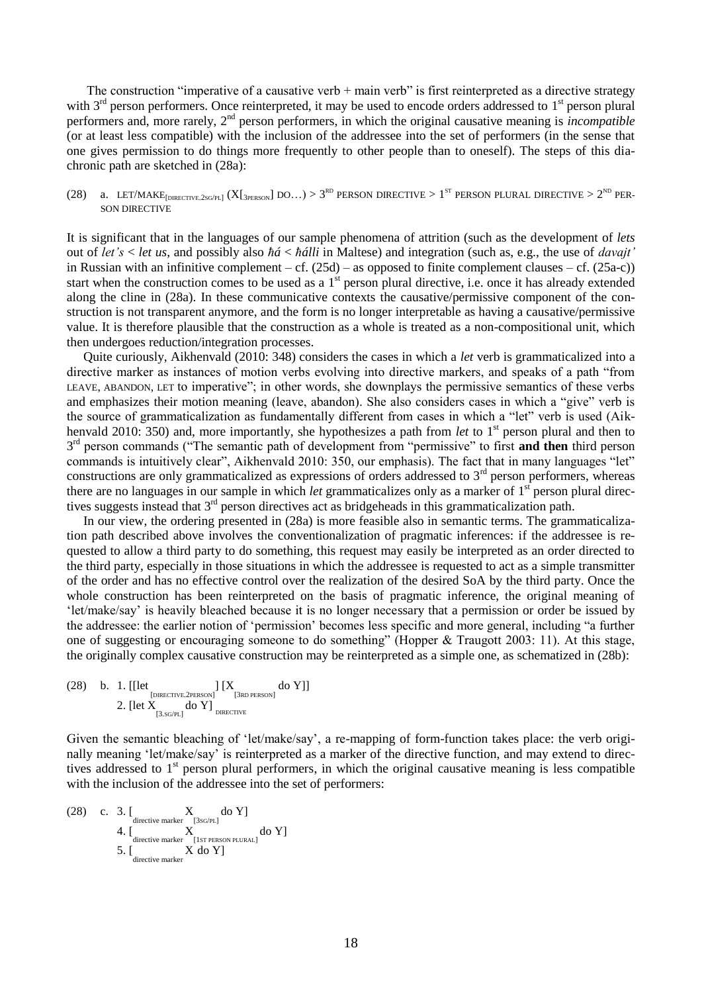The construction "imperative of a causative verb  $+$  main verb" is first reinterpreted as a directive strategy with  $3<sup>rd</sup>$  person performers. Once reinterpreted, it may be used to encode orders addressed to  $1<sup>st</sup>$  person plural performers and, more rarely, 2nd person performers, in which the original causative meaning is *incompatible* (or at least less compatible) with the inclusion of the addressee into the set of performers (in the sense that one gives permission to do things more frequently to other people than to oneself). The steps of this diachronic path are sketched in (28a):

## (28) a. LET/MAKE<sub>[DIRECTIVE.2SG/PL]</sub> (X[<sub>3PERSON</sub>] DO…) > 3<sup>rd</sup> PERSON DIRECTIVE > 1<sup>st</sup> PERSON PLURAL DIRECTIVE > 2<sup>nd</sup> PER-SON DIRECTIVE

It is significant that in the languages of our sample phenomena of attrition (such as the development of *lets* out of *let"s* < *let us*, and possibly also *ħá* < *ħálli* in Maltese) and integration (such as, e.g., the use of *davajt"*  in Russian with an infinitive complement – cf.  $(25d)$  – as opposed to finite complement clauses – cf.  $(25a-c)$ ) start when the construction comes to be used as a  $1<sup>st</sup>$  person plural directive, i.e. once it has already extended along the cline in (28a). In these communicative contexts the causative/permissive component of the construction is not transparent anymore, and the form is no longer interpretable as having a causative/permissive value. It is therefore plausible that the construction as a whole is treated as a non-compositional unit, which then undergoes reduction/integration processes.

Quite curiously, Aikhenvald (2010: 348) considers the cases in which a *let* verb is grammaticalized into a directive marker as instances of motion verbs evolving into directive markers, and speaks of a path "from LEAVE, ABANDON, LET to imperative"; in other words, she downplays the permissive semantics of these verbs and emphasizes their motion meaning (leave, abandon). She also considers cases in which a "give" verb is the source of grammaticalization as fundamentally different from cases in which a "let" verb is used (Aikhenvald 2010: 350) and, more importantly, she hypothesizes a path from *let* to 1<sup>st</sup> person plural and then to 3<sup>rd</sup> person commands ("The semantic path of development from "permissive" to first and then third person commands is intuitively clear", Aikhenvald 2010: 350, our emphasis). The fact that in many languages "let" constructions are only grammaticalized as expressions of orders addressed to 3<sup>rd</sup> person performers, whereas there are no languages in our sample in which *let* grammaticalizes only as a marker of 1<sup>st</sup> person plural directives suggests instead that 3<sup>rd</sup> person directives act as bridgeheads in this grammaticalization path.

In our view, the ordering presented in (28a) is more feasible also in semantic terms. The grammaticalization path described above involves the conventionalization of pragmatic inferences: if the addressee is requested to allow a third party to do something, this request may easily be interpreted as an order directed to the third party, especially in those situations in which the addressee is requested to act as a simple transmitter of the order and has no effective control over the realization of the desired SoA by the third party. Once the whole construction has been reinterpreted on the basis of pragmatic inference, the original meaning of ‗let/make/say' is heavily bleached because it is no longer necessary that a permission or order be issued by the addressee: the earlier notion of 'permission' becomes less specific and more general, including "a further one of suggesting or encouraging someone to do something" (Hopper  $&$  Traugott 2003: 11). At this stage, the originally complex causative construction may be reinterpreted as a simple one, as schematized in (28b):

$$
\begin{array}{ll} \text{(28)} & b. & \text{1. [[let} & \text{[{DIRECTIVE}.2PERSON]} & \text{[X}_{\text{[3RD PERSON]}} & \text{do Y}]]\\ & & \\ & 2. & \text{[let X}_{\text{[3.SG/PL]}} & \text{do Y}]_{\text{DIRECTIVE}} \end{array}
$$

Given the semantic bleaching of 'let/make/say', a re-mapping of form-function takes place: the verb originally meaning 'let/make/say' is reinterpreted as a marker of the directive function, and may extend to directives addressed to  $1<sup>st</sup>$  person plural performers, in which the original causative meaning is less compatible with the inclusion of the addressee into the set of performers:

(28) c. 3. 
$$
\left[\begin{array}{cc} X & \text{dof } Y \\ 4. & \text{ 1} \\ 4. & \text{ 1} \\ 5. & \text{ 1} \\ \text{ 2} \\ \text{ 3} \\ \text{ 4} \end{array}\right]
$$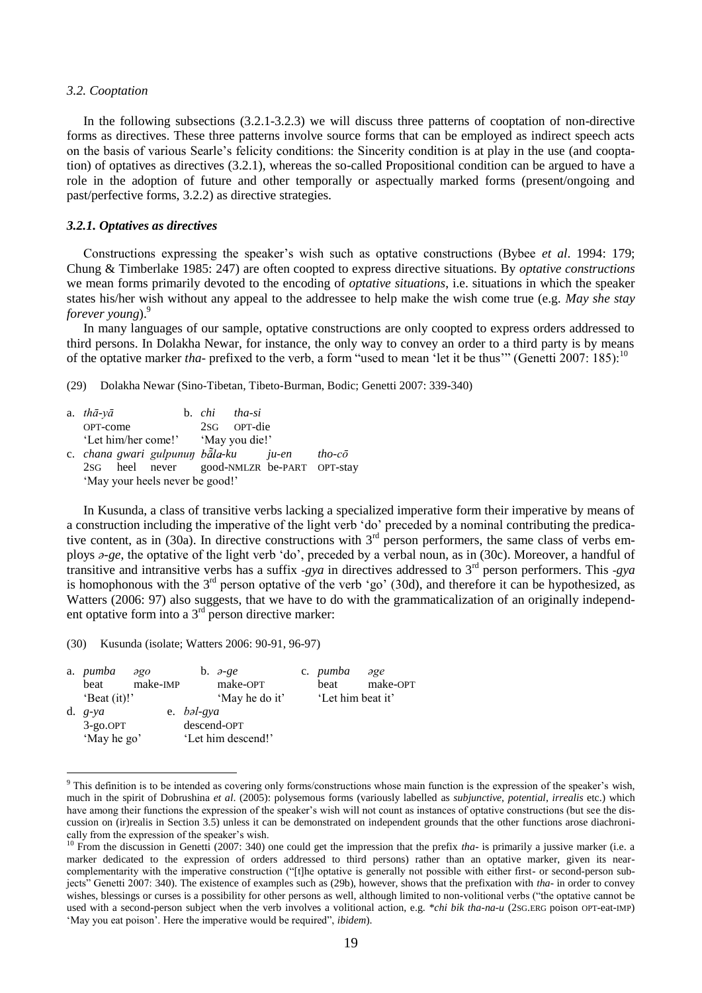#### *3.2. Cooptation*

In the following subsections (3.2.1-3.2.3) we will discuss three patterns of cooptation of non-directive forms as directives. These three patterns involve source forms that can be employed as indirect speech acts on the basis of various Searle's felicity conditions: the Sincerity condition is at play in the use (and cooptation) of optatives as directives (3.2.1), whereas the so-called Propositional condition can be argued to have a role in the adoption of future and other temporally or aspectually marked forms (present/ongoing and past/perfective forms, 3.2.2) as directive strategies.

# *3.2.1. Optatives as directives*

Constructions expressing the speaker's wish such as optative constructions (Bybee *et al*. 1994: 179; Chung & Timberlake 1985: 247) are often coopted to express directive situations. By *optative constructions*  we mean forms primarily devoted to the encoding of *optative situations*, i.e. situations in which the speaker states his/her wish without any appeal to the addressee to help make the wish come true (e.g. *May she stay forever young*).<sup>9</sup>

In many languages of our sample, optative constructions are only coopted to express orders addressed to third persons. In Dolakha Newar, for instance, the only way to convey an order to a third party is by means of the optative marker *tha*- prefixed to the verb, a form "used to mean 'let it be thus'" (Genetti 2007: 185):<sup>10</sup>

(29) Dolakha Newar (Sino-Tibetan, Tibeto-Burman, Bodic; Genetti 2007: 339-340)

| a. $th\bar{a}$ -y $\bar{a}$                |  | b. <i>chi</i> tha-si |        |
|--------------------------------------------|--|----------------------|--------|
| OPT-come                                   |  | 2sG OPT-die          |        |
| 'Let him/her come!' 'May you die!'         |  |                      |        |
| c. chana gwari gulpunun bāla-ku ju-en      |  |                      | tho-cō |
| 2sG heel never good-NMLZR be-PART OPT-stay |  |                      |        |
| 'May your heels never be good!'            |  |                      |        |

In Kusunda, a class of transitive verbs lacking a specialized imperative form their imperative by means of a construction including the imperative of the light verb 'do' preceded by a nominal contributing the predicative content, as in (30a). In directive constructions with  $3<sup>rd</sup>$  person performers, the same class of verbs employs *a-ge*, the optative of the light verb 'do', preceded by a verbal noun, as in (30c). Moreover, a handful of transitive and intransitive verbs has a suffix *-gya* in directives addressed to  $3^{rd}$  person performers. This *-gya* is homophonous with the  $3<sup>rd</sup>$  person optative of the verb 'go' (30d), and therefore it can be hypothesized, as Watters (2006: 97) also suggests, that we have to do with the grammaticalization of an originally independent optative form into a  $3<sup>rd</sup>$  person directive marker:

(30) Kusunda (isolate; Watters 2006: 90-91, 96-97)

1

| a. <i>pumba</i>        | $\partial \mathcal{Q}$ | b. $\partial$ -ge  | c. pumba          | $\partial \mathfrak{g} e$ |
|------------------------|------------------------|--------------------|-------------------|---------------------------|
| beat                   | make-IMP               | make-OPT           | beat              | make-OPT                  |
| 'Beat $(it)$ !'        |                        | 'May he do it'     | 'Let him beat it' |                           |
| d. $g-ya$              |                        | e. bəl-gya         |                   |                           |
| $3-g$ <sub>O.OPT</sub> |                        | descend-OPT        |                   |                           |
| 'May he go'            |                        | 'Let him descend!' |                   |                           |

<sup>&</sup>lt;sup>9</sup> This definition is to be intended as covering only forms/constructions whose main function is the expression of the speaker's wish, much in the spirit of Dobrushina *et al*. (2005): polysemous forms (variously labelled as *subjunctive*, *potential*, *irrealis* etc.) which have among their functions the expression of the speaker's wish will not count as instances of optative constructions (but see the discussion on (ir)realis in Section 3.5) unless it can be demonstrated on independent grounds that the other functions arose diachronically from the expression of the speaker's wish.

<sup>&</sup>lt;sup>10</sup> From the discussion in Genetti (2007: 340) one could get the impression that the prefix *tha*- is primarily a jussive marker (i.e. a marker dedicated to the expression of orders addressed to third persons) rather than an optative marker, given its nearcomplementarity with the imperative construction ("[t]he optative is generally not possible with either first- or second-person subjects<sup></sup> Genetti 2007: 340). The existence of examples such as (29b), however, shows that the prefixation with *tha*- in order to convey wishes, blessings or curses is a possibility for other persons as well, although limited to non-volitional verbs ("the optative cannot be used with a second-person subject when the verb involves a volitional action, e.g. \**chi bik tha-na-u* (2SG.ERG poison OPT-eat-IMP) 'May you eat poison'. Here the imperative would be required", *ibidem*).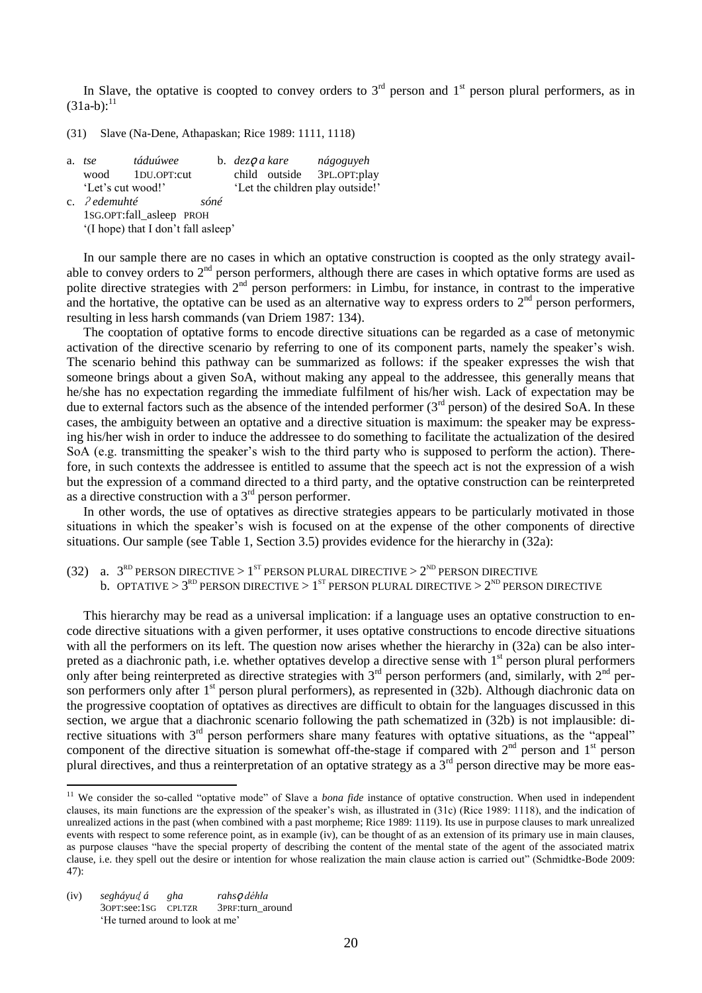In Slave, the optative is coopted to convey orders to  $3<sup>rd</sup>$  person and  $1<sup>st</sup>$  person plural performers, as in  $(31a-b)$ :<sup>11</sup>

(31) Slave (Na-Dene, Athapaskan; Rice 1989: 1111, 1118)

| a. | tse                | táduúwee                            |      | b. dez <b>O</b> a kare           |               | nágoguyeh    |  |  |
|----|--------------------|-------------------------------------|------|----------------------------------|---------------|--------------|--|--|
|    | wood               | 1DU.OPT:cut                         |      |                                  | child outside | 3PL.OPT:play |  |  |
|    | 'Let's cut wood!'  |                                     |      | 'Let the children play outside!' |               |              |  |  |
|    | c. $\ell$ edemuhté |                                     | sóné |                                  |               |              |  |  |
|    |                    | 1SG.OPT:fall_asleep PROH            |      |                                  |               |              |  |  |
|    |                    | '(I hope) that I don't fall asleep' |      |                                  |               |              |  |  |

In our sample there are no cases in which an optative construction is coopted as the only strategy available to convey orders to  $2<sup>nd</sup>$  person performers, although there are cases in which optative forms are used as polite directive strategies with 2<sup>nd</sup> person performers: in Limbu, for instance, in contrast to the imperative and the hortative, the optative can be used as an alternative way to express orders to  $2<sup>nd</sup>$  person performers, resulting in less harsh commands (van Driem 1987: 134).

The cooptation of optative forms to encode directive situations can be regarded as a case of metonymic activation of the directive scenario by referring to one of its component parts, namely the speaker's wish. The scenario behind this pathway can be summarized as follows: if the speaker expresses the wish that someone brings about a given SoA, without making any appeal to the addressee, this generally means that he/she has no expectation regarding the immediate fulfilment of his/her wish. Lack of expectation may be due to external factors such as the absence of the intended performer  $(3<sup>rd</sup>$  person) of the desired SoA. In these cases, the ambiguity between an optative and a directive situation is maximum: the speaker may be expressing his/her wish in order to induce the addressee to do something to facilitate the actualization of the desired SoA (e.g. transmitting the speaker's wish to the third party who is supposed to perform the action). Therefore, in such contexts the addressee is entitled to assume that the speech act is not the expression of a wish but the expression of a command directed to a third party, and the optative construction can be reinterpreted as a directive construction with a  $3<sup>rd</sup>$  person performer.

In other words, the use of optatives as directive strategies appears to be particularly motivated in those situations in which the speaker's wish is focused on at the expense of the other components of directive situations. Our sample (see Table 1, Section 3.5) provides evidence for the hierarchy in (32a):

(32) a.  $3^{RD}$  PERSON DIRECTIVE >  $1^{ST}$  PERSON PLURAL DIRECTIVE >  $2^{ND}$  PERSON DIRECTIVE b. OPTATIVE  $>3^\text{\tiny RD}$  PERSON DIRECTIVE  $>1^\text{\tiny ST}$  PERSON PLURAL DIRECTIVE  $>2^\text{\tiny ND}$  PERSON DIRECTIVE

This hierarchy may be read as a universal implication: if a language uses an optative construction to encode directive situations with a given performer, it uses optative constructions to encode directive situations with all the performers on its left. The question now arises whether the hierarchy in (32a) can be also interpreted as a diachronic path, i.e. whether optatives develop a directive sense with 1<sup>st</sup> person plural performers only after being reinterpreted as directive strategies with  $3<sup>rd</sup>$  person performers (and, similarly, with  $2<sup>nd</sup>$  person performers only after 1<sup>st</sup> person plural performers), as represented in (32b). Although diachronic data on the progressive cooptation of optatives as directives are difficult to obtain for the languages discussed in this section, we argue that a diachronic scenario following the path schematized in (32b) is not implausible: directive situations with  $3<sup>rd</sup>$  person performers share many features with optative situations, as the "appeal" component of the directive situation is somewhat off-the-stage if compared with  $2<sup>nd</sup>$  person and  $1<sup>st</sup>$  person plural directives, and thus a reinterpretation of an optative strategy as a  $\hat{3}^{rd}$  person directive may be more eas-

1

<sup>&</sup>lt;sup>11</sup> We consider the so-called "optative mode" of Slave a *bona fide* instance of optative construction. When used in independent clauses, its main functions are the expression of the speaker's wish, as illustrated in (31c) (Rice 1989: 1118), and the indication of unrealized actions in the past (when combined with a past morpheme; Rice 1989: 1119). Its use in purpose clauses to mark unrealized events with respect to some reference point, as in example (iv), can be thought of as an extension of its primary use in main clauses, as purpose clauses "have the special property of describing the content of the mental state of the agent of the associated matrix clause, i.e. they spell out the desire or intention for whose realization the main clause action is carried out" (Schmidtke-Bode 2009: 47):

<sup>(</sup>iv) *segháyu*ɖ *á gha rahs*ǫ *déhła* 3OPT:see:1SG CPLTZR ‗He turned around to look at me'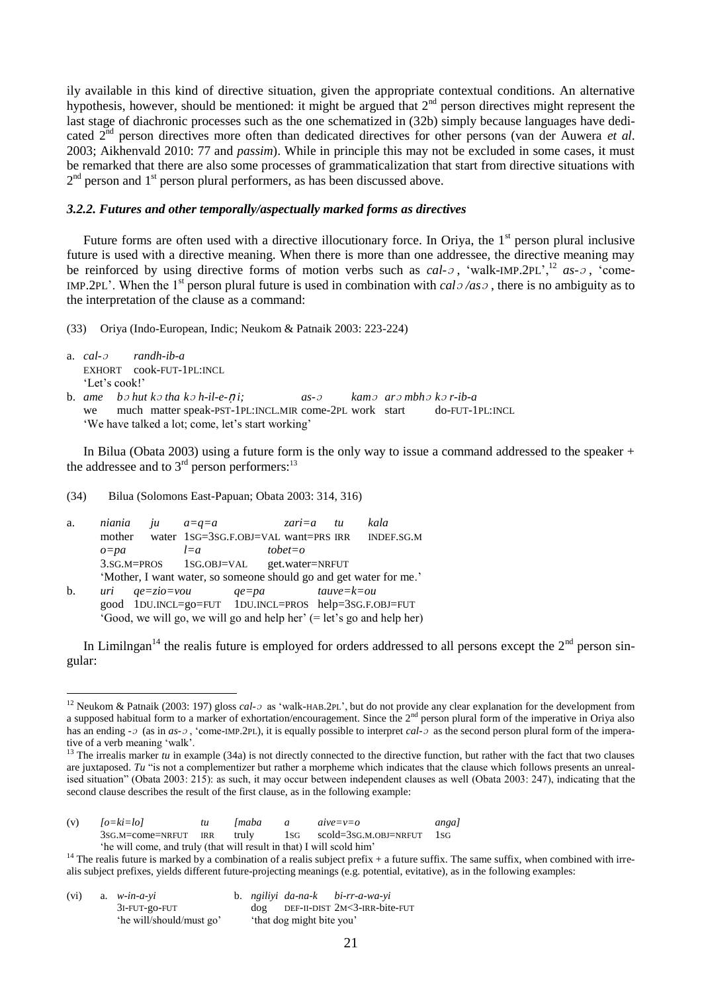ily available in this kind of directive situation, given the appropriate contextual conditions. An alternative hypothesis, however, should be mentioned: it might be argued that  $2<sup>nd</sup>$  person directives might represent the last stage of diachronic processes such as the one schematized in (32b) simply because languages have dedicated 2nd person directives more often than dedicated directives for other persons (van der Auwera *et al*. 2003; Aikhenvald 2010: 77 and *passim*). While in principle this may not be excluded in some cases, it must be remarked that there are also some processes of grammaticalization that start from directive situations with  $2<sup>nd</sup>$  person and  $1<sup>st</sup>$  person plural performers, as has been discussed above.

# *3.2.2. Futures and other temporally/aspectually marked forms as directives*

Future forms are often used with a directive illocutionary force. In Oriva, the 1<sup>st</sup> person plural inclusive future is used with a directive meaning. When there is more than one addressee, the directive meaning may be reinforced by using directive forms of motion verbs such as *cal-* $\sigma$ , 'walk-IMP.2PL',<sup>12</sup> as- $\sigma$ , 'come-IMP.2PL'. When the 1<sup>st</sup> person plural future is used in combination with  $cal\{o}$  */as* $\circ$ , there is no ambiguity as to the interpretation of the clause as a command:

(33) Oriya (Indo-European, Indic; Neukom & Patnaik 2003: 223-224)

a. *cal-*<sup>ɔ</sup> *randh-ib-a* EXHORT cook-FUT-1PL:INCL ‗Let's cook!'

<u>.</u>

b. *ame b*<sup>ɔ</sup> *hut k*<sup>ɔ</sup> *tha k*<sup>ɔ</sup> *h-il-e-*ṇ *i; as-*<sup>ɔ</sup> *kam*<sup>ɔ</sup> *ar*<sup>ɔ</sup> *mbh*<sup>ɔ</sup> *k*<sup>ɔ</sup> *r-ib-a* we much matter speak-PST-1PL:INCL.MIR come-2PL work start do-FUT-1PL:INCL ‗We have talked a lot; come, let's start working'

In Bilua (Obata 2003) using a future form is the only way to issue a command addressed to the speaker + the addressee and to  $3<sup>rd</sup>$  person performers:<sup>13</sup>

(34) Bilua (Solomons East-Papuan; Obata 2003: 314, 316)

| a. | niania   | ju                          | $a = a = a$                             |           | zari $=a$    | tи             | kala                                                                  |
|----|----------|-----------------------------|-----------------------------------------|-----------|--------------|----------------|-----------------------------------------------------------------------|
|    | mother   |                             | water 1SG=3SG.F.OBJ=VAL want=PRS IRR    |           |              |                | INDEF.SG.M                                                            |
|    | $o = pa$ |                             | $l = a$                                 |           | $to bet = o$ |                |                                                                       |
|    |          |                             | 3.SG.M=PROS 1SG.OBJ=VAL get.water=NRFUT |           |              |                |                                                                       |
|    |          |                             |                                         |           |              |                | 'Mother, I want water, so someone should go and get water for me.'    |
| b. |          | $uri \qquad qe = zio = vou$ |                                         | $qe = pa$ |              | $tau = k = ou$ |                                                                       |
|    |          |                             |                                         |           |              |                | good 1DU.INCL=go=FUT 1DU.INCL=PROS help=3SG.F.OBJ=FUT                 |
|    |          |                             |                                         |           |              |                | 'Good, we will go, we will go and help her' (= let's go and help her) |

In Limilngan<sup>14</sup> the realis future is employed for orders addressed to all persons except the  $2<sup>nd</sup>$  person singular:

<sup>&</sup>lt;sup>13</sup> The irrealis marker  $tu$  in example (34a) is not directly connected to the directive function, but rather with the fact that two clauses are juxtaposed. Tu "is not a complementizer but rather a morpheme which indicates that the clause which follows presents an unrealised situation" (Obata 2003: 215): as such, it may occur between independent clauses as well (Obata 2003: 247), indicating that the second clause describes the result of the first clause, as in the following example:

| (v) | $[o=ki=lo]$            |            | <i>Imaba</i> | $a$ <i>ve</i> = $v=$ o | angal |  |
|-----|------------------------|------------|--------------|------------------------|-------|--|
|     | $3sG.M = come = NRFUT$ | <b>IRR</b> | truly        | scold=3sg.m.obj=nrfut  | - 1sg |  |

'he will come, and truly (that will result in that) I will scold him'

<sup>&</sup>lt;sup>14</sup> The realis future is marked by a combination of a realis subject prefix  $+$  a future suffix. The same suffix, when combined with irrealis subject prefixes, yields different future-projecting meanings (e.g. potential, evitative), as in the following examples:

| (vi) | a. $w$ -in-a-yi          |  |                           | b. ngiliyi da-na-k bi-rr-a-wa-yi         |
|------|--------------------------|--|---------------------------|------------------------------------------|
|      | 3I-FUT-go-FUT            |  |                           | $dog$ DEF-II-DIST $2M < 3$ -IRR-bite-FUT |
|      | 'he will/should/must go' |  | 'that dog might bite you' |                                          |

<sup>&</sup>lt;sup>12</sup> Neukom & Patnaik (2003: 197) gloss *cal-*<sub>2</sub> as 'walk-HAB.2PL', but do not provide any clear explanation for the development from a supposed habitual form to a marker of exhortation/encouragement. Since the  $2<sup>nd</sup>$  person plural form of the imperative in Oriya also has an ending  $\text{-} \circ$  (as in *as*- $\text{-} \circ$ , 'come-IMP.2PL), it is equally possible to interpret *cal*- $\text{-} \circ$  as the second person plural form of the imperative of a verb meaning 'walk'.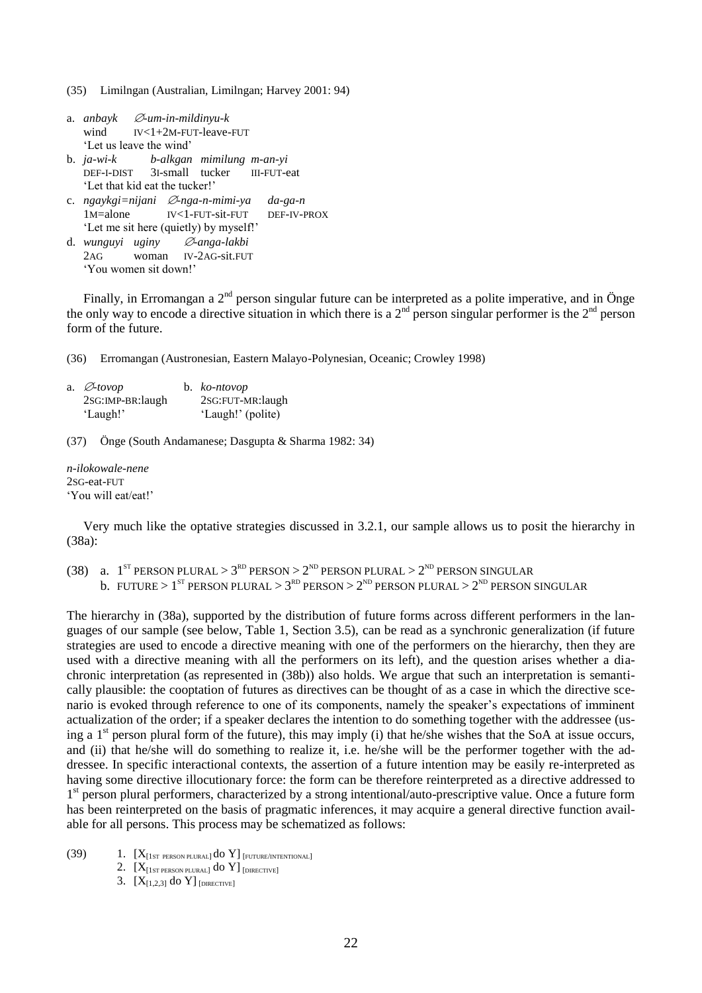(35) Limilngan (Australian, Limilngan; Harvey 2001: 94)

| a. <i>anbayk</i> | $\varnothing$ -um-in-mildinyu-k |
|------------------|---------------------------------|
| wind             | $IV < 1+2M$ -FUT-leave-FUT      |
|                  | 'Let us leave the wind'         |

- b. *ja-wi-k b-alkgan mimilung m-an-yi* DEF-I-DIST 3I-small tucker III-FUT-eat 'Let that kid eat the tucker!'
- c. *ngaykgi=nijani*  $\emptyset$ *-nga-n-mimi-ya da-ga-n* 1M=alone IV<1-FUT-sit-FUT DEF-IV-PROX ‗Let me sit here (quietly) by myself!'
- d. *wunguyi uginy -anga-lakbi* 2AG woman IV-2AG-sit.FUT ‗You women sit down!'

Finally, in Erromangan a  $2<sup>nd</sup>$  person singular future can be interpreted as a polite imperative, and in Önge the only way to encode a directive situation in which there is a  $2<sup>nd</sup>$  person singular performer is the  $2<sup>nd</sup>$  person form of the future.

(36) Erromangan (Austronesian, Eastern Malayo-Polynesian, Oceanic; Crowley 1998)

| a. $\varnothing$ -tovop | b. $ko-ntovop$    |
|-------------------------|-------------------|
| 2SG:IMP-BR:laugh        | 2SG:FUT-MR:laugh  |
| 'Laugh!'                | 'Laugh!' (polite) |

(37) Önge (South Andamanese; Dasgupta & Sharma 1982: 34)

*n-ilokowale-nene* 2SG-eat-FUT ‗You will eat/eat!'

Very much like the optative strategies discussed in 3.2.1, our sample allows us to posit the hierarchy in (38a):

(38) a. 1<sup>st</sup> PERSON PLURAL > 3<sup>rd</sup> PERSON > 2<sup>ND</sup> PERSON PLURAL > 2<sup>ND</sup> PERSON SINGULAR b. FUTURE >  $1^{ST}$  PERSON PLURAL >  $3^{RD}$  PERSON >  $2^{ND}$  PERSON PLURAL >  $2^{ND}$  PERSON SINGULAR

The hierarchy in (38a), supported by the distribution of future forms across different performers in the languages of our sample (see below, Table 1, Section 3.5), can be read as a synchronic generalization (if future strategies are used to encode a directive meaning with one of the performers on the hierarchy, then they are used with a directive meaning with all the performers on its left), and the question arises whether a diachronic interpretation (as represented in (38b)) also holds. We argue that such an interpretation is semantically plausible: the cooptation of futures as directives can be thought of as a case in which the directive scenario is evoked through reference to one of its components, namely the speaker's expectations of imminent actualization of the order; if a speaker declares the intention to do something together with the addressee (using a  $1<sup>st</sup>$  person plural form of the future), this may imply (i) that he/she wishes that the SoA at issue occurs, and (ii) that he/she will do something to realize it, i.e. he/she will be the performer together with the addressee. In specific interactional contexts, the assertion of a future intention may be easily re-interpreted as having some directive illocutionary force: the form can be therefore reinterpreted as a directive addressed to 1<sup>st</sup> person plural performers, characterized by a strong intentional/auto-prescriptive value. Once a future form has been reinterpreted on the basis of pragmatic inferences, it may acquire a general directive function available for all persons. This process may be schematized as follows:

- (39)  $1. [X_{[1ST \text{ PERSON PLURAL}]} do Y]_{[FUTURE/INTENTIONAL]}$ 
	- 2.  $[X_{[1ST\,PERSON\, PLURAL]}$  do Y]  $_{[DIRECTIVE]}$
	- 3.  $[X_{[1,2,3]}$  do Y] [DIRECTIVE]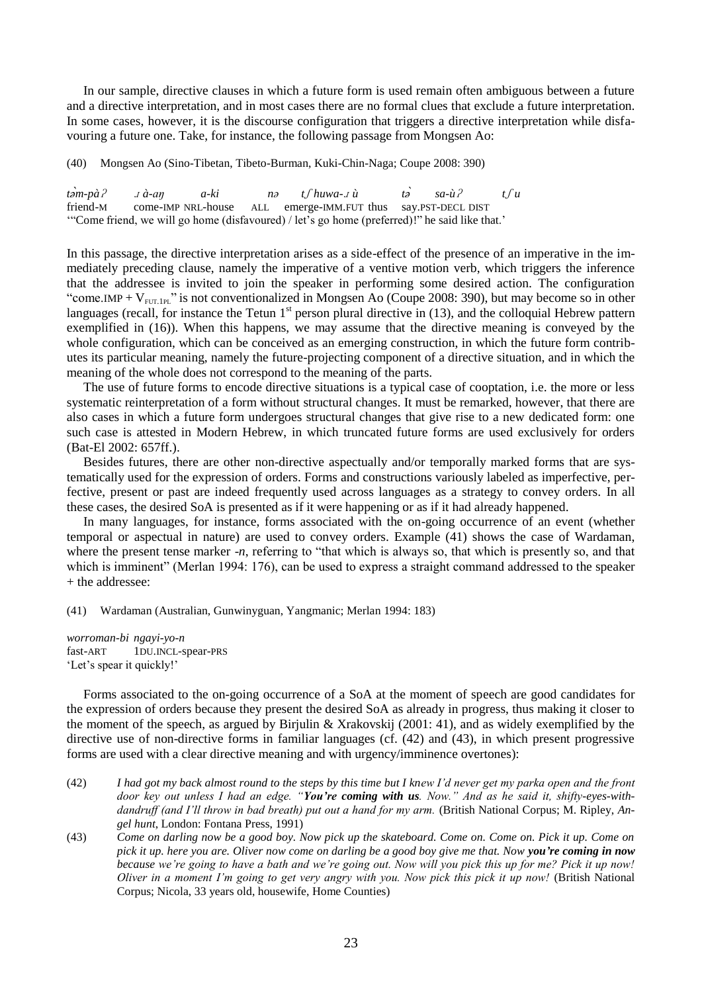In our sample, directive clauses in which a future form is used remain often ambiguous between a future and a directive interpretation, and in most cases there are no formal clues that exclude a future interpretation. In some cases, however, it is the discourse configuration that triggers a directive interpretation while disfavouring a future one. Take, for instance, the following passage from Mongsen Ao:

(40) Mongsen Ao (Sino-Tibetan, Tibeto-Burman, Kuki-Chin-Naga; Coupe 2008: 390)

*t m-pà*ʔ <sup>ɹ</sup> *à-aŋ a-ki nə t*ʃ *huwa-*<sup>ɹ</sup> *ù t sa-ù*ʔ *t*ʃ *u* friend-M come-IMP NRL-house ALL emerge-IMM.FUT thus say.PST-DECL DIST ‗―Come friend, we will go home (disfavoured) / let's go home (preferred)!‖ he said like that.'

In this passage, the directive interpretation arises as a side-effect of the presence of an imperative in the immediately preceding clause, namely the imperative of a ventive motion verb, which triggers the inference that the addressee is invited to join the speaker in performing some desired action. The configuration "come.IMP +  $V_{FUT.1PL}$ " is not conventionalized in Mongsen Ao (Coupe 2008: 390), but may become so in other languages (recall, for instance the Tetun  $1<sup>st</sup>$  person plural directive in (13), and the colloquial Hebrew pattern exemplified in (16)). When this happens, we may assume that the directive meaning is conveyed by the whole configuration, which can be conceived as an emerging construction, in which the future form contributes its particular meaning, namely the future-projecting component of a directive situation, and in which the meaning of the whole does not correspond to the meaning of the parts.

The use of future forms to encode directive situations is a typical case of cooptation, i.e. the more or less systematic reinterpretation of a form without structural changes. It must be remarked, however, that there are also cases in which a future form undergoes structural changes that give rise to a new dedicated form: one such case is attested in Modern Hebrew, in which truncated future forms are used exclusively for orders (Bat-El 2002: 657ff.).

Besides futures, there are other non-directive aspectually and/or temporally marked forms that are systematically used for the expression of orders. Forms and constructions variously labeled as imperfective, perfective, present or past are indeed frequently used across languages as a strategy to convey orders. In all these cases, the desired SoA is presented as if it were happening or as if it had already happened.

In many languages, for instance, forms associated with the on-going occurrence of an event (whether temporal or aspectual in nature) are used to convey orders. Example (41) shows the case of Wardaman, where the present tense marker -*n*, referring to "that which is always so, that which is presently so, and that which is imminent" (Merlan 1994: 176), can be used to express a straight command addressed to the speaker + the addressee:

(41) Wardaman (Australian, Gunwinyguan, Yangmanic; Merlan 1994: 183)

*worroman-bi ngayi-yo-n* fast-ART 1DU.INCL-spear-PRS 'Let's spear it quickly!'

Forms associated to the on-going occurrence of a SoA at the moment of speech are good candidates for the expression of orders because they present the desired SoA as already in progress, thus making it closer to the moment of the speech, as argued by Birjulin & Xrakovskij (2001: 41), and as widely exemplified by the directive use of non-directive forms in familiar languages (cf. (42) and (43), in which present progressive forms are used with a clear directive meaning and with urgency/imminence overtones):

- (42) *I had got my back almost round to the steps by this time but I knew I"d never get my parka open and the front door key out unless I had an edge. "You're coming with us. Now." And as he said it, shifty-eyes-withdandruff (and I"ll throw in bad breath) put out a hand for my arm.* (British National Corpus; M. Ripley, *Angel hunt*, London: Fontana Press, 1991)
- (43) *Come on darling now be a good boy. Now pick up the skateboard. Come on. Come on. Pick it up. Come on pick it up. here you are. Oliver now come on darling be a good boy give me that. Now you're coming in now because we"re going to have a bath and we"re going out. Now will you pick this up for me? Pick it up now! Oliver in a moment I"m going to get very angry with you. Now pick this pick it up now!* (British National Corpus; Nicola, 33 years old, housewife, Home Counties)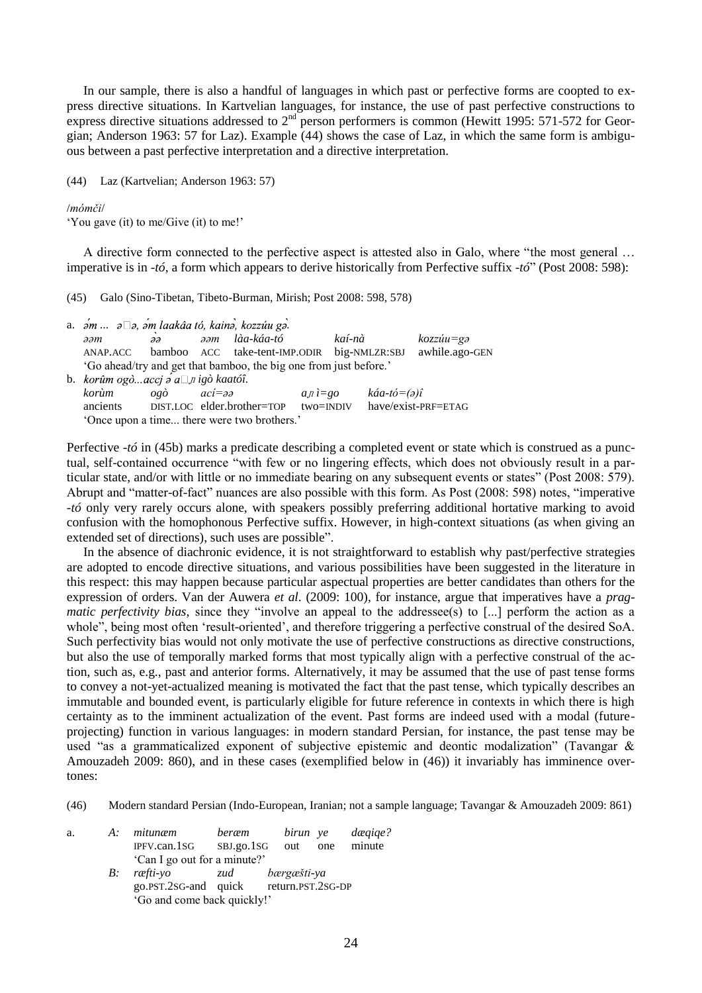In our sample, there is also a handful of languages in which past or perfective forms are coopted to express directive situations. In Kartvelian languages, for instance, the use of past perfective constructions to express directive situations addressed to 2<sup>nd</sup> person performers is common (Hewitt 1995: 571-572 for Georgian; Anderson 1963: 57 for Laz). Example (44) shows the case of Laz, in which the same form is ambiguous between a past perfective interpretation and a directive interpretation.

(44) Laz (Kartvelian; Anderson 1963: 57)

/*mómči*/

‗You gave (it) to me/Give (it) to me!'

A directive form connected to the perfective aspect is attested also in Galo, where "the most general ... imperative is in *-tó*, a form which appears to derive historically from Perfective suffix *-tó*<sup>"</sup> (Post 2008: 598):

(45) Galo (Sino-Tibetan, Tibeto-Burman, Mirish; Post 2008: 598, 578)

|                                                                   | a. $\sin$ $\sin$ $\cos$ , $\sin$ laakâa tó, kain $\sin$ , kozzúu g $\sin$ . |                     |                            |            |               |        |                        |                      |  |  |
|-------------------------------------------------------------------|-----------------------------------------------------------------------------|---------------------|----------------------------|------------|---------------|--------|------------------------|----------------------|--|--|
|                                                                   | әәт                                                                         | $\partial \partial$ | $\partial \partial M$      | làa-káa-tó |               | kaí-nà |                        | $kozziu = g\partial$ |  |  |
|                                                                   | ANAP.ACC bamboo ACC take-tent-IMP.ODIR                                      |                     |                            |            |               |        | big-NMLZR:SBJ          | awhile.ago-GEN       |  |  |
| 'Go ahead/try and get that bamboo, the big one from just before.' |                                                                             |                     |                            |            |               |        |                        |                      |  |  |
|                                                                   | b. korûm ogòaccj a $\Box$ jigò kaatóî.                                      |                     |                            |            |               |        |                        |                      |  |  |
|                                                                   | korùm                                                                       | ogò aci=əə          |                            |            | $a_n i = g_0$ |        | $k\acute{a}a$ -tó=(ə)î |                      |  |  |
|                                                                   | ancients                                                                    |                     | DIST.LOC elder.brother=TOP |            | $two = INDIV$ |        | have/exist-PRF=ETAG    |                      |  |  |
|                                                                   | 'Once upon a time there were two brothers.'                                 |                     |                            |            |               |        |                        |                      |  |  |

Perfective *-tó* in (45b) marks a predicate describing a completed event or state which is construed as a punctual, self-contained occurrence "with few or no lingering effects, which does not obviously result in a particular state, and/or with little or no immediate bearing on any subsequent events or states" (Post 2008: 579). Abrupt and "matter-of-fact" nuances are also possible with this form. As Post (2008: 598) notes, "imperative *-tó* only very rarely occurs alone, with speakers possibly preferring additional hortative marking to avoid confusion with the homophonous Perfective suffix. However, in high-context situations (as when giving an extended set of directions), such uses are possible".

In the absence of diachronic evidence, it is not straightforward to establish why past/perfective strategies are adopted to encode directive situations, and various possibilities have been suggested in the literature in this respect: this may happen because particular aspectual properties are better candidates than others for the expression of orders. Van der Auwera *et al*. (2009: 100), for instance, argue that imperatives have a *pragmatic perfectivity bias,* since they "involve an appeal to the addressee(s) to [...] perform the action as a whole", being most often 'result-oriented', and therefore triggering a perfective construal of the desired SoA. Such perfectivity bias would not only motivate the use of perfective constructions as directive constructions, but also the use of temporally marked forms that most typically align with a perfective construal of the action, such as, e.g., past and anterior forms. Alternatively, it may be assumed that the use of past tense forms to convey a not-yet-actualized meaning is motivated the fact that the past tense, which typically describes an immutable and bounded event, is particularly eligible for future reference in contexts in which there is high certainty as to the imminent actualization of the event. Past forms are indeed used with a modal (futureprojecting) function in various languages: in modern standard Persian, for instance, the past tense may be used "as a grammaticalized exponent of subjective epistemic and deontic modalization" (Tavangar  $\&$ Amouzadeh 2009: 860), and in these cases (exemplified below in (46)) it invariably has imminence overtones:

(46) Modern standard Persian (Indo-European, Iranian; not a sample language; Tavangar & Amouzadeh 2009: 861)

| a. | A: mitunæm                      | beræm |                   | birun ye dægige? |        |  |  |  |  |  |
|----|---------------------------------|-------|-------------------|------------------|--------|--|--|--|--|--|
|    | IPFV.can.1SG SBJ.go.1SG out one |       |                   |                  | minute |  |  |  |  |  |
|    | 'Can I go out for a minute?'    |       |                   |                  |        |  |  |  |  |  |
|    | B: ræfti-vo                     | zud   | bærgæšti-ya       |                  |        |  |  |  |  |  |
|    | go.PST.2SG-and quick            |       | return.PST.2SG-DP |                  |        |  |  |  |  |  |

<sup>‗</sup>Go and come back quickly!'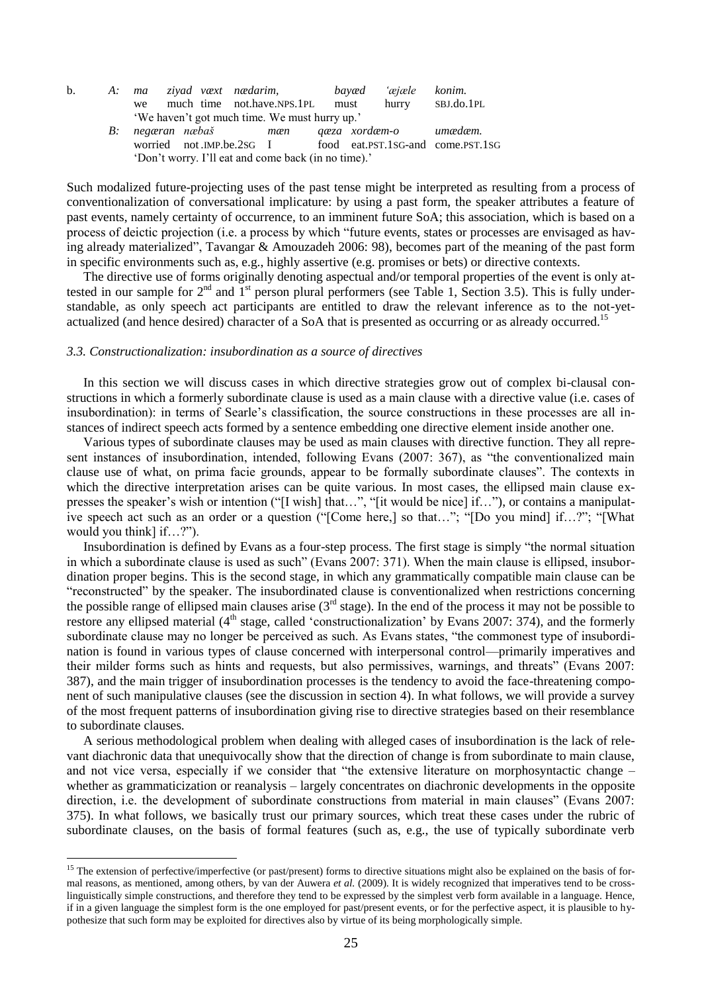| $\mathbf{b}$ .                                      |                                                                                             |    | A: ma ziyad væxt nædarim,       |  |  |  |  | bayæd <i>'æjæle konim</i> . |                                                            |  |
|-----------------------------------------------------|---------------------------------------------------------------------------------------------|----|---------------------------------|--|--|--|--|-----------------------------|------------------------------------------------------------|--|
|                                                     |                                                                                             | we | much time not.have.NPS.1PL must |  |  |  |  |                             | hurry SBJ.do.1PL                                           |  |
|                                                     | 'We haven't got much time. We must hurry up.'<br>B: negæran næbaš mæn qæza xordæm-o umædæm. |    |                                 |  |  |  |  |                             |                                                            |  |
|                                                     |                                                                                             |    |                                 |  |  |  |  |                             |                                                            |  |
|                                                     |                                                                                             |    |                                 |  |  |  |  |                             | worried not.IMP.be.2SG I food eat.PST.1SG-and come.PST.1SG |  |
| 'Don't worry. I'll eat and come back (in no time).' |                                                                                             |    |                                 |  |  |  |  |                             |                                                            |  |

Such modalized future-projecting uses of the past tense might be interpreted as resulting from a process of conventionalization of conversational implicature: by using a past form, the speaker attributes a feature of past events, namely certainty of occurrence, to an imminent future SoA; this association, which is based on a process of deictic projection (i.e. a process by which "future events, states or processes are envisaged as having already materialized", Tavangar & Amouzadeh 2006: 98), becomes part of the meaning of the past form in specific environments such as, e.g., highly assertive (e.g. promises or bets) or directive contexts.

The directive use of forms originally denoting aspectual and/or temporal properties of the event is only attested in our sample for  $2<sup>nd</sup>$  and  $1<sup>st</sup>$  person plural performers (see Table 1, Section 3.5). This is fully understandable, as only speech act participants are entitled to draw the relevant inference as to the not-yetactualized (and hence desired) character of a SoA that is presented as occurring or as already occurred.<sup>15</sup>

# *3.3. Constructionalization: insubordination as a source of directives*

<u>.</u>

In this section we will discuss cases in which directive strategies grow out of complex bi-clausal constructions in which a formerly subordinate clause is used as a main clause with a directive value (i.e. cases of insubordination): in terms of Searle's classification, the source constructions in these processes are all instances of indirect speech acts formed by a sentence embedding one directive element inside another one.

Various types of subordinate clauses may be used as main clauses with directive function. They all represent instances of insubordination, intended, following Evans (2007: 367), as "the conventionalized main clause use of what, on prima facie grounds, appear to be formally subordinate clauses". The contexts in which the directive interpretation arises can be quite various. In most cases, the ellipsed main clause expresses the speaker's wish or intention ("[I wish] that…", "[it would be nice] if..."), or contains a manipulative speech act such as an order or a question ("[Come here,] so that…"; "[Do you mind] if…?"; "[What would you think] if...?".

Insubordination is defined by Evans as a four-step process. The first stage is simply "the normal situation in which a subordinate clause is used as such" (Evans 2007: 371). When the main clause is ellipsed, insubordination proper begins. This is the second stage, in which any grammatically compatible main clause can be ―reconstructed‖ by the speaker. The insubordinated clause is conventionalized when restrictions concerning the possible range of ellipsed main clauses arise  $(3<sup>rd</sup> \text{ stage})$ . In the end of the process it may not be possible to restore any ellipsed material (4<sup>th</sup> stage, called 'constructionalization' by Evans 2007: 374), and the formerly subordinate clause may no longer be perceived as such. As Evans states, "the commonest type of insubordination is found in various types of clause concerned with interpersonal control—primarily imperatives and their milder forms such as hints and requests, but also permissives, warnings, and threats" (Evans 2007: 387), and the main trigger of insubordination processes is the tendency to avoid the face-threatening component of such manipulative clauses (see the discussion in section 4). In what follows, we will provide a survey of the most frequent patterns of insubordination giving rise to directive strategies based on their resemblance to subordinate clauses.

A serious methodological problem when dealing with alleged cases of insubordination is the lack of relevant diachronic data that unequivocally show that the direction of change is from subordinate to main clause, and not vice versa, especially if we consider that "the extensive literature on morphosyntactic change  $$ whether as grammaticization or reanalysis – largely concentrates on diachronic developments in the opposite direction, i.e. the development of subordinate constructions from material in main clauses" (Evans 2007: 375). In what follows, we basically trust our primary sources, which treat these cases under the rubric of subordinate clauses, on the basis of formal features (such as, e.g., the use of typically subordinate verb

<sup>&</sup>lt;sup>15</sup> The extension of perfective/imperfective (or past/present) forms to directive situations might also be explained on the basis of formal reasons, as mentioned, among others, by van der Auwera et al. (2009). It is widely recognized that imperatives tend to be crosslinguistically simple constructions, and therefore they tend to be expressed by the simplest verb form available in a language. Hence, if in a given language the simplest form is the one employed for past/present events, or for the perfective aspect, it is plausible to hypothesize that such form may be exploited for directives also by virtue of its being morphologically simple.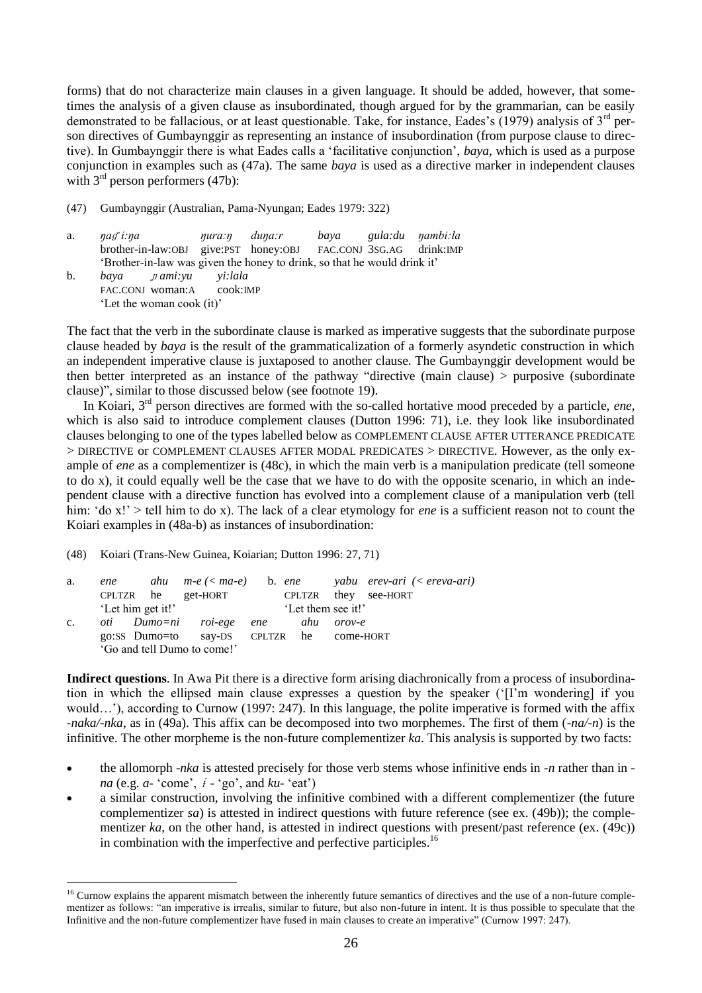forms) that do not characterize main clauses in a given language. It should be added, however, that sometimes the analysis of a given clause as insubordinated, though argued for by the grammarian, can be easily demonstrated to be fallacious, or at least questionable. Take, for instance, Eades's (1979) analysis of 3<sup>rd</sup> person directives of Gumbaynggir as representing an instance of insubordination (from purpose clause to directive). In Gumbaynggir there is what Eades calls a 'facilitative conjunction', *baya*, which is used as a purpose conjunction in examples such as (47a). The same *baya* is used as a directive marker in independent clauses with  $3<sup>rd</sup>$  person performers (47b):

(47) Gumbaynggir (Australian, Pama-Nyungan; Eades 1979: 322)

| a. | nag i:na                     |  | nura:n duna:r |                                                                          | baya gula:du nambi:la |  |  |  |  |
|----|------------------------------|--|---------------|--------------------------------------------------------------------------|-----------------------|--|--|--|--|
|    |                              |  |               | brother-in-law:OBJ give:PST honey:OBJ FAC.CONJ 3SG.AG drink:IMP          |                       |  |  |  |  |
|    |                              |  |               | 'Brother-in-law was given the honey to drink, so that he would drink it' |                       |  |  |  |  |
| b. | baya <i>n</i> ami:yu yi:lala |  |               |                                                                          |                       |  |  |  |  |
|    | FAC.CONJ woman:A cook:IMP    |  |               |                                                                          |                       |  |  |  |  |
|    | 'Let the woman cook (it)'    |  |               |                                                                          |                       |  |  |  |  |

The fact that the verb in the subordinate clause is marked as imperative suggests that the subordinate purpose clause headed by *baya* is the result of the grammaticalization of a formerly asyndetic construction in which an independent imperative clause is juxtaposed to another clause. The Gumbaynggir development would be then better interpreted as an instance of the pathway "directive (main clause)  $>$  purposive (subordinate clause)", similar to those discussed below (see footnote 19).

In Koiari, 3rd person directives are formed with the so-called hortative mood preceded by a particle, *ene*, which is also said to introduce complement clauses (Dutton 1996: 71), i.e. they look like insubordinated clauses belonging to one of the types labelled below as COMPLEMENT CLAUSE AFTER UTTERANCE PREDICATE > DIRECTIVE or COMPLEMENT CLAUSES AFTER MODAL PREDICATES > DIRECTIVE. However, as the only example of *ene* as a complementizer is (48c), in which the main verb is a manipulation predicate (tell someone to do x), it could equally well be the case that we have to do with the opposite scenario, in which an independent clause with a directive function has evolved into a complement clause of a manipulation verb (tell him: 'do x!' > tell him to do x). The lack of a clear etymology for *ene* is a sufficient reason not to count the Koiari examples in (48a-b) as instances of insubordination:

(48) Koiari (Trans-New Guinea, Koiarian; Dutton 1996: 27, 71)

1

| a.             | ene               |  |                                          |  |  |                    |        | ahu $m-e$ (< ma-e) b. ene yabu erev-ari (< ereva-ari) |  |  |
|----------------|-------------------|--|------------------------------------------|--|--|--------------------|--------|-------------------------------------------------------|--|--|
|                | CPLTZR he         |  | get-HORT                                 |  |  |                    |        | CPLTZR they see-HORT                                  |  |  |
|                | 'Let him get it!' |  |                                          |  |  | 'Let them see it!' |        |                                                       |  |  |
| $\mathbf{c}$ . |                   |  | oti Dumo=ni roi-ege ene                  |  |  | ahu                | orov-e |                                                       |  |  |
|                |                   |  | go:SS Dumo=to say-DS CPLTZR he come-HORT |  |  |                    |        |                                                       |  |  |
|                |                   |  | 'Go and tell Dumo to come!'              |  |  |                    |        |                                                       |  |  |

**Indirect questions**. In Awa Pit there is a directive form arising diachronically from a process of insubordination in which the ellipsed main clause expresses a question by the speaker (‗[I'm wondering] if you would…'), according to Curnow (1997: 247). In this language, the polite imperative is formed with the affix *-naka/-nka*, as in (49a). This affix can be decomposed into two morphemes. The first of them (*-na/-n*) is the infinitive. The other morpheme is the non-future complementizer *ka*. This analysis is supported by two facts:

- the allomorph -*nka* is attested precisely for those verb stems whose infinitive ends in *-n* rather than in  *na* (e.g.  $a$ - 'come',  $\dot{i}$  - 'go', and  $ku$ - 'eat')
- a similar construction, involving the infinitive combined with a different complementizer (the future complementizer *sa*) is attested in indirect questions with future reference (see ex. (49b)); the complementizer *ka*, on the other hand, is attested in indirect questions with present/past reference (ex. (49c)) in combination with the imperfective and perfective participles.<sup>16</sup>

<sup>&</sup>lt;sup>16</sup> Curnow explains the apparent mismatch between the inherently future semantics of directives and the use of a non-future complementizer as follows: "an imperative is irrealis, similar to future, but also non-future in intent. It is thus possible to speculate that the Infinitive and the non-future complementizer have fused in main clauses to create an imperative" (Curnow 1997: 247).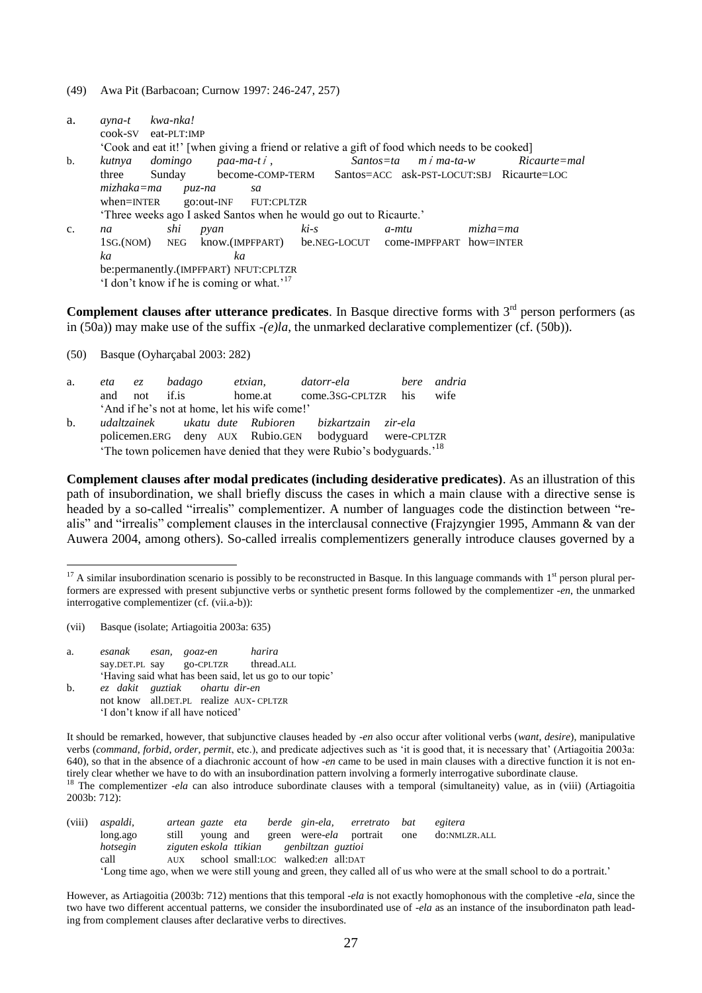(49) Awa Pit (Barbacoan; Curnow 1997: 246-247, 257)

| a.             | ayna-t<br>cook-SV                                     | kwa-nka!<br>eat-PLT:IMP |            |               |                                                                    |        |               |             |                                                                                               |              |                                           |
|----------------|-------------------------------------------------------|-------------------------|------------|---------------|--------------------------------------------------------------------|--------|---------------|-------------|-----------------------------------------------------------------------------------------------|--------------|-------------------------------------------|
|                |                                                       |                         |            |               |                                                                    |        |               |             | 'Cook and eat it!' [when giving a friend or relative a gift of food which needs to be cooked] |              |                                           |
| b.             | kutnya                                                | domingo                 |            | $paa-ma-ti$ , |                                                                    |        | $Santos = ta$ |             | $m \dot{f}$ ma-ta-w                                                                           |              | $Ricaurte = mal$                          |
|                | three                                                 | Sunday                  |            |               | become-COMP-TERM                                                   |        |               |             |                                                                                               |              | Santos=ACC ask-PST-LOCUT:SBJ Ricaurte=LOC |
|                | mizhaka=ma                                            |                         | риz-па     |               | sa                                                                 |        |               |             |                                                                                               |              |                                           |
|                | $when=INTER$                                          |                         |            |               | go:out-INF FUT:CPLTZR                                              |        |               |             |                                                                                               |              |                                           |
|                |                                                       |                         |            |               | 'Three weeks ago I asked Santos when he would go out to Ricaurte.' |        |               |             |                                                                                               |              |                                           |
| $\mathbf{c}$ . | na                                                    |                         | shi        | pyan          |                                                                    | $ki-s$ |               | $a$ - $mtu$ |                                                                                               | $mizha = ma$ |                                           |
|                | 1sg.(NOM)                                             |                         | <b>NEG</b> |               |                                                                    |        |               |             | know.(IMPFPART) be.NEG-LOCUT come-IMPFPART how=INTER                                          |              |                                           |
|                | ka                                                    |                         |            | ka            |                                                                    |        |               |             |                                                                                               |              |                                           |
|                | be:permanently.(IMPFPART) NFUT:CPLTZR                 |                         |            |               |                                                                    |        |               |             |                                                                                               |              |                                           |
|                | 'I don't know if he is coming or what.' <sup>17</sup> |                         |            |               |                                                                    |        |               |             |                                                                                               |              |                                           |

**Complement clauses after utterance predicates**. In Basque directive forms with  $3<sup>rd</sup>$  person performers (as in (50a)) may make use of the suffix *-(e)la*, the unmarked declarative complementizer (cf. (50b)).

(50) Basque (Oyharçabal 2003: 282)

| a. | eta<br>ez        | badago | etxian,                                       | datorr-ela                                                                                                    | bere andria |
|----|------------------|--------|-----------------------------------------------|---------------------------------------------------------------------------------------------------------------|-------------|
|    | not if.is<br>and |        | home.at                                       | come.3sG-CPLTZR his                                                                                           | wife        |
|    |                  |        | 'And if he's not at home, let his wife come!' |                                                                                                               |             |
| b. |                  |        |                                               | udaltzainek ukatu dute Rubioren bizkartzain zir-ela<br>policemen.ERG deny AUX Rubio.GEN bodyguard were-CPLTZR |             |
|    |                  |        |                                               | The town policemen have denied that they were Rubio's bodyguards. <sup>18</sup>                               |             |

**Complement clauses after modal predicates (including desiderative predicates)**. As an illustration of this path of insubordination, we shall briefly discuss the cases in which a main clause with a directive sense is headed by a so-called "irrealis" complementizer. A number of languages code the distinction between "realis" and "irrealis" complement clauses in the interclausal connective (Frajzyngier 1995, Ammann & van der Auwera 2004, among others). So-called irrealis complementizers generally introduce clauses governed by a

(vii) Basque (isolate; Artiagoitia 2003a: 635)

1

2003b: 712):

- a. *esanak esan, goaz-en harira* say.DET.PL say go-CPLTZR thread.ALL ‗Having said what has been said, let us go to our topic'
- b. *ez dakit guztiak ohartu dir-en* not know all.DET.PL realize AUX- CPLTZR ‗I don't know if all have noticed'

It should be remarked, however, that subjunctive clauses headed by *-en* also occur after volitional verbs (*want*, *desire*), manipulative verbs (*command*, *forbid*, *order*, *permit*, etc.), and predicate adjectives such as ‗it is good that, it is necessary that' (Artiagoitia 2003a: 640), so that in the absence of a diachronic account of how *-en* came to be used in main clauses with a directive function it is not entirely clear whether we have to do with an insubordination pattern involving a formerly interrogative subordinate clause. <sup>18</sup> The complementizer *-ela* can also introduce subordinate clauses with a temporal (simultaneity) value, as in (viii) (Artiagoitia

| (viii) | aspaldi, | artean gazte eta |           |  | berde gin-ela, erretrato bat              |  | egitera                                                                                                                   |
|--------|----------|------------------|-----------|--|-------------------------------------------|--|---------------------------------------------------------------------------------------------------------------------------|
|        | long.ago | still            | young and |  | green were- <i>ela</i> portrait one       |  | do:NMLZR.ALL                                                                                                              |
|        | hotsegin |                  |           |  | ziguten eskola ttikian yenbiltzan guztioi |  |                                                                                                                           |
|        | call     |                  |           |  | AUX school small:LOC walked:en all:DAT    |  |                                                                                                                           |
|        |          |                  |           |  |                                           |  | 'Long time ago, when we were still young and green, they called all of us who were at the small school to do a portrait.' |

However, as Artiagoitia (2003b: 712) mentions that this temporal *-ela* is not exactly homophonous with the completive *-ela*, since the two have two different accentual patterns, we consider the insubordinated use of *-ela* as an instance of the insubordinaton path leading from complement clauses after declarative verbs to directives.

 $17$  A similar insubordination scenario is possibly to be reconstructed in Basque. In this language commands with  $1<sup>st</sup>$  person plural performers are expressed with present subjunctive verbs or synthetic present forms followed by the complementizer *-en*, the unmarked interrogative complementizer (cf. (vii.a-b)):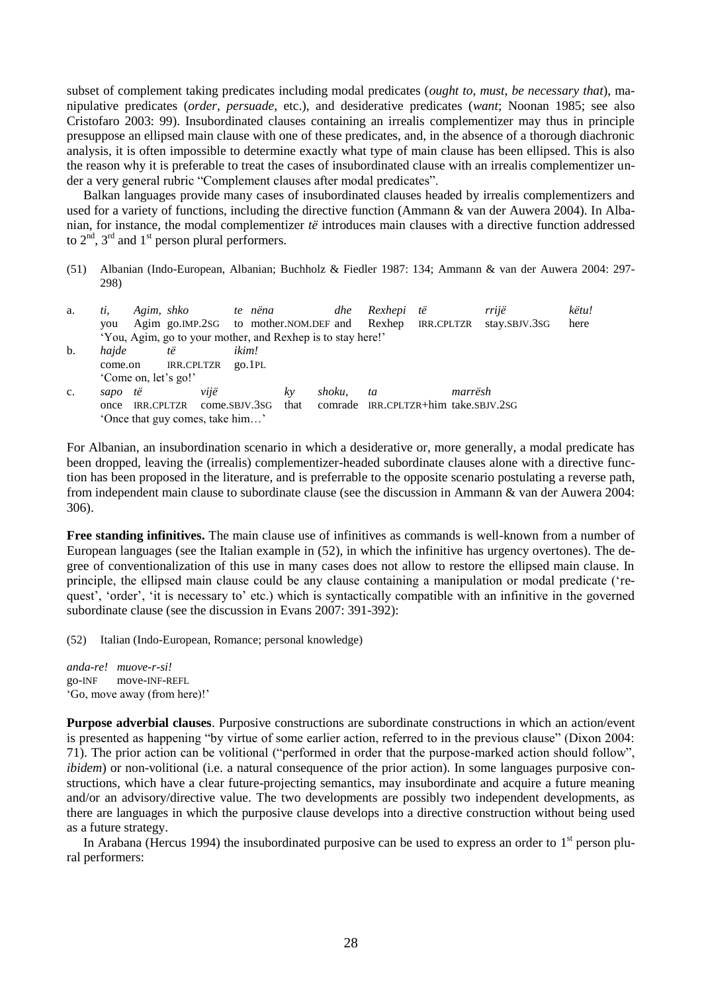subset of complement taking predicates including modal predicates (*ought to*, *must*, *be necessary that*), manipulative predicates (*order*, *persuade*, etc.), and desiderative predicates (*want*; Noonan 1985; see also Cristofaro 2003: 99). Insubordinated clauses containing an irrealis complementizer may thus in principle presuppose an ellipsed main clause with one of these predicates, and, in the absence of a thorough diachronic analysis, it is often impossible to determine exactly what type of main clause has been ellipsed. This is also the reason why it is preferable to treat the cases of insubordinated clause with an irrealis complementizer under a very general rubric "Complement clauses after modal predicates".

Balkan languages provide many cases of insubordinated clauses headed by irrealis complementizers and used for a variety of functions, including the directive function (Ammann & van der Auwera 2004). In Albanian, for instance, the modal complementizer *të* introduces main clauses with a directive function addressed to  $2<sup>nd</sup>$ ,  $3<sup>rd</sup>$  and  $1<sup>st</sup>$  person plural performers.

(51) Albanian (Indo-European, Albanian; Buchholz & Fiedler 1987: 134; Ammann & van der Auwera 2004: 297- 298)

| a. | ti.     |            | Agim, shko                      |               | te nëna | dhe                                                         | Rexhepi të | rrijë                                |               | këtu! |
|----|---------|------------|---------------------------------|---------------|---------|-------------------------------------------------------------|------------|--------------------------------------|---------------|-------|
|    | vou     |            |                                 |               |         | Agim go.IMP.2sG to mother.NOM.DEF and Rexhep IRR.CPLTZR     |            |                                      | stay.SBJV.3SG | here  |
|    |         |            |                                 |               |         | 'You, Agim, go to your mother, and Rexhep is to stay here!' |            |                                      |               |       |
| b. | hajde   |            | të                              | ikim!         |         |                                                             |            |                                      |               |       |
|    | come.on |            | <b>IRR.CPLTZR</b>               |               | QO.1PL  |                                                             |            |                                      |               |       |
|    |         |            | 'Come on, let's go!'            |               |         |                                                             |            |                                      |               |       |
| c. | sapo të |            | vijë                            |               | kv      | shoku.                                                      | ta         | marrësh                              |               |       |
|    | once    | IRR.CPLTZR |                                 | come.sbJV.3sG | that    |                                                             |            | comrade IRR.CPLTZR+him take.SBJV.2SG |               |       |
|    |         |            | 'Once that guy comes, take him' |               |         |                                                             |            |                                      |               |       |

For Albanian, an insubordination scenario in which a desiderative or, more generally, a modal predicate has been dropped, leaving the (irrealis) complementizer-headed subordinate clauses alone with a directive function has been proposed in the literature, and is preferrable to the opposite scenario postulating a reverse path, from independent main clause to subordinate clause (see the discussion in Ammann & van der Auwera 2004: 306).

**Free standing infinitives.** The main clause use of infinitives as commands is well-known from a number of European languages (see the Italian example in (52), in which the infinitive has urgency overtones). The degree of conventionalization of this use in many cases does not allow to restore the ellipsed main clause. In principle, the ellipsed main clause could be any clause containing a manipulation or modal predicate (‗request', 'order', 'it is necessary to' etc.) which is syntactically compatible with an infinitive in the governed subordinate clause (see the discussion in Evans 2007: 391-392):

(52) Italian (Indo-European, Romance; personal knowledge)

*anda-re! muove-r-si!* go-INF move-INF-REFL ‗Go, move away (from here)!'

**Purpose adverbial clauses**. Purposive constructions are subordinate constructions in which an action/event is presented as happening "by virtue of some earlier action, referred to in the previous clause" (Dixon 2004: 71). The prior action can be volitional ("performed in order that the purpose-marked action should follow", *ibidem*) or non-volitional (i.e. a natural consequence of the prior action). In some languages purposive constructions, which have a clear future-projecting semantics, may insubordinate and acquire a future meaning and/or an advisory/directive value. The two developments are possibly two independent developments, as there are languages in which the purposive clause develops into a directive construction without being used as a future strategy.

In Arabana (Hercus 1994) the insubordinated purposive can be used to express an order to  $1<sup>st</sup>$  person plural performers: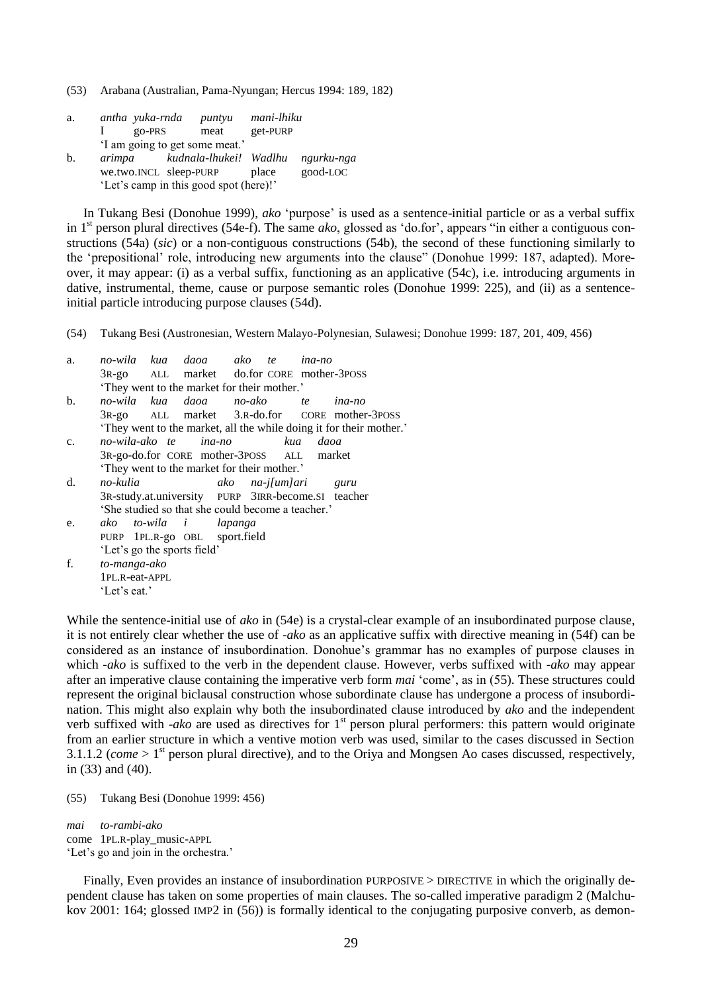(53) Arabana (Australian, Pama-Nyungan; Hercus 1994: 189, 182)

| a.                                     | antha yuka-rnda                | puntyu                 | mani-lhiku |            |  |  |  |  |
|----------------------------------------|--------------------------------|------------------------|------------|------------|--|--|--|--|
|                                        | go-PRS                         | meat                   | get-PURP   |            |  |  |  |  |
|                                        | 'I am going to get some meat.' |                        |            |            |  |  |  |  |
| b.                                     | arimpa                         | kudnala-lhukei! Wadlhu |            | ngurku-nga |  |  |  |  |
|                                        | we.two.INCL sleep-PURP         |                        | place      | good-LOC   |  |  |  |  |
| 'Let's camp in this good spot (here)!' |                                |                        |            |            |  |  |  |  |

In Tukang Besi (Donohue 1999), *ako* 'purpose' is used as a sentence-initial particle or as a verbal suffix in 1<sup>st</sup> person plural directives (54e-f). The same *ako*, glossed as 'do.for', appears "in either a contiguous constructions (54a) (*sic*) or a non-contiguous constructions (54b), the second of these functioning similarly to the 'prepositional' role, introducing new arguments into the clause" (Donohue 1999: 187, adapted). Moreover, it may appear: (i) as a verbal suffix, functioning as an applicative (54c), i.e. introducing arguments in dative, instrumental, theme, cause or purpose semantic roles (Donohue 1999: 225), and (ii) as a sentenceinitial particle introducing purpose clauses (54d).

(54) Tukang Besi (Austronesian, Western Malayo-Polynesian, Sulawesi; Donohue 1999: 187, 201, 409, 456)

| a.             |                             | no-wila kua daoa ako te ina-no                     |                      |          |                                                                   |
|----------------|-----------------------------|----------------------------------------------------|----------------------|----------|-------------------------------------------------------------------|
|                |                             | 3R-go ALL market do.for CORE mother-3POSS          |                      |          |                                                                   |
|                |                             | 'They went to the market for their mother.'        |                      |          |                                                                   |
| b.             |                             | no-wila kua daoa no-ako te ina-no                  |                      |          |                                                                   |
|                |                             |                                                    |                      |          | 3R-go ALL market 3.R-do.for CORE mother-3POSS                     |
|                |                             |                                                    |                      |          | They went to the market, all the while doing it for their mother. |
| $\mathbf{c}$ . |                             | no-wila-ako te ina-no                              |                      | kua daoa |                                                                   |
|                |                             | 3R-go-do.for CORE mother-3POSS ALL market          |                      |          |                                                                   |
|                |                             | They went to the market for their mother.'         |                      |          |                                                                   |
| $d_{\cdot}$    | no-kulia                    |                                                    | ako na-j[um]ari guru |          |                                                                   |
|                |                             | 3R-study.at.university PURP 3IRR-become.SI teacher |                      |          |                                                                   |
|                |                             | 'She studied so that she could become a teacher.'  |                      |          |                                                                   |
| e.             |                             | ako to-wila i lapanga                              |                      |          |                                                                   |
|                |                             | PURP 1PL.R-go OBL sport.field                      |                      |          |                                                                   |
|                | 'Let's go the sports field' |                                                    |                      |          |                                                                   |
|                |                             |                                                    |                      |          |                                                                   |

f. *to-manga-ako* 1PL.R-eat-APPL ‗Let's eat.'

While the sentence-initial use of *ako* in (54e) is a crystal-clear example of an insubordinated purpose clause, it is not entirely clear whether the use of *-ako* as an applicative suffix with directive meaning in (54f) can be considered as an instance of insubordination. Donohue's grammar has no examples of purpose clauses in which *-ako* is suffixed to the verb in the dependent clause. However, verbs suffixed with *-ako* may appear after an imperative clause containing the imperative verb form *mai* ‗come', as in (55). These structures could represent the original biclausal construction whose subordinate clause has undergone a process of insubordination. This might also explain why both the insubordinated clause introduced by *ako* and the independent verb suffixed with *-ako* are used as directives for 1<sup>st</sup> person plural performers: this pattern would originate from an earlier structure in which a ventive motion verb was used, similar to the cases discussed in Section 3.1.1.2 (*come*  $> 1<sup>st</sup>$  person plural directive), and to the Oriya and Mongsen Ao cases discussed, respectively, in (33) and (40).

(55) Tukang Besi (Donohue 1999: 456)

*mai to-rambi-ako* come 1PL.R-play\_music-APPL ‗Let's go and join in the orchestra.'

Finally, Even provides an instance of insubordination PURPOSIVE > DIRECTIVE in which the originally dependent clause has taken on some properties of main clauses. The so-called imperative paradigm 2 (Malchukov 2001: 164; glossed IMP2 in (56)) is formally identical to the conjugating purposive converb, as demon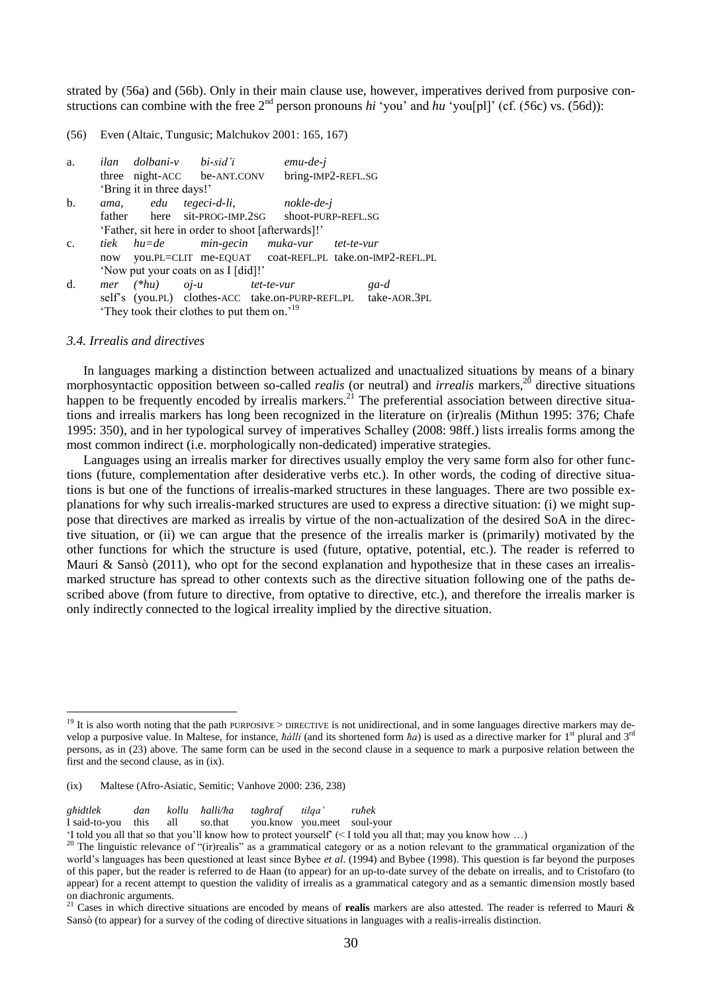strated by (56a) and (56b). Only in their main clause use, however, imperatives derived from purposive constructions can combine with the free  $2<sup>nd</sup>$  person pronouns *hi* 'you' and *hu* 'you[pl]' (cf. (56c) vs. (56d)):

(56) Even (Altaic, Tungusic; Malchukov 2001: 165, 167)

| a.             |                                                       |                           | ilan dolbani-v bi-sid'i             | $emu-de-i$                                                    |      |  |  |
|----------------|-------------------------------------------------------|---------------------------|-------------------------------------|---------------------------------------------------------------|------|--|--|
|                |                                                       |                           | three night-ACC be-ANT.CONV         | bring-IMP2-REFL.SG                                            |      |  |  |
|                |                                                       | 'Bring it in three days!' |                                     |                                                               |      |  |  |
| $\mathbf{b}$ . | ama.                                                  |                           | edu tegeci-d-li,                    | nokle-de-j                                                    |      |  |  |
|                |                                                       |                           | father here sit-PROG-IMP.2SG        | shoot-PURP-REFL.SG                                            |      |  |  |
|                |                                                       |                           |                                     | 'Father, sit here in order to shoot [afterwards]!'            |      |  |  |
| $\mathbf{c}$ . |                                                       |                           |                                     | tiek hu=de min-gecin muka-vur tet-te-vur                      |      |  |  |
|                |                                                       |                           |                                     | now you.PL=CLIT me-EQUAT coat-REFL.PL take.on-IMP2-REFL.PL    |      |  |  |
|                |                                                       |                           | 'Now put your coats on as I [did]!' |                                                               |      |  |  |
| d.             |                                                       |                           | $mer$ (*hu) $oj-u$ tet-te-vur       |                                                               | ga-d |  |  |
|                |                                                       |                           |                                     | self's (you.PL) clothes-ACC take.on-PURP-REFL.PL take-AOR.3PL |      |  |  |
|                | They took their clothes to put them on. <sup>19</sup> |                           |                                     |                                                               |      |  |  |

#### *3.4. Irrealis and directives*

1

In languages marking a distinction between actualized and unactualized situations by means of a binary morphosyntactic opposition between so-called *realis* (or neutral) and *irrealis* markers,<sup>20</sup> directive situations happen to be frequently encoded by irrealis markers.<sup>21</sup> The preferential association between directive situations and irrealis markers has long been recognized in the literature on (ir)realis (Mithun 1995: 376; Chafe 1995: 350), and in her typological survey of imperatives Schalley (2008: 98ff.) lists irrealis forms among the most common indirect (i.e. morphologically non-dedicated) imperative strategies.

Languages using an irrealis marker for directives usually employ the very same form also for other functions (future, complementation after desiderative verbs etc.). In other words, the coding of directive situations is but one of the functions of irrealis-marked structures in these languages. There are two possible explanations for why such irrealis-marked structures are used to express a directive situation: (i) we might suppose that directives are marked as irrealis by virtue of the non-actualization of the desired SoA in the directive situation, or (ii) we can argue that the presence of the irrealis marker is (primarily) motivated by the other functions for which the structure is used (future, optative, potential, etc.). The reader is referred to Mauri & Sansò (2011), who opt for the second explanation and hypothesize that in these cases an irrealismarked structure has spread to other contexts such as the directive situation following one of the paths described above (from future to directive, from optative to directive, etc.), and therefore the irrealis marker is only indirectly connected to the logical irreality implied by the directive situation.

*għidtlek dan kollu ħalli/ħa tagħraf tilqa" ruħek*

I said-to-you this all so.that you.know you.meet soul-your

‗I told you all that so that you'll know how to protect yourself' (< I told you all that; may you know how …)

 $19$  It is also worth noting that the path PURPOSIVE > DIRECTIVE is not unidirectional, and in some languages directive markers may develop a purposive value. In Maltese, for instance, *ħálli* (and its shortened form *ħa*) is used as a directive marker for 1<sup>st</sup> plural and 3<sup>rd</sup> persons, as in (23) above. The same form can be used in the second clause in a sequence to mark a purposive relation between the first and the second clause, as in (ix).

<sup>(</sup>ix) Maltese (Afro-Asiatic, Semitic; Vanhove 2000: 236, 238)

<sup>&</sup>lt;sup>20</sup> The linguistic relevance of "(ir)realis" as a grammatical category or as a notion relevant to the grammatical organization of the world's languages has been questioned at least since Bybee *et al*. (1994) and Bybee (1998). This question is far beyond the purposes of this paper, but the reader is referred to de Haan (to appear) for an up-to-date survey of the debate on irrealis, and to Cristofaro (to appear) for a recent attempt to question the validity of irrealis as a grammatical category and as a semantic dimension mostly based on diachronic arguments.

<sup>21</sup> Cases in which directive situations are encoded by means of **realis** markers are also attested. The reader is referred to Mauri & Sansò (to appear) for a survey of the coding of directive situations in languages with a realis-irrealis distinction.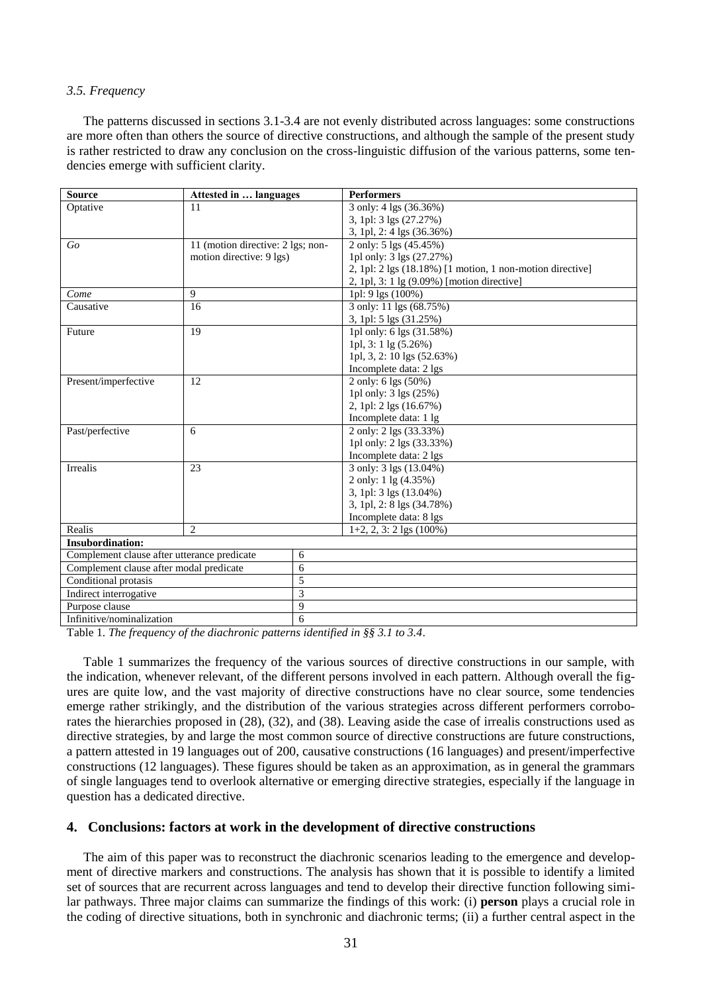# *3.5. Frequency*

The patterns discussed in sections 3.1-3.4 are not evenly distributed across languages: some constructions are more often than others the source of directive constructions, and although the sample of the present study is rather restricted to draw any conclusion on the cross-linguistic diffusion of the various patterns, some tendencies emerge with sufficient clarity.

| <b>Source</b>                               | Attested in  languages            | <b>Performers</b>                                         |
|---------------------------------------------|-----------------------------------|-----------------------------------------------------------|
| Optative                                    | 11                                | 3 only: 4 lgs (36.36%)                                    |
|                                             |                                   | 3, 1pl: 3 lgs (27.27%)                                    |
|                                             |                                   | 3, 1pl, 2: 4 lgs (36.36%)                                 |
| Go                                          | 11 (motion directive: 2 lgs; non- | 2 only: 5 lgs (45.45%)                                    |
|                                             | motion directive: 9 lgs)          | 1pl only: 3 lgs (27.27%)                                  |
|                                             |                                   | 2, 1pl: 2 lgs (18.18%) [1 motion, 1 non-motion directive] |
|                                             |                                   | 2, 1pl, 3: 1 lg (9.09%) [motion directive]                |
| Come                                        | 9                                 | 1pl: 9 lgs (100%)                                         |
| Causative                                   | 16                                | 3 only: 11 lgs (68.75%)                                   |
|                                             |                                   | 3, 1pl: 5 lgs (31.25%)                                    |
| Future                                      | 19                                | 1pl only: 6 lgs (31.58%)                                  |
|                                             |                                   | 1pl, $3:1 \lg (5.26\%)$                                   |
|                                             |                                   | 1pl, 3, 2: 10 lgs (52.63%)                                |
|                                             |                                   | Incomplete data: 2 lgs                                    |
| Present/imperfective                        | 12                                | 2 only: 6 lgs (50%)                                       |
|                                             |                                   | 1pl only: 3 lgs (25%)                                     |
|                                             |                                   | 2, 1pl: 2 lgs (16.67%)                                    |
|                                             |                                   | Incomplete data: 1 lg                                     |
| Past/perfective                             | 6                                 | 2 only: 2 lgs (33.33%)                                    |
|                                             |                                   | 1pl only: 2 lgs (33.33%)                                  |
|                                             |                                   | Incomplete data: 2 lgs                                    |
| <b>Irrealis</b>                             | 23                                | 3 only: 3 lgs (13.04%)                                    |
|                                             |                                   | 2 only: 1 lg (4.35%)                                      |
|                                             |                                   | 3, 1pl: 3 lgs (13.04%)                                    |
|                                             |                                   | 3, 1pl, 2: 8 lgs (34.78%)                                 |
|                                             |                                   | Incomplete data: 8 lgs                                    |
| Realis                                      | $\overline{c}$                    | $1+2$ , 2, 3: 2 lgs (100%)                                |
| <b>Insubordination:</b>                     |                                   |                                                           |
| Complement clause after utterance predicate | 6                                 |                                                           |
| Complement clause after modal predicate     | 6                                 |                                                           |
| Conditional protasis                        | 5                                 |                                                           |
| Indirect interrogative                      | 3                                 |                                                           |
| Purpose clause                              | 9                                 |                                                           |
| Infinitive/nominalization                   | 6                                 |                                                           |

Table 1. *The frequency of the diachronic patterns identified in §§ 3.1 to 3.4*.

Table 1 summarizes the frequency of the various sources of directive constructions in our sample, with the indication, whenever relevant, of the different persons involved in each pattern. Although overall the figures are quite low, and the vast majority of directive constructions have no clear source, some tendencies emerge rather strikingly, and the distribution of the various strategies across different performers corroborates the hierarchies proposed in (28), (32), and (38). Leaving aside the case of irrealis constructions used as directive strategies, by and large the most common source of directive constructions are future constructions, a pattern attested in 19 languages out of 200, causative constructions (16 languages) and present/imperfective constructions (12 languages). These figures should be taken as an approximation, as in general the grammars of single languages tend to overlook alternative or emerging directive strategies, especially if the language in question has a dedicated directive.

# **4. Conclusions: factors at work in the development of directive constructions**

The aim of this paper was to reconstruct the diachronic scenarios leading to the emergence and development of directive markers and constructions. The analysis has shown that it is possible to identify a limited set of sources that are recurrent across languages and tend to develop their directive function following similar pathways. Three major claims can summarize the findings of this work: (i) **person** plays a crucial role in the coding of directive situations, both in synchronic and diachronic terms; (ii) a further central aspect in the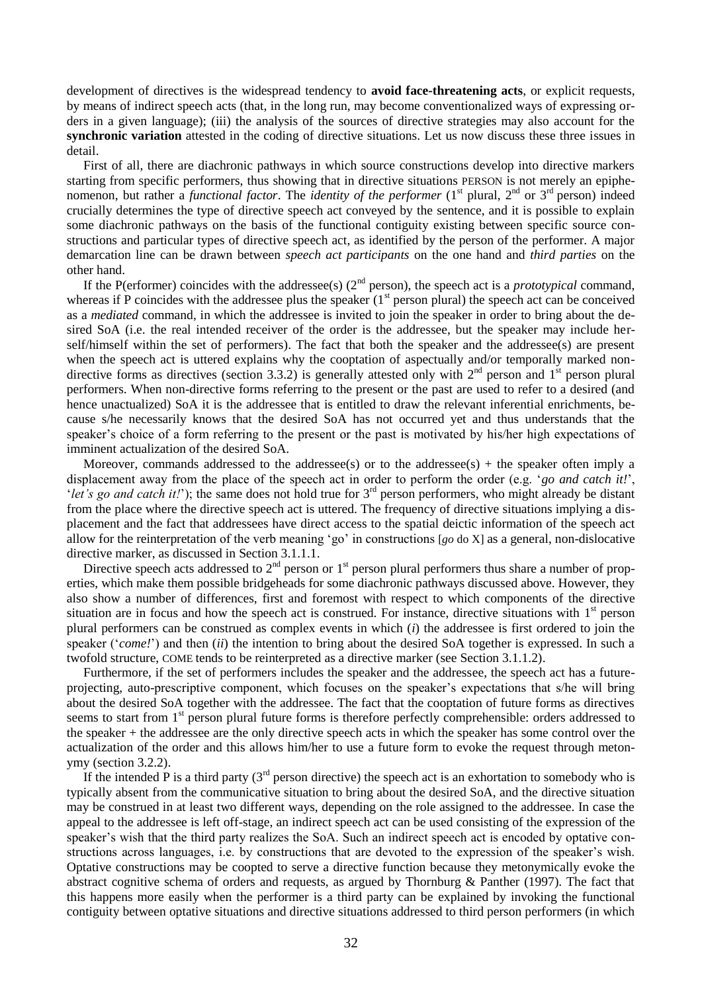development of directives is the widespread tendency to **avoid face-threatening acts**, or explicit requests, by means of indirect speech acts (that, in the long run, may become conventionalized ways of expressing orders in a given language); (iii) the analysis of the sources of directive strategies may also account for the **synchronic variation** attested in the coding of directive situations. Let us now discuss these three issues in detail.

First of all, there are diachronic pathways in which source constructions develop into directive markers starting from specific performers, thus showing that in directive situations PERSON is not merely an epiphenomenon, but rather a *functional factor*. The *identity of the performer*  $(1<sup>st</sup>$  plural,  $2<sup>nd</sup>$  or  $3<sup>rd</sup>$  person) indeed crucially determines the type of directive speech act conveyed by the sentence, and it is possible to explain some diachronic pathways on the basis of the functional contiguity existing between specific source constructions and particular types of directive speech act, as identified by the person of the performer. A major demarcation line can be drawn between *speech act participants* on the one hand and *third parties* on the other hand.

If the P(erformer) coincides with the addressee(s)  $(2<sup>nd</sup>$  person), the speech act is a *prototypical* command, whereas if P coincides with the addressee plus the speaker  $(1<sup>st</sup>$  person plural) the speech act can be conceived as a *mediated* command, in which the addressee is invited to join the speaker in order to bring about the desired SoA (i.e. the real intended receiver of the order is the addressee, but the speaker may include herself/himself within the set of performers). The fact that both the speaker and the addressee(s) are present when the speech act is uttered explains why the cooptation of aspectually and/or temporally marked nondirective forms as directives (section 3.3.2) is generally attested only with  $2<sup>nd</sup>$  person and  $1<sup>st</sup>$  person plural performers. When non-directive forms referring to the present or the past are used to refer to a desired (and hence unactualized) SoA it is the addressee that is entitled to draw the relevant inferential enrichments, because s/he necessarily knows that the desired SoA has not occurred yet and thus understands that the speaker's choice of a form referring to the present or the past is motivated by his/her high expectations of imminent actualization of the desired SoA.

Moreover, commands addressed to the addressee(s) or to the addressee(s) + the speaker often imply a displacement away from the place of the speech act in order to perform the order (e.g. *'go and catch it!'*, 'let's go and catch it!'); the same does not hold true for 3<sup>rd</sup> person performers, who might already be distant from the place where the directive speech act is uttered. The frequency of directive situations implying a displacement and the fact that addressees have direct access to the spatial deictic information of the speech act allow for the reinterpretation of the verb meaning ‗go' in constructions [*go* do X] as a general, non-dislocative directive marker, as discussed in Section 3.1.1.1.

Directive speech acts addressed to  $2<sup>nd</sup>$  person or 1<sup>st</sup> person plural performers thus share a number of properties, which make them possible bridgeheads for some diachronic pathways discussed above. However, they also show a number of differences, first and foremost with respect to which components of the directive situation are in focus and how the speech act is construed. For instance, directive situations with  $1<sup>st</sup>$  person plural performers can be construed as complex events in which (*i*) the addressee is first ordered to join the speaker (*'come!'*) and then (*ii*) the intention to bring about the desired SoA together is expressed. In such a twofold structure, COME tends to be reinterpreted as a directive marker (see Section 3.1.1.2).

Furthermore, if the set of performers includes the speaker and the addressee, the speech act has a futureprojecting, auto-prescriptive component, which focuses on the speaker's expectations that s/he will bring about the desired SoA together with the addressee. The fact that the cooptation of future forms as directives seems to start from 1<sup>st</sup> person plural future forms is therefore perfectly comprehensible: orders addressed to the speaker + the addressee are the only directive speech acts in which the speaker has some control over the actualization of the order and this allows him/her to use a future form to evoke the request through metonymy (section 3.2.2).

If the intended P is a third party  $3^{rd}$  person directive) the speech act is an exhortation to somebody who is typically absent from the communicative situation to bring about the desired SoA, and the directive situation may be construed in at least two different ways, depending on the role assigned to the addressee. In case the appeal to the addressee is left off-stage, an indirect speech act can be used consisting of the expression of the speaker's wish that the third party realizes the SoA. Such an indirect speech act is encoded by optative constructions across languages, i.e. by constructions that are devoted to the expression of the speaker's wish. Optative constructions may be coopted to serve a directive function because they metonymically evoke the abstract cognitive schema of orders and requests, as argued by Thornburg & Panther (1997). The fact that this happens more easily when the performer is a third party can be explained by invoking the functional contiguity between optative situations and directive situations addressed to third person performers (in which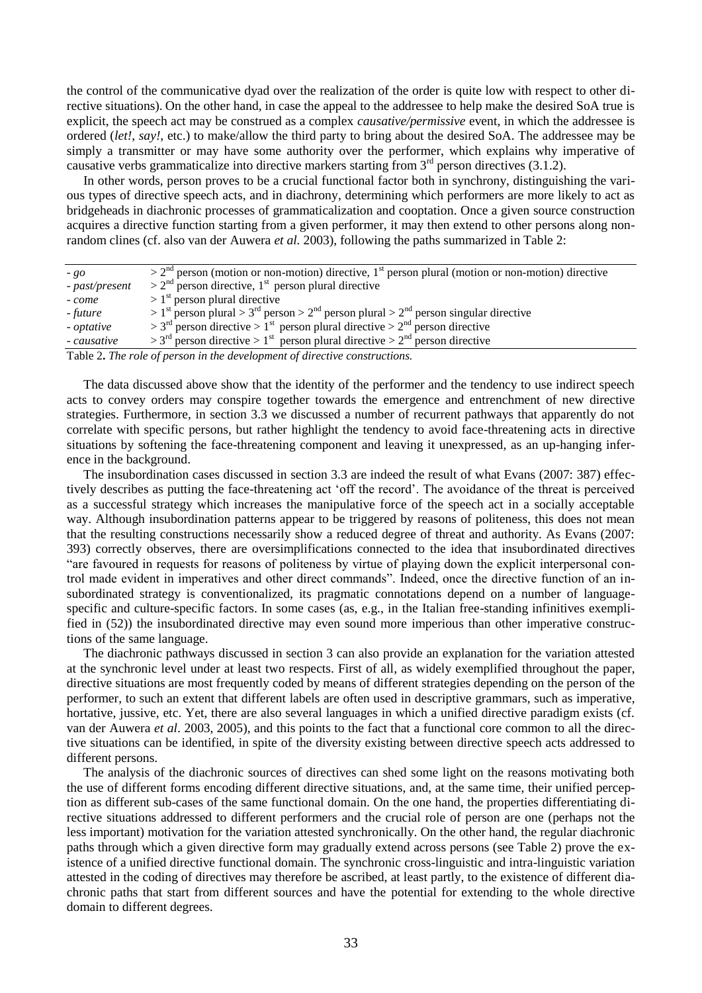the control of the communicative dyad over the realization of the order is quite low with respect to other directive situations). On the other hand, in case the appeal to the addressee to help make the desired SoA true is explicit, the speech act may be construed as a complex *causative/permissive* event, in which the addressee is ordered (*let!*, *say!*, etc.) to make/allow the third party to bring about the desired SoA. The addressee may be simply a transmitter or may have some authority over the performer, which explains why imperative of causative verbs grammaticalize into directive markers starting from 3<sup>rd</sup> person directives (3.1.2).

In other words, person proves to be a crucial functional factor both in synchrony, distinguishing the various types of directive speech acts, and in diachrony, determining which performers are more likely to act as bridgeheads in diachronic processes of grammaticalization and cooptation. Once a given source construction acquires a directive function starting from a given performer, it may then extend to other persons along nonrandom clines (cf. also van der Auwera *et al.* 2003), following the paths summarized in Table 2:

| $-$ go         | $> 2nd$ person (motion or non-motion) directive, 1 <sup>st</sup> person plural (motion or non-motion) directive |
|----------------|-----------------------------------------------------------------------------------------------------------------|
| - past/present | $> 2nd$ person directive, 1 <sup>st</sup> person plural directive                                               |
| - come         | $> 1st$ person plural directive                                                                                 |
| - future       | $> 1st$ person plural $> 3rd$ person $> 2nd$ person plural $> 2nd$ person singular directive                    |
| - optative     | $> 3rd$ person directive $> 1st$ person plural directive $> 2nd$ person directive                               |
| - causative    | $> 3rd$ person directive $> 1st$ person plural directive $> 2nd$ person directive                               |

Table 2**.** *The role of person in the development of directive constructions.*

The data discussed above show that the identity of the performer and the tendency to use indirect speech acts to convey orders may conspire together towards the emergence and entrenchment of new directive strategies. Furthermore, in section 3.3 we discussed a number of recurrent pathways that apparently do not correlate with specific persons, but rather highlight the tendency to avoid face-threatening acts in directive situations by softening the face-threatening component and leaving it unexpressed, as an up-hanging inference in the background.

The insubordination cases discussed in section 3.3 are indeed the result of what Evans (2007: 387) effectively describes as putting the face-threatening act 'off the record'. The avoidance of the threat is perceived as a successful strategy which increases the manipulative force of the speech act in a socially acceptable way. Although insubordination patterns appear to be triggered by reasons of politeness, this does not mean that the resulting constructions necessarily show a reduced degree of threat and authority. As Evans (2007: 393) correctly observes, there are oversimplifications connected to the idea that insubordinated directives ―are favoured in requests for reasons of politeness by virtue of playing down the explicit interpersonal control made evident in imperatives and other direct commands". Indeed, once the directive function of an insubordinated strategy is conventionalized, its pragmatic connotations depend on a number of languagespecific and culture-specific factors. In some cases (as, e.g., in the Italian free-standing infinitives exemplified in (52)) the insubordinated directive may even sound more imperious than other imperative constructions of the same language.

The diachronic pathways discussed in section 3 can also provide an explanation for the variation attested at the synchronic level under at least two respects. First of all, as widely exemplified throughout the paper, directive situations are most frequently coded by means of different strategies depending on the person of the performer, to such an extent that different labels are often used in descriptive grammars, such as imperative, hortative, jussive, etc. Yet, there are also several languages in which a unified directive paradigm exists (cf. van der Auwera *et al*. 2003, 2005), and this points to the fact that a functional core common to all the directive situations can be identified, in spite of the diversity existing between directive speech acts addressed to different persons.

The analysis of the diachronic sources of directives can shed some light on the reasons motivating both the use of different forms encoding different directive situations, and, at the same time, their unified perception as different sub-cases of the same functional domain. On the one hand, the properties differentiating directive situations addressed to different performers and the crucial role of person are one (perhaps not the less important) motivation for the variation attested synchronically. On the other hand, the regular diachronic paths through which a given directive form may gradually extend across persons (see Table 2) prove the existence of a unified directive functional domain. The synchronic cross-linguistic and intra-linguistic variation attested in the coding of directives may therefore be ascribed, at least partly, to the existence of different diachronic paths that start from different sources and have the potential for extending to the whole directive domain to different degrees.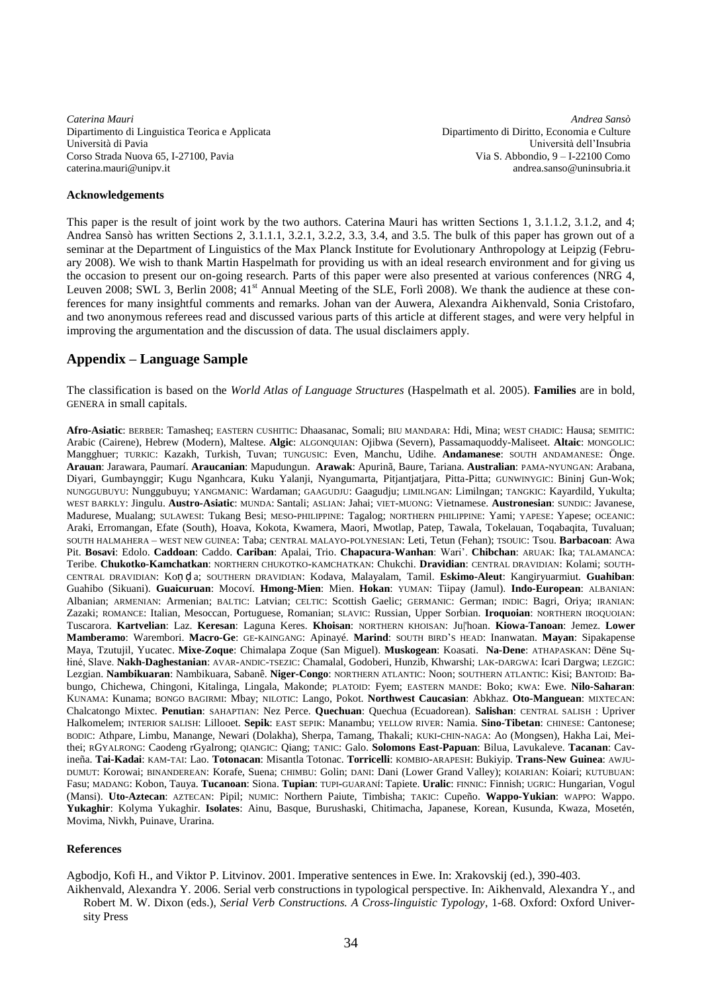*Caterina Mauri Andrea Sansò* Dipartimento di Linguistica Teorica e Applicata Università di Pavia Corso Strada Nuova 65, I-27100, Pavia caterina.mauri@unipv.it

Dipartimento di Diritto, Economia e Culture Università dell'Insubria Via S. Abbondio, 9 – I-22100 Como [andrea.sanso@uninsubria.it](mailto:andrea.sanso@uninsubria.it)

#### **Acknowledgements**

This paper is the result of joint work by the two authors. Caterina Mauri has written Sections 1, 3.1.1.2, 3.1.2, and 4; Andrea Sansò has written Sections 2, 3.1.1.1, 3.2.1, 3.2.2, 3.3, 3.4, and 3.5. The bulk of this paper has grown out of a seminar at the Department of Linguistics of the Max Planck Institute for Evolutionary Anthropology at Leipzig (February 2008). We wish to thank Martin Haspelmath for providing us with an ideal research environment and for giving us the occasion to present our on-going research. Parts of this paper were also presented at various conferences (NRG 4, Leuven 2008; SWL 3, Berlin 2008; 41<sup>st</sup> Annual Meeting of the SLE, Forlì 2008). We thank the audience at these conferences for many insightful comments and remarks. Johan van der Auwera, Alexandra Aikhenvald, Sonia Cristofaro, and two anonymous referees read and discussed various parts of this article at different stages, and were very helpful in improving the argumentation and the discussion of data. The usual disclaimers apply.

# **Appendix – Language Sample**

The classification is based on the *World Atlas of Language Structures* (Haspelmath et al. 2005). **Families** are in bold, GENERA in small capitals.

**Afro-Asiatic**: BERBER: Tamasheq; EASTERN CUSHITIC: Dhaasanac, Somali; BIU MANDARA: Hdi, Mina; WEST CHADIC: Hausa; SEMITIC: Arabic (Cairene), Hebrew (Modern), Maltese. **Algic**: ALGONQUIAN: Ojibwa (Severn), Passamaquoddy-Maliseet. **Altaic**: MONGOLIC: Mangghuer; TURKIC: Kazakh, Turkish, Tuvan; TUNGUSIC: Even, Manchu, Udihe. **Andamanese**: SOUTH ANDAMANESE: Önge. **Arauan**: Jarawara, Paumarí. **Araucanian**: Mapudungun. **Arawak**: Apurinã, Baure, Tariana. **Australian**: PAMA-NYUNGAN: Arabana, Diyari, Gumbaynggir; Kugu Nganhcara, Kuku Yalanji, Nyangumarta, Pitjantjatjara, Pitta-Pitta; GUNWINYGIC: Bininj Gun-Wok; NUNGGUBUYU: Nunggubuyu; YANGMANIC: Wardaman; GAAGUDJU: Gaagudju; LIMILNGAN: Limilngan; TANGKIC: Kayardild, Yukulta; WEST BARKLY: Jingulu. **Austro-Asiatic**: MUNDA: Santali; ASLIAN: Jahai; VIET-MUONG: Vietnamese. **Austronesian**: SUNDIC: Javanese, Madurese, Mualang; SULAWESI: Tukang Besi; MESO-PHILIPPINE: Tagalog; NORTHERN PHILIPPINE: Yami; YAPESE: Yapese; OCEANIC: Araki, Erromangan, Efate (South), Hoava, Kokota, Kwamera, Maori, Mwotlap, Patep, Tawala, Tokelauan, Toqabaqita, Tuvaluan; SOUTH HALMAHERA – WEST NEW GUINEA: Taba; CENTRAL MALAYO-POLYNESIAN: Leti, Tetun (Fehan); TSOUIC: Tsou. **Barbacoan**: Awa Pit. **Bosavi**: Edolo. **Caddoan**: Caddo. **Cariban**: Apalai, Trio. **Chapacura-Wanhan**: Wari'. **Chibchan**: ARUAK: Ika; TALAMANCA: Teribe. **Chukotko-Kamchatkan**: NORTHERN CHUKOTKO-KAMCHATKAN: Chukchi. **Dravidian**: CENTRAL DRAVIDIAN: Kolami; SOUTH-CENTRAL DRAVIDIAN: Koṇ ḍ a; SOUTHERN DRAVIDIAN: Kodava, Malayalam, Tamil. **Eskimo-Aleut**: Kangiryuarmiut. **Guahiban**: Guahibo (Sikuani). **Guaicuruan**: Mocoví. **Hmong-Mien**: Mien. **Hokan**: YUMAN: Tiipay (Jamul). **Indo-European**: ALBANIAN: Albanian; ARMENIAN: Armenian; BALTIC: Latvian; CELTIC: Scottish Gaelic; GERMANIC: German; INDIC: Bagri, Oriya; IRANIAN: Zazaki; ROMANCE: Italian, Mesoccan, Portuguese, Romanian; SLAVIC: Russian, Upper Sorbian. **Iroquoian**: NORTHERN IROQUOIAN: Tuscarora. **Kartvelian**: Laz. **Keresan**: Laguna Keres. **Khoisan**: NORTHERN KHOISAN: Ju|'hoan. **Kiowa-Tanoan**: Jemez. **Lower Mamberamo**: Warembori. **Macro-Ge**: GE-KAINGANG: Apinayé. **Marind**: SOUTH BIRD'S HEAD: Inanwatan. **Mayan**: Sipakapense Maya, Tzutujil, Yucatec. **Mixe-Zoque**: Chimalapa Zoque (San Miguel). **Muskogean**: Koasati. **Na-Dene**: ATHAPASKAN: Dëne Sųłiné, Slave. **Nakh-Daghestanian**: AVAR-ANDIC-TSEZIC: Chamalal, Godoberi, Hunzib, Khwarshi; LAK-DARGWA: Icari Dargwa; LEZGIC: Lezgian. **Nambikuaran**: Nambikuara, Sabanê. **Niger-Congo**: NORTHERN ATLANTIC: Noon; SOUTHERN ATLANTIC: Kisi; BANTOID: Babungo, Chichewa, Chingoni, Kitalinga, Lingala, Makonde; PLATOID: Fyem; EASTERN MANDE: Boko; KWA: Ewe. **Nilo-Saharan**: KUNAMA: Kunama; BONGO BAGIRMI: Mbay; NILOTIC: Lango, Pokot. **Northwest Caucasian**: Abkhaz. **Oto-Manguean**: MIXTECAN: Chalcatongo Mixtec. **Penutian**: SAHAPTIAN: Nez Perce. **Quechuan**: Quechua (Ecuadorean). **Salishan**: CENTRAL SALISH : Upriver Halkomelem; INTERIOR SALISH: Lillooet. **Sepik**: EAST SEPIK: Manambu; YELLOW RIVER: Namia. **Sino-Tibetan**: CHINESE: Cantonese; BODIC: Athpare, Limbu, Manange, Newari (Dolakha), Sherpa, Tamang, Thakali; KUKI-CHIN-NAGA: Ao (Mongsen), Hakha Lai, Meithei; RGYALRONG: Caodeng rGyalrong; QIANGIC: Qiang; TANIC: Galo. **Solomons East-Papuan**: Bilua, Lavukaleve. **Tacanan**: Cavineña. **Tai-Kadai**: KAM-TAI: Lao. **Totonacan**: Misantla Totonac. **Torricelli**: KOMBIO-ARAPESH: Bukiyip. **Trans-New Guinea**: AWJU-DUMUT: Korowai; BINANDEREAN: Korafe, Suena; CHIMBU: Golin; DANI: Dani (Lower Grand Valley); KOIARIAN: Koiari; KUTUBUAN: Fasu; MADANG: Kobon, Tauya. **Tucanoan**: Siona. **Tupian**: TUPI-GUARANÍ: Tapiete. **Uralic**: FINNIC: Finnish; UGRIC: Hungarian, Vogul (Mansi). **Uto-Aztecan**: AZTECAN: Pipil; NUMIC: Northern Paiute, Timbisha; TAKIC: Cupeño. **Wappo-Yukian**: WAPPO: Wappo. **Yukaghir**: Kolyma Yukaghir. **Isolates**: Ainu, Basque, Burushaski, Chitimacha, Japanese, Korean, Kusunda, Kwaza, Mosetén, Movima, Nivkh, Puinave, Urarina.

## **References**

Agbodjo, Kofi H., and Viktor P. Litvinov. 2001. Imperative sentences in Ewe. In: Xrakovskij (ed.), 390-403.

Aikhenvald, Alexandra Y. 2006. Serial verb constructions in typological perspective. In: Aikhenvald, Alexandra Y., and Robert M. W. Dixon (eds.), *Serial Verb Constructions. A Cross-linguistic Typology*, 1-68. Oxford: Oxford University Press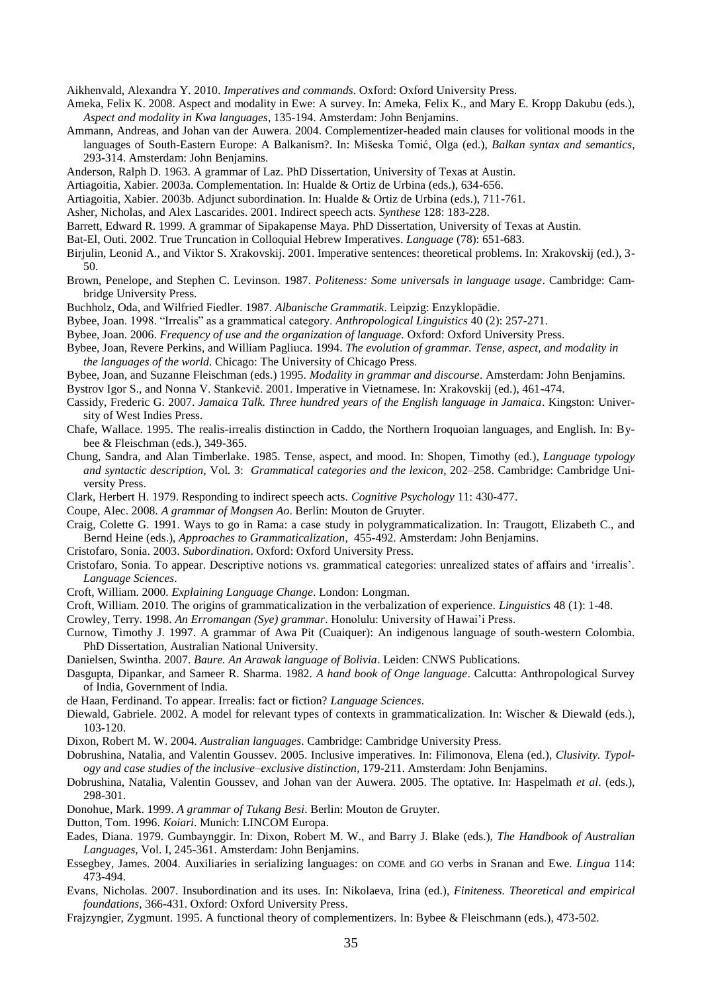Aikhenvald, Alexandra Y. 2010. *Imperatives and commands*. Oxford: Oxford University Press.

- Ameka, Felix K. 2008. Aspect and modality in Ewe: A survey. In: Ameka, Felix K., and Mary E. Kropp Dakubu (eds.), *Aspect and modality in Kwa languages*, 135-194. Amsterdam: John Benjamins.
- Ammann, Andreas, and Johan van der Auwera. 2004. Complementizer-headed main clauses for volitional moods in the languages of South-Eastern Europe: A Balkanism?. In: Mišeska Tomić, Olga (ed.), *Balkan syntax and semantics*, 293-314. Amsterdam: John Benjamins.
- Anderson, Ralph D. 1963. A grammar of Laz. PhD Dissertation, University of Texas at Austin.
- Artiagoitia, Xabier. 2003a. Complementation. In: Hualde & Ortiz de Urbina (eds.), 634-656.
- Artiagoitia, Xabier. 2003b. Adjunct subordination. In: Hualde & Ortiz de Urbina (eds.), 711-761.
- Asher, Nicholas, and Alex Lascarides. 2001. Indirect speech acts. *Synthese* 128: 183-228.
- Barrett, Edward R. 1999. A grammar of Sipakapense Maya. PhD Dissertation, University of Texas at Austin.
- Bat-El, Outi. 2002. True Truncation in Colloquial Hebrew Imperatives. *Language* (78): 651-683.
- Birjulin, Leonid A., and Viktor S. Xrakovskij. 2001. Imperative sentences: theoretical problems. In: Xrakovskij (ed.), 3- 50.
- Brown, Penelope, and Stephen C. Levinson. 1987. *Politeness: Some universals in language usage*. Cambridge: Cambridge University Press.
- Buchholz, Oda, and Wilfried Fiedler. 1987. *Albanische Grammatik*. Leipzig: Enzyklopädie.
- Bybee, Joan. 1998. "Irrealis" as a grammatical category. *Anthropological Linguistics* 40 (2): 257-271.
- Bybee, Joan. 2006. *Frequency of use and the organization of language.* Oxford: Oxford University Press.
- Bybee, Joan, Revere Perkins, and William Pagliuca. 1994. *The evolution of grammar. Tense, aspect, and modality in the languages of the world*. Chicago: The University of Chicago Press.
- Bybee, Joan, and Suzanne Fleischman (eds.) 1995. *Modality in grammar and discourse*. Amsterdam: John Benjamins.

Bystrov Igor S., and Nonna V. Stankevič. 2001. Imperative in Vietnamese. In: Xrakovskij (ed.), 461-474.

- Cassidy, Frederic G. 2007. *Jamaica Talk. Three hundred years of the English language in Jamaica*. Kingston: University of West Indies Press.
- Chafe, Wallace. 1995. The realis-irrealis distinction in Caddo, the Northern Iroquoian languages, and English. In: Bybee & Fleischman (eds.), 349-365.
- Chung, Sandra, and Alan Timberlake. 1985. Tense, aspect, and mood*.* In: Shopen, Timothy (ed.), *Language typology and syntactic description*, Vol. 3: *Grammatical categories and the lexicon*, 202–258. Cambridge: Cambridge University Press.
- Clark, Herbert H. 1979. Responding to indirect speech acts. *Cognitive Psychology* 11: 430-477.
- Coupe, Alec. 2008. *A grammar of Mongsen Ao*. Berlin: Mouton de Gruyter.
- Craig, Colette G. 1991. Ways to go in Rama: a case study in polygrammaticalization. In: Traugott, Elizabeth C., and Bernd Heine (eds.), *Approaches to Grammaticalization*, 455-492. Amsterdam: John Benjamins.
- Cristofaro, Sonia. 2003. *Subordination*. Oxford: Oxford University Press.
- Cristofaro, Sonia. To appear. Descriptive notions vs. grammatical categories: unrealized states of affairs and 'irrealis'. *Language Sciences*.
- Croft, William. 2000. *Explaining Language Change*. London: Longman.
- Croft, William. 2010. The origins of grammaticalization in the verbalization of experience. *Linguistics* 48 (1): 1-48.
- Crowley, Terry. 1998. *An Erromangan (Sye) grammar*. Honolulu: University of Hawai'i Press.
- Curnow, Timothy J. 1997. A grammar of Awa Pit (Cuaiquer): An indigenous language of south-western Colombia. PhD Dissertation, Australian National University.
- Danielsen, Swintha. 2007. *Baure. An Arawak language of Bolivia*. Leiden: CNWS Publications.
- Dasgupta, Dipankar, and Sameer R. Sharma. 1982. *A hand book of Onge language*. Calcutta: Anthropological Survey of India, Government of India.
- de Haan, Ferdinand. To appear. Irrealis: fact or fiction? *Language Sciences*.
- Diewald, Gabriele. 2002. A model for relevant types of contexts in grammaticalization. In: Wischer & Diewald (eds.), 103-120.
- Dixon, Robert M. W. 2004. *Australian languages*. Cambridge: Cambridge University Press.
- Dobrushina, Natalia, and Valentin Goussev. 2005. Inclusive imperatives. In: Filimonova, Elena (ed.), *Clusivity. Typology and case studies of the inclusive–exclusive distinction*, 179-211. Amsterdam: John Benjamins.
- Dobrushina, Natalia, Valentin Goussev, and Johan van der Auwera. 2005. The optative. In: Haspelmath *et al*. (eds.), 298-301.
- Donohue, Mark. 1999. *A grammar of Tukang Besi*. Berlin: Mouton de Gruyter.
- Dutton, Tom. 1996. *Koiari*. Munich: LINCOM Europa.
- Eades, Diana. 1979. Gumbaynggir. In: Dixon, Robert M. W., and Barry J. Blake (eds.), *The Handbook of Australian Languages*, Vol. I, 245-361. Amsterdam: John Benjamins.
- Essegbey, James. 2004. Auxiliaries in serializing languages: on COME and GO verbs in Sranan and Ewe. *Lingua* 114: 473-494.
- Evans, Nicholas. 2007. Insubordination and its uses. In: Nikolaeva, Irina (ed.), *Finiteness. Theoretical and empirical foundations*, 366-431. Oxford: Oxford University Press.
- Frajzyngier, Zygmunt. 1995. A functional theory of complementizers. In: Bybee & Fleischmann (eds.), 473-502.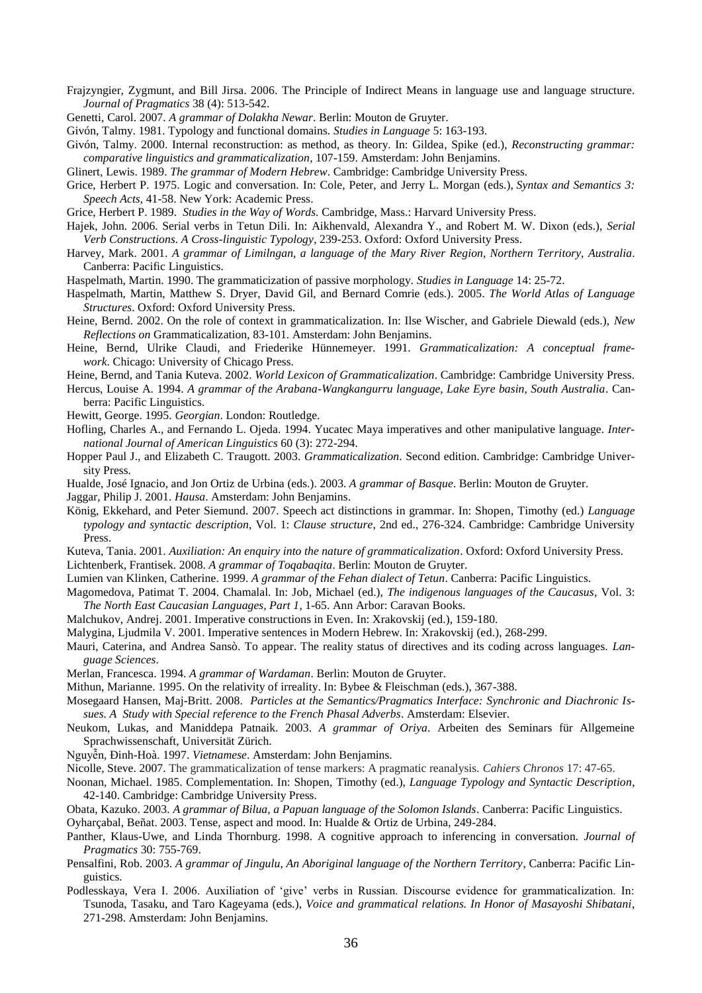- Frajzyngier, Zygmunt, and Bill Jirsa. 2006. The Principle of Indirect Means in language use and language structure. *Journal of Pragmatics* 38 (4): 513-542.
- Genetti, Carol. 2007. *A grammar of Dolakha Newar*. Berlin: Mouton de Gruyter.
- Givón, Talmy. 1981. Typology and functional domains. *Studies in Language* 5: 163-193.
- Givón, Talmy. 2000. Internal reconstruction: as method, as theory. In: Gildea, Spike (ed.), *Reconstructing grammar: comparative linguistics and grammaticalization*, 107-159. Amsterdam: John Benjamins.
- Glinert, Lewis. 1989. *The grammar of Modern Hebrew*. Cambridge: Cambridge University Press.
- Grice, Herbert P. 1975. Logic and conversation. In: Cole, Peter, and Jerry L. Morgan (eds.), *Syntax and Semantics 3: Speech Acts*, 41-58. New York: Academic Press.
- Grice, Herbert P. 1989. *Studies in the Way of Words.* Cambridge, Mass.: Harvard University Press.
- Hajek, John. 2006. Serial verbs in Tetun Dili. In: Aikhenvald, Alexandra Y., and Robert M. W. Dixon (eds.), *Serial Verb Constructions. A Cross-linguistic Typology*, 239-253. Oxford: Oxford University Press.
- Harvey, Mark. 2001. *A grammar of Limilngan, a language of the Mary River Region, Northern Territory, Australia*. Canberra: Pacific Linguistics.
- Haspelmath, Martin. 1990. The grammaticization of passive morphology. *Studies in Language* 14: 25-72.
- Haspelmath, Martin, Matthew S. Dryer, David Gil, and Bernard Comrie (eds.). 2005. *The World Atlas of Language Structures*. Oxford: Oxford University Press.
- Heine, Bernd. 2002. On the role of context in grammaticalization. In: Ilse Wischer, and Gabriele Diewald (eds.), *New Reflections on* Grammaticalization, 83-101. Amsterdam: John Benjamins.
- Heine, Bernd, Ulrike Claudi, and Friederike Hünnemeyer. 1991. *Grammaticalization: A conceptual framework*. Chicago: University of Chicago Press.
- Heine, Bernd, and Tania Kuteva. 2002. *World Lexicon of Grammaticalization*. Cambridge: Cambridge University Press.
- Hercus, Louise A. 1994. *A grammar of the Arabana-Wangkangurru language, Lake Eyre basin, South Australia*. Canberra: Pacific Linguistics.
- Hewitt, George. 1995. *Georgian*. London: Routledge.
- Hofling, Charles A., and Fernando L. Ojeda. 1994. Yucatec Maya imperatives and other manipulative language. *International Journal of American Linguistics* 60 (3): 272-294.
- Hopper Paul J., and Elizabeth C. Traugott. 2003. *Grammaticalization*. Second edition. Cambridge: Cambridge University Press.
- Hualde, José Ignacio, and Jon Ortiz de Urbina (eds.). 2003. *A grammar of Basque*. Berlin: Mouton de Gruyter.
- Jaggar, Philip J. 2001. *Hausa*. Amsterdam: John Benjamins.
- König, Ekkehard, and Peter Siemund. 2007. Speech act distinctions in grammar. In: Shopen, Timothy (ed.) *Language typology and syntactic description*, Vol. 1: *Clause structure*, 2nd ed., 276-324. Cambridge: Cambridge University Press.
- Kuteva, Tania. 2001. *Auxiliation: An enquiry into the nature of grammaticalization*. Oxford: Oxford University Press. Lichtenberk, Frantisek. 2008. *A grammar of Toqabaqita*. Berlin: Mouton de Gruyter.
- Lumien van Klinken, Catherine. 1999. *A grammar of the Fehan dialect of Tetun*. Canberra: Pacific Linguistics.
- Magomedova, Patimat T. 2004. Chamalal. In: Job, Michael (ed.), *The indigenous languages of the Caucasus*, Vol. 3: *The North East Caucasian Languages, Part 1*, 1-65. Ann Arbor: Caravan Books.
- Malchukov, Andrej. 2001. Imperative constructions in Even. In: Xrakovskij (ed.), 159-180.
- Malygina, Ljudmila V. 2001. Imperative sentences in Modern Hebrew. In: Xrakovskij (ed.), 268-299.
- Mauri, Caterina, and Andrea Sansò. To appear. The reality status of directives and its coding across languages. *Language Sciences*.
- Merlan, Francesca. 1994. *A grammar of Wardaman*. Berlin: Mouton de Gruyter.
- Mithun, Marianne. 1995. On the relativity of irreality. In: Bybee & Fleischman (eds.), 367-388.
- Mosegaard Hansen, Maj-Britt. 2008. *Particles at the Semantics/Pragmatics Interface: Synchronic and Diachronic Issues. A Study with Special reference to the French Phasal Adverbs*. Amsterdam: Elsevier.
- Neukom, Lukas, and Maniddepa Patnaik. 2003. *A grammar of Oriya*. Arbeiten des Seminars für Allgemeine Sprachwissenschaft, Universität Zürich.
- Nguyễn, Ðinh-Hoà. 1997. *Vietnamese*. Amsterdam: John Benjamins.
- Nicolle, Steve. 2007. The grammaticalization of tense markers: A pragmatic reanalysis. *Cahiers Chronos* 17: 47-65.
- Noonan, Michael. 1985. Complementation. In: Shopen, Timothy (ed.), *Language Typology and Syntactic Description*, 42-140. Cambridge: Cambridge University Press.
- Obata, Kazuko. 2003. *A grammar of Bilua, a Papuan language of the Solomon Islands*. Canberra: Pacific Linguistics. Oyharçabal, Beñat. 2003. Tense, aspect and mood. In: Hualde & Ortiz de Urbina, 249-284.
- Panther, Klaus-Uwe, and Linda Thornburg. 1998. A cognitive approach to inferencing in conversation. *Journal of Pragmatics* 30: 755-769.
- Pensalfini, Rob. 2003. *A grammar of Jingulu, An Aboriginal language of the Northern Territory*, Canberra: Pacific Linguistics.
- Podlesskaya, Vera I. 2006. Auxiliation of 'give' verbs in Russian. Discourse evidence for grammaticalization. In: Tsunoda, Tasaku, and Taro Kageyama (eds.), *Voice and grammatical relations. In Honor of Masayoshi Shibatani*, 271-298. Amsterdam: John Benjamins.